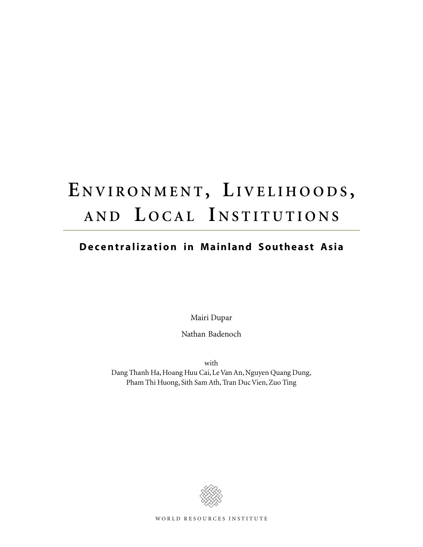# **E NVIRONMENT , LIVELIHOODS , AND L OCAL I NSTITUTIONS**

## **Decentralization in Mainland Southeast Asia**

Mairi Dupar

Nathan Badenoch

with Dang Thanh Ha, Hoang Huu Cai, Le Van An, Nguyen Quang Dung, Pham Thi Huong, Sith Sam Ath, Tran Duc Vien, Zuo Ting

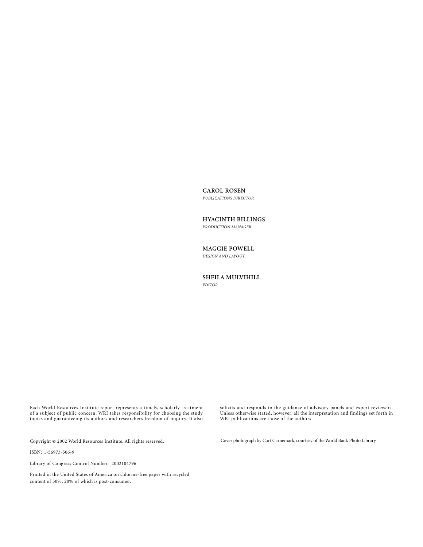**CAROL ROSEN**

*PUBLICATIONS DIRECTOR*

**HYACINTH BILLINGS** *PRODUCTION MANAGER*

#### **MAGGIE POWELL**

*DESIGN AND LAYOUT*

#### **SHEILA MULVIHILL** *EDITOR*

Each World Resources Institute report represents a timely, scholarly treatment of a subject of public concern. WRI takes responsibility for choosing the study topics and guaranteeing its authors and researchers freedom of inquiry. It also

Copyright © 2002 World Resources Institute. All rights reserved.

ISBN: 1-56973-506-9

Library of Congress Control Number: 2002104796

Printed in the United States of America on chlorine-free paper with recycled content of 50%, 20% of which is post-consumer.

solicits and responds to the guidance of advisory panels and expert reviewers. Unless otherwise stated, however, all the interpretation and findings set forth in WRI publications are those of the authors.

Cover photograph by Curt Carnemark, courtesy of the World Bank Photo Library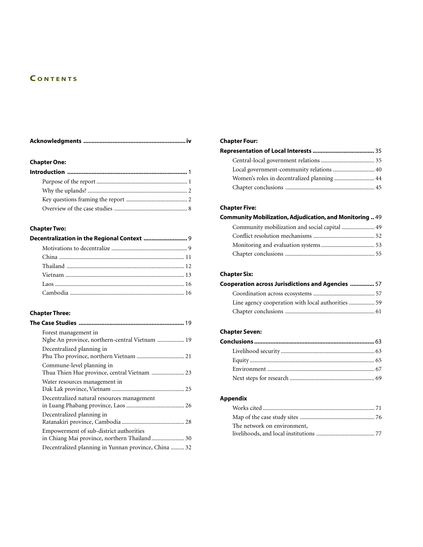## **C ONTENTS**

## **Chapter One:**

## **Chapter Two:**

| Decentralization in the Regional Context  9 |  |  |
|---------------------------------------------|--|--|
|                                             |  |  |
|                                             |  |  |
|                                             |  |  |
|                                             |  |  |
|                                             |  |  |
|                                             |  |  |

## **Chapter Three:**

| Forest management in<br>Nghe An province, northern-central Vietnam  19                  |  |
|-----------------------------------------------------------------------------------------|--|
| Decentralized planning in<br>Phu Tho province, northern Vietnam  21                     |  |
| Commune-level planning in<br>Thua Thien Hue province, central Vietnam  23               |  |
| Water resources management in                                                           |  |
| Decentralized natural resources management                                              |  |
| Decentralized planning in                                                               |  |
| Empowerment of sub-district authorities<br>in Chiang Mai province, northern Thailand 30 |  |
| Decentralized planning in Yunnan province, China  32                                    |  |

## **Chapter Four:**

| Women's roles in decentralized planning  44 |  |  |
|---------------------------------------------|--|--|
|                                             |  |  |

## **Chapter Five:**

| Community Mobilization, Adjudication, and Monitoring  49 |  |  |
|----------------------------------------------------------|--|--|
| Community mobilization and social capital  49            |  |  |
|                                                          |  |  |
|                                                          |  |  |
|                                                          |  |  |

## **Chapter Six:**

| Cooperation across Jurisdictions and Agencies  57 |  |  |
|---------------------------------------------------|--|--|
|                                                   |  |  |
|                                                   |  |  |
|                                                   |  |  |

## **Chapter Seven:**

## **Appendix**

| The network on environment, |  |
|-----------------------------|--|
|                             |  |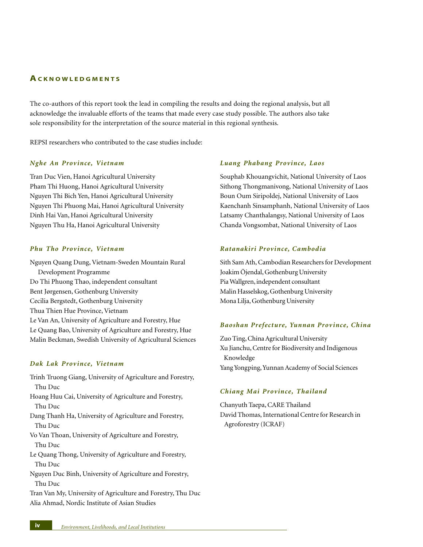#### **ACKNOWLEDGMENTS**

The co-authors of this report took the lead in compiling the results and doing the regional analysis, but all acknowledge the invaluable efforts of the teams that made every case study possible. The authors also take sole responsibility for the interpretation of the source material in this regional synthesis.

REPSI researchers who contributed to the case studies include:

#### *Nghe An Province, Vietnam*

Tran Duc Vien, Hanoi Agricultural University Pham Thi Huong, Hanoi Agricultural University Nguyen Thi Bich Yen, Hanoi Agricultural University Nguyen Thi Phuong Mai, Hanoi Agricultural University Dinh Hai Van, Hanoi Agricultural University Nguyen Thu Ha, Hanoi Agricultural University

#### *Phu Tho Province, Vietnam*

Nguyen Quang Dung, Vietnam-Sweden Mountain Rural Development Programme Do Thi Phuong Thao, independent consultant Bent Jørgensen, Gothenburg University Cecilia Bergstedt, Gothenburg University Thua Thien Hue Province, Vietnam Le Van An, University of Agriculture and Forestry, Hue Le Quang Bao, University of Agriculture and Forestry, Hue Malin Beckman, Swedish University of Agricultural Sciences

#### *Dak Lak Province, Vietnam*

- Trinh Truong Giang, University of Agriculture and Forestry, Thu Duc
- Hoang Huu Cai, University of Agriculture and Forestry, Thu Duc
- Dang Thanh Ha, University of Agriculture and Forestry, Thu Duc
- Vo Van Thoan, University of Agriculture and Forestry, Thu Duc
- Le Quang Thong, University of Agriculture and Forestry, Thu Duc
- Nguyen Duc Binh, University of Agriculture and Forestry, Thu Duc

Tran Van My, University of Agriculture and Forestry, Thu Duc Alia Ahmad, Nordic Institute of Asian Studies

#### *Luang Phabang Province, Laos*

Souphab Khouangvichit, National University of Laos Sithong Thongmanivong, National University of Laos Boun Oum Siripoldej, National University of Laos Kaenchanh Sinsamphanh, National University of Laos Latsamy Chanthalangsy, National University of Laos Chanda Vongsombat, National University of Laos

#### *Ratanakiri Province, Cambodia*

Sith Sam Ath, Cambodian Researchers for Development Joakim Öjendal, Gothenburg University Pia Wallgren, independent consultant Malin Hasselskog, Gothenburg University Mona Lilja, Gothenburg University

#### *Baoshan Prefecture, Yunnan Province, China*

Zuo Ting, China Agricultural University Xu Jianchu, Centre for Biodiversity and Indigenous Knowledge Yang Yongping, Yunnan Academy of Social Sciences

#### *Chiang Mai Province, Thailand*

Chanyuth Taepa, CARE Thailand David Thomas, International Centre for Research in Agroforestry (ICRAF)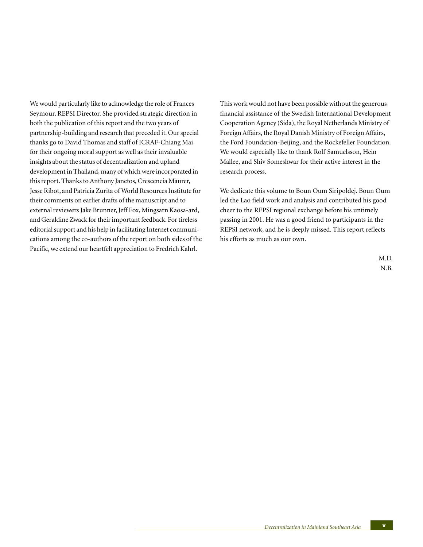We would particularly like to acknowledge the role of Frances Seymour, REPSI Director. She provided strategic direction in both the publication of this report and the two years of partnership-building and research that preceded it. Our special thanks go to David Thomas and staff of ICRAF-Chiang Mai for their ongoing moral support as well as their invaluable insights about the status of decentralization and upland development in Thailand, many of which were incorporated in this report. Thanks to Anthony Janetos, Crescencia Maurer, Jesse Ribot, and Patricia Zurita of World Resources Institute for their comments on earlier drafts of the manuscript and to external reviewers Jake Brunner, Jeff Fox, Mingsarn Kaosa-ard, and Geraldine Zwack for their important feedback. For tireless editorial support and his help in facilitating Internet communications among the co-authors of the report on both sides of the Pacific, we extend our heartfelt appreciation to Fredrich Kahrl.

This work would not have been possible without the generous financial assistance of the Swedish International Development Cooperation Agency (Sida), the Royal Netherlands Ministry of Foreign Affairs, the Royal Danish Ministry of Foreign Affairs, the Ford Foundation-Beijing, and the Rockefeller Foundation. We would especially like to thank Rolf Samuelsson, Hein Mallee, and Shiv Someshwar for their active interest in the research process.

We dedicate this volume to Boun Oum Siripoldej. Boun Oum led the Lao field work and analysis and contributed his good cheer to the REPSI regional exchange before his untimely passing in 2001. He was a good friend to participants in the REPSI network, and he is deeply missed. This report reflects his efforts as much as our own.

> M.D. N.B.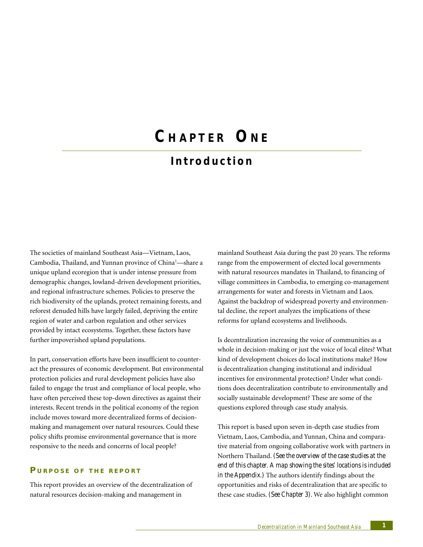## **C HAPTER ON E**

## **Introduction**

The societies of mainland Southeast Asia—Vietnam, Laos, Cambodia, Thailand, and Yunnan province of China<sup>1</sup>—share a unique upland ecoregion that is under intense pressure from demographic changes, lowland-driven development priorities, and regional infrastructure schemes. Policies to preserve the rich biodiversity of the uplands, protect remaining forests, and reforest denuded hills have largely failed, depriving the entire region of water and carbon regulation and other services provided by intact ecosystems. Together, these factors have further impoverished upland populations.

In part, conservation efforts have been insufficient to counteract the pressures of economic development. But environmental protection policies and rural development policies have also failed to engage the trust and compliance of local people, who have often perceived these top-down directives as against their interests. Recent trends in the political economy of the region include moves toward more decentralized forms of decisionmaking and management over natural resources. Could these policy shifts promise environmental governance that is more responsive to the needs and concerns of local people?

## **P URPOSE O F THE REPORT**

This report provides an overview of the decentralization of natural resources decision-making and management in

mainland Southeast Asia during the past 20 years. The reforms range from the empowerment of elected local governments with natural resources mandates in Thailand, to financing of village committees in Cambodia, to emerging co-management arrangements for water and forests in Vietnam and Laos. Against the backdrop of widespread poverty and environmental decline, the report analyzes the implications of these reforms for upland ecosystems and livelihoods.

Is decentralization increasing the voice of communities as a whole in decision-making or just the voice of local elites? What kind of development choices do local institutions make? How is decentralization changing institutional and individual incentives for environmental protection? Under what conditions does decentralization contribute to environmentally and socially sustainable development? These are some of the questions explored through case study analysis.

This report is based upon seven in-depth case studies from Vietnam, Laos, Cambodia, and Yunnan, China and comparative material from ongoing collaborative work with partners in Northern Thailand. *(See the overview of the case studies at the end of this chapter. A map showing the sites' locations is included in the Appendix.)* The authors identify findings about the opportunities and risks of decentralization that are specific to these case studies. *(See Chapter 3)*. We also highlight common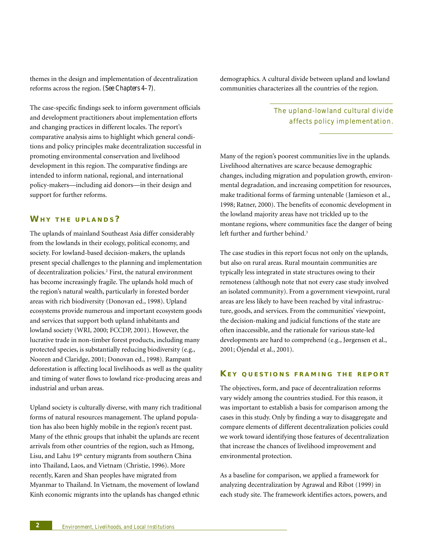themes in the design and implementation of decentralization reforms across the region. *(See Chapters 4–7)*.

The case-specific findings seek to inform government officials and development practitioners about implementation efforts and changing practices in different locales. The report's comparative analysis aims to highlight which general conditions and policy principles make decentralization successful in promoting environmental conservation and livelihood development in this region. The comparative findings are intended to inform national, regional, and international policy-makers—including aid donors—in their design and support for further reforms.

## **WH Y THE UPLANDS ?**

The uplands of mainland Southeast Asia differ considerably from the lowlands in their ecology, political economy, and society. For lowland-based decision-makers, the uplands present special challenges to the planning and implementation of decentralization policies.<sup>2</sup> First, the natural environment has become increasingly fragile. The uplands hold much of the region's natural wealth, particularly in forested border areas with rich biodiversity (Donovan ed., 1998). Upland ecosystems provide numerous and important ecosystem goods and services that support both upland inhabitants and lowland society (WRI, 2000; FCCDP, 2001). However, the lucrative trade in non-timber forest products, including many protected species, is substantially reducing biodiversity (e.g., Nooren and Claridge, 2001; Donovan ed., 1998). Rampant deforestation is affecting local livelihoods as well as the quality and timing of water flows to lowland rice-producing areas and industrial and urban areas.

Upland society is culturally diverse, with many rich traditional forms of natural resources management. The upland population has also been highly mobile in the region's recent past. Many of the ethnic groups that inhabit the uplands are recent arrivals from other countries of the region, such as Hmong, Lisu, and Lahu 19<sup>th</sup> century migrants from southern China into Thailand, Laos, and Vietnam (Christie, 1996). More recently, Karen and Shan peoples have migrated from Myanmar to Thailand. In Vietnam, the movement of lowland Kinh economic migrants into the uplands has changed ethnic

demographics. A cultural divide between upland and lowland communities characterizes all the countries of the region.

> The upland-lowland cultural divide affects policy implementation.

Many of the region's poorest communities live in the uplands. Livelihood alternatives are scarce because demographic changes, including migration and population growth, environmental degradation, and increasing competition for resources, make traditional forms of farming untenable (Jamieson et al., 1998; Ratner, 2000). The benefits of economic development in the lowland majority areas have not trickled up to the montane regions, where communities face the danger of being left further and further behind.<sup>3</sup>

The case studies in this report focus not only on the uplands, but also on rural areas. Rural mountain communities are typically less integrated in state structures owing to their remoteness (although note that not every case study involved an isolated community). From a government viewpoint, rural areas are less likely to have been reached by vital infrastructure, goods, and services. From the communities' viewpoint, the decision-making and judicial functions of the state are often inaccessible, and the rationale for various state-led developments are hard to comprehend (e.g., Jørgensen et al., 2001; Öjendal et al., 2001).

## **KE Y QUESTIONS FRAMING THE REPORT**

The objectives, form, and pace of decentralization reforms vary widely among the countries studied. For this reason, it was important to establish a basis for comparison among the cases in this study. Only by finding a way to disaggregate and compare elements of different decentralization policies could we work toward identifying those features of decentralization that increase the chances of livelihood improvement and environmental protection.

As a baseline for comparison, we applied a framework for analyzing decentralization by Agrawal and Ribot (1999) in each study site. The framework identifies actors, powers, and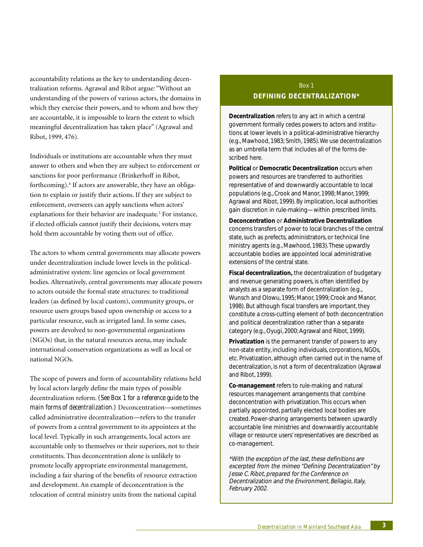accountability relations as the key to understanding decentralization reforms. Agrawal and Ribot argue: "Without an understanding of the powers of various actors, the domains in which they exercise their powers, and to whom and how they are accountable, it is impossible to learn the extent to which meaningful decentralization has taken place" (Agrawal and Ribot, 1999, 476).

Individuals or institutions are accountable when they must answer to others and when they are subject to enforcement or sanctions for poor performance (Brinkerhoff in Ribot, forthcoming).4 If actors are answerable, they have an obligation to explain or justify their actions. If they are subject to enforcement, overseers can apply sanctions when actors' explanations for their behavior are inadequate.<sup>5</sup> For instance, if elected officials cannot justify their decisions, voters may hold them accountable by voting them out of office.

The actors to whom central governments may allocate powers under decentralization include lower levels in the politicaladministrative system: line agencies or local government bodies. Alternatively, central governments may allocate powers to actors outside the formal state structures: to traditional leaders (as defined by local custom), community groups, or resource users groups based upon ownership or access to a particular resource, such as irrigated land. In some cases, powers are devolved to non-governmental organizations (NGOs) that, in the natural resources arena, may include international conservation organizations as well as local or national NGOs.

The scope of powers and form of accountability relations held by local actors largely define the main types of possible decentralization reform. *(See Box 1 for a reference guide to the main forms of decentralization.)* Deconcentration—sometimes called administrative decentralization—refers to the transfer of powers from a central government to its appointees at the local level. Typically in such arrangements, local actors are accountable only to themselves or their superiors, not to their constituents. Thus deconcentration alone is unlikely to promote locally appropriate environmental management, including a fair sharing of the benefits of resource extraction and development. An example of deconcentration is the relocation of central ministry units from the national capital

## Box 1 **DEFINING DECENTRALIZATION\***

**Decentralization** refers to any act in which a central government formally cedes powers to actors and institutions at lower levels in a political-administrative hierarchy (e.g., Mawhood, 1983; Smith, 1985). We use decentralization as an umbrella term that includes all of the forms described here.

**Political** or **Democratic Decentralization** occurs when powers and resources are transferred to authorities representative of and downwardly accountable to local populations (e.g., Crook and Manor, 1998; Manor, 1999; Agrawal and Ribot, 1999). By implication, local authorities gain discretion in rule-making—within prescribed limits.

**Deconcentration** or **Administrative Decentralization** concerns transfers of power to local branches of the central state, such as prefects, administrators, or technical line ministry agents (e.g., Mawhood, 1983). These upwardly accountable bodies are appointed local administrative extensions of the central state.

**Fiscal decentralization,** the decentralization of budgetary and revenue generating powers, is often identified by analysts as a separate form of decentralization (e.g., Wunsch and Olowu, 1995; Manor, 1999; Crook and Manor, 1998). But although fiscal transfers are important, they constitute a cross-cutting element of both deconcentration and political decentralization rather than a separate category (e.g., Oyugi, 2000; Agrawal and Ribot, 1999).

**Privatization** is the permanent transfer of powers to any non-state entity, including individuals, corporations, NGOs, etc. Privatization, although often carried out in the name of decentralization, is not a form of decentralization (Agrawal and Ribot, 1999).

**Co-management** refers to rule-making and natural resources management arrangements that combine deconcentration with privatization. This occurs when partially appointed, partially elected local bodies are created. Power-sharing arrangements between upwardly accountable line ministries and downwardly accountable village or resource users' representatives are described as co-management.

\*With the exception of the last, these definitions are excerpted from the mimeo "Defining Decentralization" by Jesse C. Ribot, prepared for the Conference on Decentralization and the Environment, Bellagio, Italy, February 2002.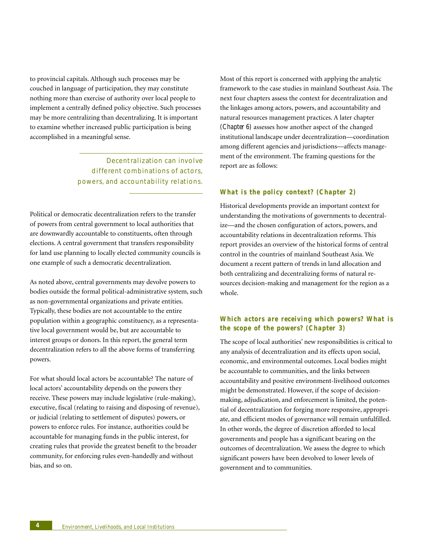to provincial capitals. Although such processes may be couched in language of participation, they may constitute nothing more than exercise of authority over local people to implement a centrally defined policy objective. Such processes may be more centralizing than decentralizing. It is important to examine whether increased public participation is being accomplished in a meaningful sense.

> Decent ralization can involve different combinations of actors, powers, and accountability relations.

Political or democratic decentralization refers to the transfer of powers from central government to local authorities that are downwardly accountable to constituents, often through elections. A central government that transfers responsibility for land use planning to locally elected community councils is one example of such a democratic decentralization.

As noted above, central governments may devolve powers to bodies outside the formal political-administrative system, such as non-governmental organizations and private entities. Typically, these bodies are not accountable to the entire population within a geographic constituency, as a representative local government would be, but are accountable to interest groups or donors. In this report, the general term decentralization refers to all the above forms of transferring powers.

For what should local actors be accountable? The nature of local actors' accountability depends on the powers they receive. These powers may include legislative (rule-making), executive, fiscal (relating to raising and disposing of revenue), or judicial (relating to settlement of disputes) powers, or powers to enforce rules. For instance, authorities could be accountable for managing funds in the public interest, for creating rules that provide the greatest benefit to the broader community, for enforcing rules even-handedly and without bias, and so on.

Most of this report is concerned with applying the analytic framework to the case studies in mainland Southeast Asia. The next four chapters assess the context for decentralization and the linkages among actors, powers, and accountability and natural resources management practices. A later chapter *(Chapter 6)* assesses how another aspect of the changed institutional landscape under decentralization—coordination among different agencies and jurisdictions—affects management of the environment. The framing questions for the report are as follows:

## *What is the policy context? (Chapter 2)*

Historical developments provide an important context for understanding the motivations of governments to decentralize—and the chosen configuration of actors, powers, and accountability relations in decentralization reforms. This report provides an overview of the historical forms of central control in the countries of mainland Southeast Asia. We document a recent pattern of trends in land allocation and both centralizing and decentralizing forms of natural resources decision-making and management for the region as a whole.

## *Which actors are receiving which powers? What is the scope of the powers? (Chapter 3)*

The scope of local authorities' new responsibilities is critical to any analysis of decentralization and its effects upon social, economic, and environmental outcomes. Local bodies might be accountable to communities, and the links between accountability and positive environment-livelihood outcomes might be demonstrated. However, if the scope of decisionmaking, adjudication, and enforcement is limited, the potential of decentralization for forging more responsive, appropriate, and efficient modes of governance will remain unfulfilled. In other words, the degree of discretion afforded to local governments and people has a significant bearing on the outcomes of decentralization. We assess the degree to which significant powers have been devolved to lower levels of government and to communities.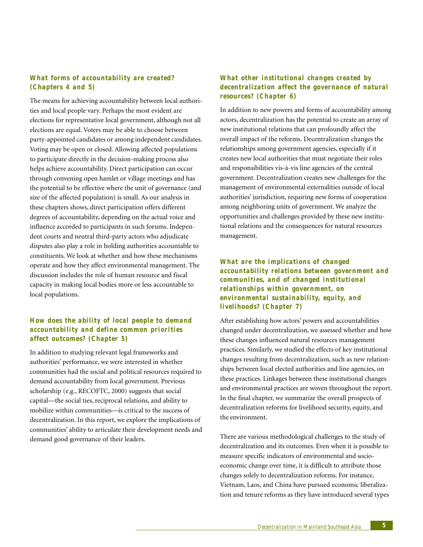## *What forms of accountability are created? (Chapters 4 and 5)*

The means for achieving accountability between local authorities and local people vary. Perhaps the most evident are elections for representative local government, although not all elections are equal. Voters may be able to choose between party-appointed candidates or among independent candidates. Voting may be open or closed. Allowing affected populations to participate directly in the decision-making process also helps achieve accountability. Direct participation can occur through convening open hamlet or village meetings and has the potential to be effective where the unit of governance (and size of the affected population) is small. As our analysis in these chapters shows, direct participation offers different degrees of accountability, depending on the actual voice and influence accorded to participants in such forums. Independent courts and neutral third-party actors who adjudicate disputes also play a role in holding authorities accountable to constituents. We look at whether and how these mechanisms operate and how they affect environmental management. The discussion includes the role of human resource and fiscal capacity in making local bodies more or less accountable to local populations.

## *How does the ability of local people to demand accountability and define common priorities affect outcomes? (Chapter 5)*

In addition to studying relevant legal frameworks and authorities' performance, we were interested in whether communities had the social and political resources required to demand accountability from local government. Previous scholarship (e.g., RECOFTC, 2000) suggests that social capital—the social ties, reciprocal relations, and ability to mobilize within communities—is critical to the success of decentralization. In this report, we explore the implications of communities' ability to articulate their development needs and demand good governance of their leaders.

## *What other institutional changes created by decentralization affect the governance of natural resources? (Chapter 6)*

In addition to new powers and forms of accountability among actors, decentralization has the potential to create an array of new institutional relations that can profoundly affect the overall impact of the reforms. Decentralization changes the relationships among government agencies, especially if it creates new local authorities that must negotiate their roles and responsibilities vis-à-vis line agencies of the central government. Decentralization creates new challenges for the management of environmental externalities outside of local authorities' jurisdiction, requiring new forms of cooperation among neighboring units of government. We analyze the opportunities and challenges provided by these new institutional relations and the consequences for natural resources management.

## *What are the implications of changed accountability relations between government and communities, and of changed institutional relationships within government, on environmental sustainability, equity, and livelihoods? (Chapter 7)*

After establishing how actors' powers and accountabilities changed under decentralization, we assessed whether and how these changes influenced natural resources management practices. Similarly, we studied the effects of key institutional changes resulting from decentralization, such as new relationships between local elected authorities and line agencies, on these practices. Linkages between these institutional changes and environmental practices are woven throughout the report. In the final chapter, we summarize the overall prospects of decentralization reforms for livelihood security, equity, and the environment.

There are various methodological challenges to the study of decentralization and its outcomes. Even when it is possible to measure specific indicators of environmental and socioeconomic change over time, it is difficult to attribute those changes solely to decentralization reforms. For instance, Vietnam, Laos, and China have pursued economic liberalization and tenure reforms as they have introduced several types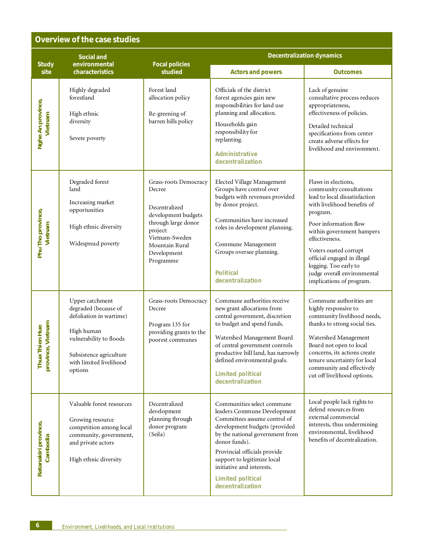## **Overview of the case studies**

|                                       | <b>Social and</b>                                                                                                                                                            |                                                                                                                                                                            | <b>Decentralization dynamics</b>                                                                                                                                                                                                                                                                                           |                                                                                                                                                                                                                                                                                                                                                |  |
|---------------------------------------|------------------------------------------------------------------------------------------------------------------------------------------------------------------------------|----------------------------------------------------------------------------------------------------------------------------------------------------------------------------|----------------------------------------------------------------------------------------------------------------------------------------------------------------------------------------------------------------------------------------------------------------------------------------------------------------------------|------------------------------------------------------------------------------------------------------------------------------------------------------------------------------------------------------------------------------------------------------------------------------------------------------------------------------------------------|--|
| <b>Study</b><br>site                  | environmental<br>characteristics                                                                                                                                             | <b>Focal policies</b><br>studied                                                                                                                                           | <b>Actors and powers</b>                                                                                                                                                                                                                                                                                                   | <b>Outcomes</b>                                                                                                                                                                                                                                                                                                                                |  |
| Nghe An province,<br>Vietnam          | Highly degraded<br>forestland<br>High ethnic<br>diversity<br>Severe poverty                                                                                                  | Forest land<br>allocation policy<br>Re-greening of<br>barren hills policy                                                                                                  | Officials of the district<br>forest agencies gain new<br>responsibilities for land use<br>planning and allocation.<br>Households gain<br>responsibility for<br>replanting.<br>Administrative<br>decentralization                                                                                                           | Lack of genuine<br>consultative process reduces<br>appropriateness,<br>effectiveness of policies.<br>Detailed technical<br>specifications from center<br>create adverse effects for<br>livelihood and environment.                                                                                                                             |  |
| Phu Tho province,<br>Vietnam          | Degraded forest<br>land<br>Increasing market<br>opportunities<br>High ethnic diversity<br>Widespread poverty                                                                 | Grass-roots Democracy<br>Decree<br>Decentralized<br>development budgets<br>through large donor<br>project:<br>Vietnam-Sweden<br>Mountain Rural<br>Development<br>Programme | Elected Village Management<br>Groups have control over<br>budgets with revenues provided<br>by donor project.<br>Communities have increased<br>roles in development planning.<br>Commune Management<br>Groups oversee planning.<br><b>Political</b><br>decentralization                                                    | Flaws in elections,<br>community consultations<br>lead to local dissatisfaction<br>with livelihood benefits of<br>program.<br>Poor information flow<br>within government hampers<br>effectiveness.<br>Voters ousted corrupt<br>official engaged in illegal<br>logging. Too early to<br>judge overall environmental<br>implications of program. |  |
| province, Vietnam<br>a Thien Hue<br>립 | Upper catchment<br>degraded (because of<br>defoliation in wartime)<br>High human<br>vulnerability to floods<br>Subsistence agriculture<br>with limited livelihood<br>options | Grass-roots Democracy<br>Decree<br>Program 135 for<br>providing grants to the<br>poorest communes                                                                          | Commune authorities receive<br>new grant allocations from<br>central government, discretion<br>to budget and spend funds.<br>Watershed Management Board<br>of central government controls<br>productive hill land, has narrowly<br>defined environmental goals.<br><b>Limited political</b><br>decentralization            | Commune authorities are<br>highly responsive to<br>community livelihood needs,<br>thanks to strong social ties.<br>Watershed Management<br>Board not open to local<br>concerns, its actions create<br>tenure uncertainty for local<br>community and effectively<br>cut off livelihood options.                                                 |  |
| Ratanakiri province,<br>Cambodia      | Valuable forest resources<br>Growing resource<br>competition among local<br>community, government,<br>and private actors<br>High ethnic diversity                            | Decentralized<br>development<br>planning through<br>donor program<br>(Seila)                                                                                               | Communities select commune<br>leaders Commune Development<br>Committees assume control of<br>development budgets (provided<br>by the national government from<br>donor funds).<br>Provincial officials provide<br>support to legitimize local<br>initiative and interests.<br><b>Limited political</b><br>decentralization | Local people lack rights to<br>defend resources from<br>external commercial<br>interests, thus undermining<br>environmental, livelihood<br>benefits of decentralization.                                                                                                                                                                       |  |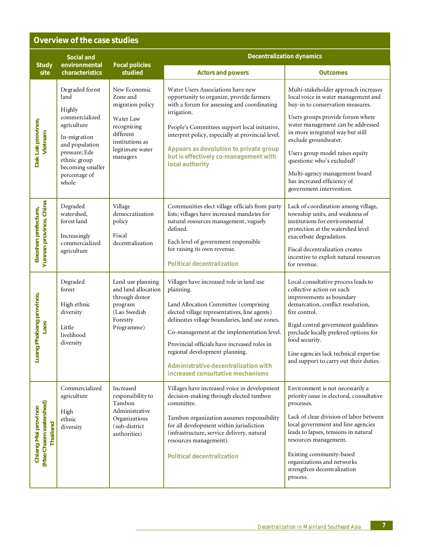## **Overview of the case studies**

| <b>Study</b>                                             | <b>Social and</b><br>environmental                                                                                                                                                  | <b>Focal policies</b>                                                                                                                    | <b>Decentralization dynamics</b>                                                                                                                                                                                                                                                                                                                                                                               |                                                                                                                                                                                                                                                                                                                                                                                                                   |  |
|----------------------------------------------------------|-------------------------------------------------------------------------------------------------------------------------------------------------------------------------------------|------------------------------------------------------------------------------------------------------------------------------------------|----------------------------------------------------------------------------------------------------------------------------------------------------------------------------------------------------------------------------------------------------------------------------------------------------------------------------------------------------------------------------------------------------------------|-------------------------------------------------------------------------------------------------------------------------------------------------------------------------------------------------------------------------------------------------------------------------------------------------------------------------------------------------------------------------------------------------------------------|--|
| site                                                     | characteristics                                                                                                                                                                     | studied                                                                                                                                  | <b>Actors and powers</b>                                                                                                                                                                                                                                                                                                                                                                                       | <b>Outcomes</b>                                                                                                                                                                                                                                                                                                                                                                                                   |  |
| Dak Lak province,<br>Vietnam                             | Degraded forest<br>land<br>Highly<br>commercialized<br>agriculture<br>In-migration<br>and population<br>pressure; Ede<br>ethnic group<br>becoming smaller<br>percentage of<br>whole | New Economic<br>Zone and<br>migration policy<br>Water Law<br>recognizing<br>different<br>institutions as<br>legitimate water<br>managers | Water Users Associations have new<br>opportunity to organize, provide farmers<br>with a forum for assessing and coordinating<br>irrigation.<br>People's Committees support local initiative,<br>interpret policy, especially at provincial level.<br>Appears as devolution to private group<br>but is effectively co-management with<br>local authority                                                        | Multi-stakeholder approach increases<br>local voice in water management and<br>buy-in to conservation measures.<br>Users groups provide forum where<br>water management can be addressed<br>in more integrated way but still<br>exclude groundwater.<br>Users group model raises equity<br>questions: who's excluded?<br>Multi-agency management board<br>has increased efficiency of<br>government intervention. |  |
| Yunnan province, China<br>Baoshan prefecture,            | Degraded<br>watershed,<br>forest land<br>Increasingly<br>commercialized<br>agriculture                                                                                              | Village<br>democratization<br>policy<br>Fiscal<br>decentralization                                                                       | Communities elect village officials from party<br>lists; villages have increased mandates for<br>natural resources management, vaguely<br>defined.<br>Each level of government responsible<br>for raising its own revenue.<br><b>Political decentralization</b>                                                                                                                                                | Lack of coordination among village,<br>township units, and weakness of<br>institutions for environmental<br>protection at the watershed level<br>exacerbate degradation.<br>Fiscal decentralization creates<br>incentive to exploit natural resources<br>for revenue.                                                                                                                                             |  |
| Luang Phabang province,<br><b>Soer</b>                   | Degraded<br>forest<br>High ethnic<br>diversity<br>Little<br>livelihood<br>diversity                                                                                                 | Land use planning<br>and land allocation<br>through donor<br>program<br>(Lao Swedish<br>Forestry<br>Programme)                           | Villages have increased role in land use<br>planning.<br>Land Allocation Committee (comprising<br>elected village representatives, line agents)<br>delineates village boundaries, land use zones.<br>Co-management at the implementation level.<br>Provincial officials have increased roles in<br>regional development planning.<br>Administrative decentralization with<br>increased consultative mechanisms | Local consultative process leads to<br>collective action on such<br>improvements as boundary<br>demarcation, conflict resolution,<br>fire control.<br>Rigid central government guidelines<br>preclude locally prefered options for<br>food security.<br>Line agencies lack technical expertise<br>and support to carry out their duties.                                                                          |  |
| (Mae Chaem watershed)<br>Chiang Mai province<br>Thailand | Commercialized<br>agriculture<br>High<br>ethnic<br>diversity                                                                                                                        | Increased<br>responsibility to<br>Tambon<br>Administrative<br>Organizations<br>(sub-district<br>authorities)                             | Villages have increased voice in development<br>decision-making through elected tambon<br>committee.<br>Tambon organization assumes responsibility<br>for all development within jurisdiction<br>(infrastructure, service delivery, natural<br>resources management).<br><b>Political decentralization</b>                                                                                                     | Environment is not necessarily a<br>priority issue in electoral, consultative<br>processes.<br>Lack of clear division of labor between<br>local government and line agencies<br>leads to lapses, tensions in natural<br>resources management.<br>Existing community-based<br>organizations and networks<br>strengthen decentralization<br>process.                                                                |  |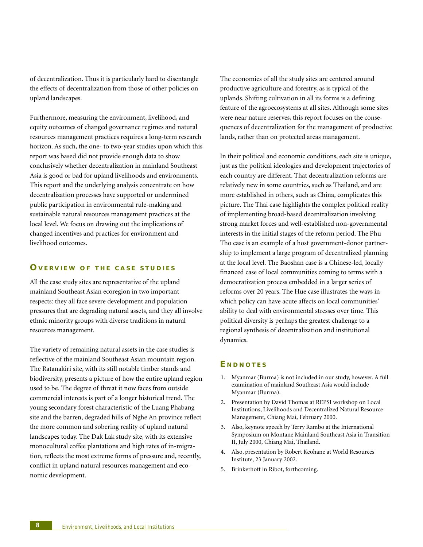of decentralization. Thus it is particularly hard to disentangle the effects of decentralization from those of other policies on upland landscapes.

Furthermore, measuring the environment, livelihood, and equity outcomes of changed governance regimes and natural resources management practices requires a long-term research horizon. As such, the one- to two-year studies upon which this report was based did not provide enough data to show conclusively whether decentralization in mainland Southeast Asia is good or bad for upland livelihoods and environments. This report and the underlying analysis concentrate on how decentralization processes have supported or undermined public participation in environmental rule-making and sustainable natural resources management practices at the local level. We focus on drawing out the implications of changed incentives and practices for environment and livelihood outcomes.

## **OVERVIEW O F THE CASE STUDIES**

All the case study sites are representative of the upland mainland Southeast Asian ecoregion in two important respects: they all face severe development and population pressures that are degrading natural assets, and they all involve ethnic minority groups with diverse traditions in natural resources management.

The variety of remaining natural assets in the case studies is reflective of the mainland Southeast Asian mountain region. The Ratanakiri site, with its still notable timber stands and biodiversity, presents a picture of how the entire upland region used to be. The degree of threat it now faces from outside commercial interests is part of a longer historical trend. The young secondary forest characteristic of the Luang Phabang site and the barren, degraded hills of Nghe An province reflect the more common and sobering reality of upland natural landscapes today. The Dak Lak study site, with its extensive monocultural coffee plantations and high rates of in-migration, reflects the most extreme forms of pressure and, recently, conflict in upland natural resources management and economic development.

The economies of all the study sites are centered around productive agriculture and forestry, as is typical of the uplands. Shifting cultivation in all its forms is a defining feature of the agroecosystems at all sites. Although some sites were near nature reserves, this report focuses on the consequences of decentralization for the management of productive lands, rather than on protected areas management.

In their political and economic conditions, each site is unique, just as the political ideologies and development trajectories of each country are different. That decentralization reforms are relatively new in some countries, such as Thailand, and are more established in others, such as China, complicates this picture. The Thai case highlights the complex political reality of implementing broad-based decentralization involving strong market forces and well-established non-governmental interests in the initial stages of the reform period. The Phu Tho case is an example of a host government-donor partnership to implement a large program of decentralized planning at the local level. The Baoshan case is a Chinese-led, locally financed case of local communities coming to terms with a democratization process embedded in a larger series of reforms over 20 years. The Hue case illustrates the ways in which policy can have acute affects on local communities' ability to deal with environmental stresses over time. This political diversity is perhaps the greatest challenge to a regional synthesis of decentralization and institutional dynamics.

## **E NDNOTES**

- 1. Myanmar (Burma) is not included in our study, however. A full examination of mainland Southeast Asia would include Myanmar (Burma).
- 2. Presentation by David Thomas at REPSI workshop on Local Institutions, Livelihoods and Decentralized Natural Resource Management, Chiang Mai, February 2000.
- 3. Also, keynote speech by Terry Rambo at the International Symposium on Montane Mainland Southeast Asia in Transition II, July 2000, Chiang Mai, Thailand.
- 4. Also, presentation by Robert Keohane at World Resources Institute, 23 January 2002.
- 5. Brinkerhoff in Ribot, forthcoming.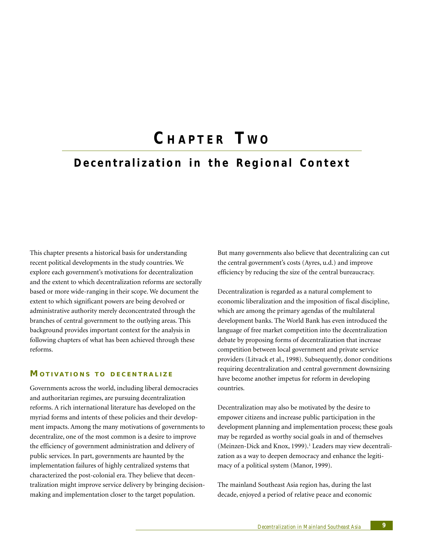## **C HAPTER T W O**

## **Decentralization in the Regional Context**

This chapter presents a historical basis for understanding recent political developments in the study countries. We explore each government's motivations for decentralization and the extent to which decentralization reforms are sectorally based or more wide-ranging in their scope. We document the extent to which significant powers are being devolved or administrative authority merely deconcentrated through the branches of central government to the outlying areas. This background provides important context for the analysis in following chapters of what has been achieved through these reforms.

## **MOTIVATIONS TO DECENTRALIZE**

Governments across the world, including liberal democracies and authoritarian regimes, are pursuing decentralization reforms. A rich international literature has developed on the myriad forms and intents of these policies and their development impacts. Among the many motivations of governments to decentralize, one of the most common is a desire to improve the efficiency of government administration and delivery of public services. In part, governments are haunted by the implementation failures of highly centralized systems that characterized the post-colonial era. They believe that decentralization might improve service delivery by bringing decisionmaking and implementation closer to the target population.

But many governments also believe that decentralizing can cut the central government's costs (Ayres, u.d.) and improve efficiency by reducing the size of the central bureaucracy.

Decentralization is regarded as a natural complement to economic liberalization and the imposition of fiscal discipline, which are among the primary agendas of the multilateral development banks. The World Bank has even introduced the language of free market competition into the decentralization debate by proposing forms of decentralization that increase competition between local government and private service providers (Litvack et al., 1998). Subsequently, donor conditions requiring decentralization and central government downsizing have become another impetus for reform in developing countries.

Decentralization may also be motivated by the desire to empower citizens and increase public participation in the development planning and implementation process; these goals may be regarded as worthy social goals in and of themselves (Meinzen-Dick and Knox, 1999).<sup>1</sup> Leaders may view decentralization as a way to deepen democracy and enhance the legitimacy of a political system (Manor, 1999).

The mainland Southeast Asia region has, during the last decade, enjoyed a period of relative peace and economic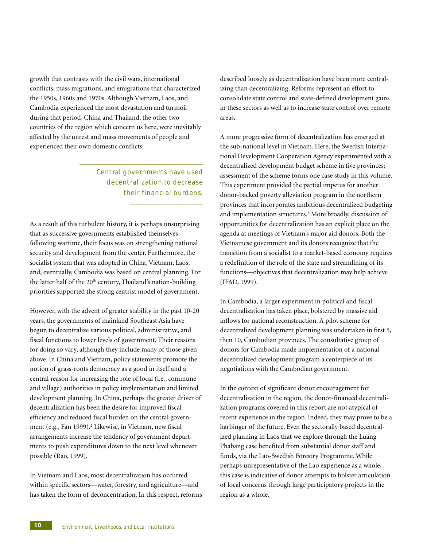growth that contrasts with the civil wars, international conflicts, mass migrations, and emigrations that characterized the 1950s, 1960s and 1970s. Although Vietnam, Laos, and Cambodia experienced the most devastation and turmoil during that period, China and Thailand, the other two countries of the region which concern us here, were inevitably affected by the unrest and mass movements of people and experienced their own domestic conflicts.

## Central governments have used decent ralization to decrease their financial burdens.

As a result of this turbulent history, it is perhaps unsurprising that as successive governments established themselves following wartime, their focus was on strengthening national security and development from the center. Furthermore, the socialist system that was adopted in China, Vietnam, Laos, and, eventually, Cambodia was based on central planning. For the latter half of the 20<sup>th</sup> century, Thailand's nation-building priorities supported the strong centrist model of government.

However, with the advent of greater stability in the past 10-20 years, the governments of mainland Southeast Asia have begun to decentralize various political, administrative, and fiscal functions to lower levels of government. Their reasons for doing so vary, although they include many of those given above. In China and Vietnam, policy statements promote the notion of grass-roots democracy as a good in itself and a central reason for increasing the role of local (i.e., commune and village) authorities in policy implementation and limited development planning. In China, perhaps the greater driver of decentralization has been the desire for improved fiscal efficiency and reduced fiscal burden on the central government (e.g., Fan 1999).<sup>2</sup> Likewise, in Vietnam, new fiscal arrangements increase the tendency of government departments to push expenditures down to the next level whenever possible (Rao, 1999).

In Vietnam and Laos, most decentralization has occurred within specific sectors—water, forestry, and agriculture—and has taken the form of deconcentration. In this respect, reforms described loosely as decentralization have been more centralizing than decentralizing. Reforms represent an effort to consolidate state control and state-defined development gains in these sectors as well as to increase state control over remote areas.

A more progressive form of decentralization has emerged at the sub-national level in Vietnam. Here, the Swedish International Development Cooperation Agency experimented with a decentralized development budget scheme in five provinces; assessment of the scheme forms one case study in this volume. This experiment provided the partial impetus for another donor-backed poverty alleviation program in the northern provinces that incorporates ambitious decentralized budgeting and implementation structures.<sup>3</sup> More broadly, discussion of opportunities for decentralization has an explicit place on the agenda at meetings of Vietnam's major aid donors. Both the Vietnamese government and its donors recognize that the transition from a socialist to a market-based economy requires a redefinition of the role of the state and streamlining of its functions—objectives that decentralization may help achieve (IFAD, 1999).

In Cambodia, a larger experiment in political and fiscal decentralization has taken place, bolstered by massive aid inflows for national reconstruction. A pilot scheme for decentralized development planning was undertaken in first 5, then 10, Cambodian provinces. The consultative group of donors for Cambodia made implementation of a national decentralized development program a centerpiece of its negotiations with the Cambodian government.

In the context of significant donor encouragement for decentralization in the region, the donor-financed decentralization programs covered in this report are not atypical of recent experience in the region. Indeed, they may prove to be a harbinger of the future. Even the sectorally based decentralized planning in Laos that we explore through the Luang Phabang case benefited from substantial donor staff and funds, via the Lao-Swedish Forestry Programme. While perhaps unrepresentative of the Lao experience as a whole, this case is indicative of donor attempts to bolster articulation of local concerns through large participatory projects in the region as a whole.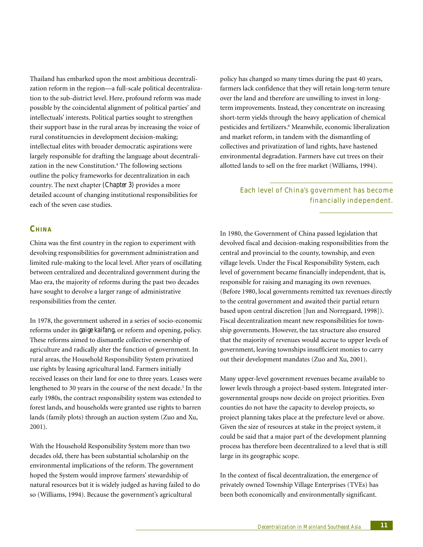Thailand has embarked upon the most ambitious decentralization reform in the region—a full-scale political decentralization to the sub-district level. Here, profound reform was made possible by the coincidental alignment of political parties' and intellectuals' interests. Political parties sought to strengthen their support base in the rural areas by increasing the voice of rural constituencies in development decision-making; intellectual elites with broader democratic aspirations were largely responsible for drafting the language about decentralization in the new Constitution.<sup>4</sup> The following sections outline the policy frameworks for decentralization in each country. The next chapter *(Chapter 3)* provides a more detailed account of changing institutional responsibilities for each of the seven case studies.

**CHINA**

China was the first country in the region to experiment with devolving responsibilities for government administration and limited rule-making to the local level. After years of oscillating between centralized and decentralized government during the Mao era, the majority of reforms during the past two decades have sought to devolve a larger range of administrative responsibilities from the center.

In 1978, the government ushered in a series of socio-economic reforms under its *gaige kaifang*, or reform and opening, policy. These reforms aimed to dismantle collective ownership of agriculture and radically alter the function of government. In rural areas, the Household Responsibility System privatized use rights by leasing agricultural land. Farmers initially received leases on their land for one to three years. Leases were lengthened to 30 years in the course of the next decade.<sup>5</sup> In the early 1980s, the contract responsibility system was extended to forest lands, and households were granted use rights to barren lands (family plots) through an auction system (Zuo and Xu, 2001).

With the Household Responsibility System more than two decades old, there has been substantial scholarship on the environmental implications of the reform. The government hoped the System would improve farmers' stewardship of natural resources but it is widely judged as having failed to do so (Williams, 1994). Because the government's agricultural

policy has changed so many times during the past 40 years, farmers lack confidence that they will retain long-term tenure over the land and therefore are unwilling to invest in longterm improvements. Instead, they concentrate on increasing short-term yields through the heavy application of chemical pesticides and fertilizers.<sup>6</sup> Meanwhile, economic liberalization and market reform, in tandem with the dismantling of collectives and privatization of land rights, have hastened environmental degradation. Farmers have cut trees on their allotted lands to sell on the free market (Williams, 1994).

## Each level of China's gove rnment has become financially independent.

In 1980, the Government of China passed legislation that devolved fiscal and decision-making responsibilities from the central and provincial to the county, township, and even village levels. Under the Fiscal Responsibility System, each level of government became financially independent, that is, responsible for raising and managing its own revenues. (Before 1980, local governments remitted tax revenues directly to the central government and awaited their partial return based upon central discretion [Jun and Norregaard, 1998]). Fiscal decentralization meant new responsibilities for township governments. However, the tax structure also ensured that the majority of revenues would accrue to upper levels of government, leaving townships insufficient monies to carry out their development mandates (Zuo and Xu, 2001).

Many upper-level government revenues became available to lower levels through a project-based system. Integrated intergovernmental groups now decide on project priorities. Even counties do not have the capacity to develop projects, so project planning takes place at the prefecture level or above. Given the size of resources at stake in the project system, it could be said that a major part of the development planning process has therefore been decentralized to a level that is still large in its geographic scope.

In the context of fiscal decentralization, the emergence of privately owned Township Village Enterprises (TVEs) has been both economically and environmentally significant.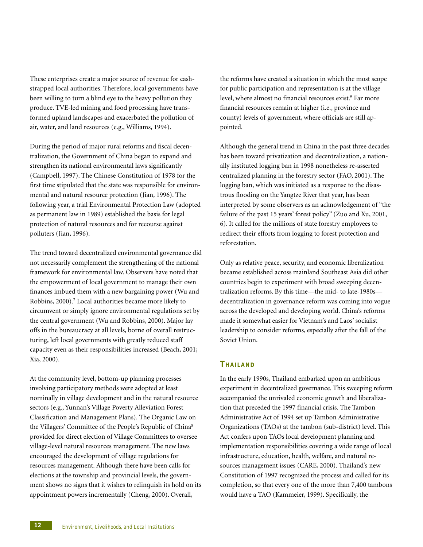These enterprises create a major source of revenue for cashstrapped local authorities. Therefore, local governments have been willing to turn a blind eye to the heavy pollution they produce. TVE-led mining and food processing have transformed upland landscapes and exacerbated the pollution of air, water, and land resources (e.g., Williams, 1994).

During the period of major rural reforms and fiscal decentralization, the Government of China began to expand and strengthen its national environmental laws significantly (Campbell, 1997). The Chinese Constitution of 1978 for the first time stipulated that the state was responsible for environmental and natural resource protection (Jian, 1996). The following year, a trial Environmental Protection Law (adopted as permanent law in 1989) established the basis for legal protection of natural resources and for recourse against polluters (Jian, 1996).

The trend toward decentralized environmental governance did not necessarily complement the strengthening of the national framework for environmental law. Observers have noted that the empowerment of local government to manage their own finances imbued them with a new bargaining power (Wu and Robbins, 2000).<sup>7</sup> Local authorities became more likely to circumvent or simply ignore environmental regulations set by the central government (Wu and Robbins, 2000). Major lay offs in the bureaucracy at all levels, borne of overall restructuring, left local governments with greatly reduced staff capacity even as their responsibilities increased (Beach, 2001; Xia, 2000).

At the community level, bottom-up planning processes involving participatory methods were adopted at least nominally in village development and in the natural resource sectors (e.g., Yunnan's Village Poverty Alleviation Forest Classification and Management Plans). The Organic Law on the Villagers' Committee of the People's Republic of China8 provided for direct election of Village Committees to oversee village-level natural resources management. The new laws encouraged the development of village regulations for resources management. Although there have been calls for elections at the township and provincial levels, the government shows no signs that it wishes to relinquish its hold on its appointment powers incrementally (Cheng, 2000). Overall,

the reforms have created a situation in which the most scope for public participation and representation is at the village level, where almost no financial resources exist.<sup>9</sup> Far more financial resources remain at higher (i.e., province and county) levels of government, where officials are still appointed.

Although the general trend in China in the past three decades has been toward privatization and decentralization, a nationally instituted logging ban in 1998 nonetheless re-asserted centralized planning in the forestry sector (FAO, 2001). The logging ban, which was initiated as a response to the disastrous flooding on the Yangtze River that year, has been interpreted by some observers as an acknowledgement of "the failure of the past 15 years' forest policy" (Zuo and Xu, 2001, 6). It called for the millions of state forestry employees to redirect their efforts from logging to forest protection and reforestation.

Only as relative peace, security, and economic liberalization became established across mainland Southeast Asia did other countries begin to experiment with broad sweeping decentralization reforms. By this time—the mid- to late-1980s decentralization in governance reform was coming into vogue across the developed and developing world. China's reforms made it somewhat easier for Vietnam's and Laos' socialist leadership to consider reforms, especially after the fall of the Soviet Union.

## **THAILAND**

In the early 1990s, Thailand embarked upon an ambitious experiment in decentralized governance. This sweeping reform accompanied the unrivaled economic growth and liberalization that preceded the 1997 financial crisis. The Tambon Administrative Act of 1994 set up Tambon Administrative Organizations (TAOs) at the tambon (sub-district) level. This Act confers upon TAOs local development planning and implementation responsibilities covering a wide range of local infrastructure, education, health, welfare, and natural resources management issues (CARE, 2000). Thailand's new Constitution of 1997 recognized the process and called for its completion, so that every one of the more than 7,400 tambons would have a TAO (Kammeier, 1999). Specifically, the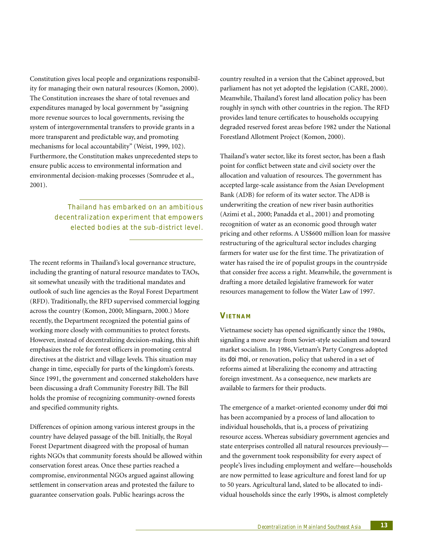Constitution gives local people and organizations responsibility for managing their own natural resources (Komon, 2000). The Constitution increases the share of total revenues and expenditures managed by local government by "assigning more revenue sources to local governments, revising the system of intergovernmental transfers to provide grants in a more transparent and predictable way, and promoting mechanisms for local accountability" (Weist, 1999, 102). Furthermore, the Constitution makes unprecedented steps to ensure public access to environmental information and environmental decision-making processes (Somrudee et al., 2001).

> Thailand has embarked on an ambitious decent ralization experiment that empowers elected bodies at the sub-district level.

The recent reforms in Thailand's local governance structure, including the granting of natural resource mandates to TAOs, sit somewhat uneasily with the traditional mandates and outlook of such line agencies as the Royal Forest Department (RFD). Traditionally, the RFD supervised commercial logging across the country (Komon, 2000; Mingsarn, 2000.) More recently, the Department recognized the potential gains of working more closely with communities to protect forests. However, instead of decentralizing decision-making, this shift emphasizes the role for forest officers in promoting central directives at the district and village levels. This situation may change in time, especially for parts of the kingdom's forests. Since 1991, the government and concerned stakeholders have been discussing a draft Community Forestry Bill. The Bill holds the promise of recognizing community-owned forests and specified community rights.

Differences of opinion among various interest groups in the country have delayed passage of the bill. Initially, the Royal Forest Department disagreed with the proposal of human rights NGOs that community forests should be allowed within conservation forest areas. Once these parties reached a compromise, environmental NGOs argued against allowing settlement in conservation areas and protested the failure to guarantee conservation goals. Public hearings across the

country resulted in a version that the Cabinet approved, but parliament has not yet adopted the legislation (CARE, 2000). Meanwhile, Thailand's forest land allocation policy has been roughly in synch with other countries in the region. The RFD provides land tenure certificates to households occupying degraded reserved forest areas before 1982 under the National Forestland Allotment Project (Komon, 2000).

Thailand's water sector, like its forest sector, has been a flash point for conflict between state and civil society over the allocation and valuation of resources. The government has accepted large-scale assistance from the Asian Development Bank (ADB) for reform of its water sector. The ADB is underwriting the creation of new river basin authorities (Azimi et al., 2000; Panadda et al., 2001) and promoting recognition of water as an economic good through water pricing and other reforms. A US\$600 million loan for massive restructuring of the agricultural sector includes charging farmers for water use for the first time. The privatization of water has raised the ire of populist groups in the countryside that consider free access a right. Meanwhile, the government is drafting a more detailed legislative framework for water resources management to follow the Water Law of 1997*.*

## **VIETNAM**

Vietnamese society has opened significantly since the 1980s, signaling a move away from Soviet-style socialism and toward market socialism. In 1986, Vietnam's Party Congress adopted its *doi moi*, or renovation, policy that ushered in a set of reforms aimed at liberalizing the economy and attracting foreign investment. As a consequence, new markets are available to farmers for their products.

The emergence of a market-oriented economy under *doi moi* has been accompanied by a process of land allocation to individual households, that is, a process of privatizing resource access. Whereas subsidiary government agencies and state enterprises controlled all natural resources previously and the government took responsibility for every aspect of people's lives including employment and welfare—households are now permitted to lease agriculture and forest land for up to 50 years. Agricultural land, slated to be allocated to individual households since the early 1990s, is almost completely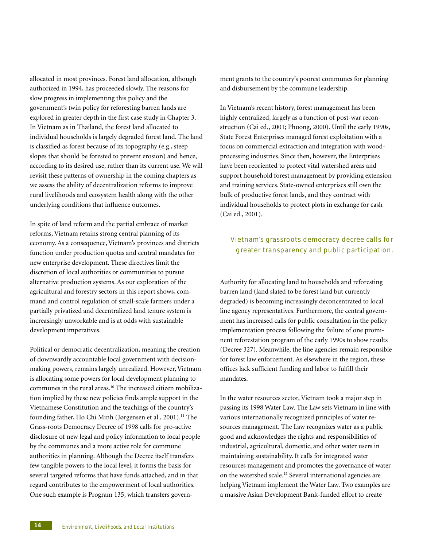allocated in most provinces. Forest land allocation, although authorized in 1994, has proceeded slowly. The reasons for slow progress in implementing this policy and the government's twin policy for reforesting barren lands are explored in greater depth in the first case study in Chapter 3. In Vietnam as in Thailand, the forest land allocated to individual households is largely degraded forest land. The land is classified as forest because of its topography (e.g., steep slopes that should be forested to prevent erosion) and hence, according to its desired use, rather than its current use. We will revisit these patterns of ownership in the coming chapters as we assess the ability of decentralization reforms to improve rural livelihoods and ecosystem health along with the other underlying conditions that influence outcomes.

In spite of land reform and the partial embrace of market reforms, Vietnam retains strong central planning of its economy. As a consequence, Vietnam's provinces and districts function under production quotas and central mandates for new enterprise development. These directives limit the discretion of local authorities or communities to pursue alternative production systems. As our exploration of the agricultural and forestry sectors in this report shows, command and control regulation of small-scale farmers under a partially privatized and decentralized land tenure system is increasingly unworkable and is at odds with sustainable development imperatives.

Political or democratic decentralization, meaning the creation of downwardly accountable local government with decisionmaking powers, remains largely unrealized. However, Vietnam is allocating some powers for local development planning to communes in the rural areas.10 The increased citizen mobilization implied by these new policies finds ample support in the Vietnamese Constitution and the teachings of the country's founding father, Ho Chi Minh (Jørgensen et al., 2001).<sup>11</sup> The Grass-roots Democracy Decree of 1998 calls for pro-active disclosure of new legal and policy information to local people by the communes and a more active role for commune authorities in planning. Although the Decree itself transfers few tangible powers to the local level, it forms the basis for several targeted reforms that have funds attached, and in that regard contributes to the empowerment of local authorities. One such example is Program 135, which transfers government grants to the country's poorest communes for planning and disbursement by the commune leadership.

In Vietnam's recent history, forest management has been highly centralized, largely as a function of post-war reconstruction (Cai ed., 2001; Phuong, 2000). Until the early 1990s, State Forest Enterprises managed forest exploitation with a focus on commercial extraction and integration with woodprocessing industries. Since then, however, the Enterprises have been reoriented to protect vital watershed areas and support household forest management by providing extension and training services. State-owned enterprises still own the bulk of productive forest lands, and they contract with individual households to protect plots in exchange for cash (Cai ed., 2001).

## Vietnam's grassroots democracy decree calls for greater transparency and public participation.

Authority for allocating land to households and reforesting barren land (land slated to be forest land but currently degraded) is becoming increasingly deconcentrated to local line agency representatives. Furthermore, the central government has increased calls for public consultation in the policy implementation process following the failure of one prominent reforestation program of the early 1990s to show results (Decree 327). Meanwhile, the line agencies remain responsible for forest law enforcement. As elsewhere in the region, these offices lack sufficient funding and labor to fulfill their mandates.

In the water resources sector, Vietnam took a major step in passing its 1998 Water Law. The Law sets Vietnam in line with various internationally recognized principles of water resources management. The Law recognizes water as a public good and acknowledges the rights and responsibilities of industrial, agricultural, domestic, and other water users in maintaining sustainability. It calls for integrated water resources management and promotes the governance of water on the watershed scale.12 Several international agencies are helping Vietnam implement the Water Law. Two examples are a massive Asian Development Bank-funded effort to create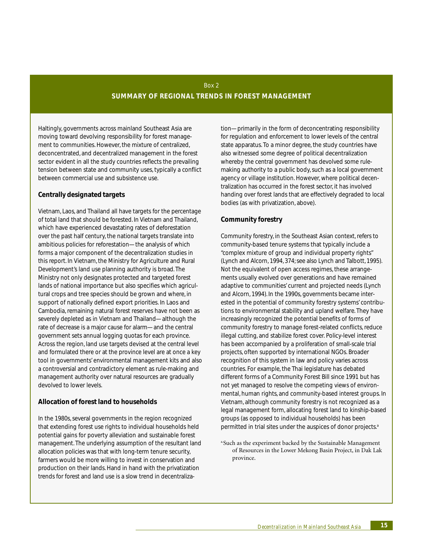## Box 2 **SUMMARY OF REGIONAL TRENDS IN FOREST MANAGEMENT**

Haltingly, governments across mainland Southeast Asia are moving toward devolving responsibility for forest management to communities. However, the mixture of centralized, deconcentrated, and decentralized management in the forest sector evident in all the study countries reflects the prevailing tension between state and community uses, typically a conflict between commercial use and subsistence use.

## **Centrally designated targets**

Vietnam, Laos, and Thailand all have targets for the percentage of total land that should be forested. In Vietnam and Thailand, which have experienced devastating rates of deforestation over the past half century, the national targets translate into ambitious policies for reforestation—the analysis of which forms a major component of the decentralization studies in this report. In Vietnam, the Ministry for Agriculture and Rural Development's land use planning authority is broad. The Ministry not only designates protected and targeted forest lands of national importance but also specifies which agricultural crops and tree species should be grown and where, in support of nationally defined export priorities. In Laos and Cambodia, remaining natural forest reserves have not been as severely depleted as in Vietnam and Thailand—although the rate of decrease is a major cause for alarm—and the central government sets annual logging quotas for each province. Across the region, land use targets devised at the central level and formulated there or at the province level are at once a key tool in governments' environmental management kits and also a controversial and contradictory element as rule-making and management authority over natural resources are gradually devolved to lower levels.

## **Allocation of forest land to households**

In the 1980s, several governments in the region recognized that extending forest use rights to individual households held potential gains for poverty alleviation and sustainable forest management. The underlying assumption of the resultant land allocation policies was that with long-term tenure security, farmers would be more willing to invest in conservation and production on their lands. Hand in hand with the privatization trends for forest and land use is a slow trend in decentraliza-

tion—primarily in the form of deconcentrating responsibility for regulation and enforcement to lower levels of the central state apparatus. To a minor degree, the study countries have also witnessed some degree of political decentralization whereby the central government has devolved some rulemaking authority to a public body, such as a local government agency or village institution. However, where political decentralization has occurred in the forest sector, it has involved handing over forest lands that are effectively degraded to local bodies (as with privatization, above).

## **Community forestry**

Community forestry, in the Southeast Asian context, refers to community-based tenure systems that typically include a "complex mixture of group and individual property rights" (Lynch and Alcorn, 1994, 374; see also Lynch and Talbott, 1995). Not the equivalent of open access regimes, these arrangements usually evolved over generations and have remained adaptive to communities' current and projected needs (Lynch and Alcorn, 1994). In the 1990s, governments became interested in the potential of community forestry systems' contributions to environmental stability and upland welfare. They have increasingly recognized the potential benefits of forms of community forestry to manage forest-related conflicts, reduce illegal cutting, and stabilize forest cover. Policy-level interest has been accompanied by a proliferation of small-scale trial projects, often supported by international NGOs. Broader recognition of this system in law and policy varies across countries. For example, the Thai legislature has debated different forms of a Community Forest Bill since 1991 but has not yet managed to resolve the competing views of environmental, human rights, and community-based interest groups. In Vietnam, although community forestry is not recognized as a legal management form, allocating forest land to kinship-based groups (as opposed to individual households) has been permitted in trial sites under the auspices of donor projects.<sup>a</sup>

a.Such as the experiment backed by the Sustainable Management of Resources in the Lower Mekong Basin Project, in Dak Lak province.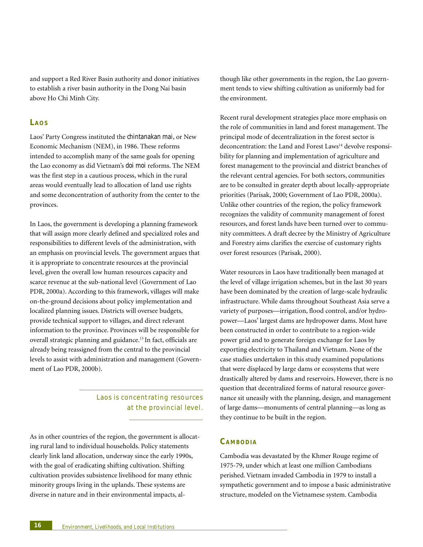and support a Red River Basin authority and donor initiatives to establish a river basin authority in the Dong Nai basin above Ho Chi Minh City.

#### **LAOS**

Laos' Party Congress instituted the *chintanakan mai*, or New Economic Mechanism (NEM), in 1986. These reforms intended to accomplish many of the same goals for opening the Lao economy as did Vietnam's *doi moi* reforms. The NEM was the first step in a cautious process, which in the rural areas would eventually lead to allocation of land use rights and some deconcentration of authority from the center to the provinces.

In Laos, the government is developing a planning framework that will assign more clearly defined and specialized roles and responsibilities to different levels of the administration, with an emphasis on provincial levels. The government argues that it is appropriate to concentrate resources at the provincial level, given the overall low human resources capacity and scarce revenue at the sub-national level (Government of Lao PDR, 2000a). According to this framework, villages will make on-the-ground decisions about policy implementation and localized planning issues. Districts will oversee budgets, provide technical support to villages, and direct relevant information to the province. Provinces will be responsible for overall strategic planning and guidance.13 In fact, officials are already being reassigned from the central to the provincial levels to assist with administration and management (Government of Lao PDR, 2000b).

> Laos is concent rating resources at the provincial level.

As in other countries of the region, the government is allocating rural land to individual households. Policy statements clearly link land allocation, underway since the early 1990s, with the goal of eradicating shifting cultivation. Shifting cultivation provides subsistence livelihood for many ethnic minority groups living in the uplands. These systems are diverse in nature and in their environmental impacts, although like other governments in the region, the Lao government tends to view shifting cultivation as uniformly bad for the environment.

Recent rural development strategies place more emphasis on the role of communities in land and forest management. The principal mode of decentralization in the forest sector is deconcentration: the Land and Forest Laws<sup>14</sup> devolve responsibility for planning and implementation of agriculture and forest management to the provincial and district branches of the relevant central agencies. For both sectors, communities are to be consulted in greater depth about locally-appropriate priorities (Parisak, 2000; Government of Lao PDR, 2000a). Unlike other countries of the region, the policy framework recognizes the validity of community management of forest resources, and forest lands have been turned over to community committees. A draft decree by the Ministry of Agriculture and Forestry aims clarifies the exercise of customary rights over forest resources (Parisak, 2000).

Water resources in Laos have traditionally been managed at the level of village irrigation schemes, but in the last 30 years have been dominated by the creation of large-scale hydraulic infrastructure. While dams throughout Southeast Asia serve a variety of purposes—irrigation, flood control, and/or hydropower—Laos' largest dams are hydropower dams. Most have been constructed in order to contribute to a region-wide power grid and to generate foreign exchange for Laos by exporting electricity to Thailand and Vietnam. None of the case studies undertaken in this study examined populations that were displaced by large dams or ecosystems that were drastically altered by dams and reservoirs. However, there is no question that decentralized forms of natural resource governance sit uneasily with the planning, design, and management of large dams—monuments of central planning—as long as they continue to be built in the region.

## **CAMBODIA**

Cambodia was devastated by the Khmer Rouge regime of 1975-79, under which at least one million Cambodians perished. Vietnam invaded Cambodia in 1979 to install a sympathetic government and to impose a basic administrative structure, modeled on the Vietnamese system. Cambodia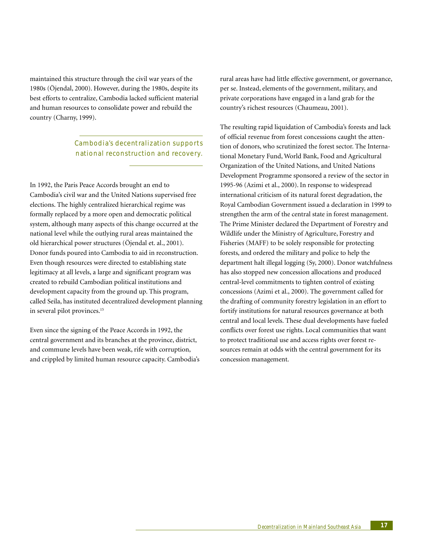maintained this structure through the civil war years of the 1980s (Öjendal, 2000). However, during the 1980s, despite its best efforts to centralize, Cambodia lacked sufficient material and human resources to consolidate power and rebuild the country (Charny, 1999).

> Cambodia's decent ralization supports national reconstruction and recovery.

In 1992, the Paris Peace Accords brought an end to Cambodia's civil war and the United Nations supervised free elections. The highly centralized hierarchical regime was formally replaced by a more open and democratic political system, although many aspects of this change occurred at the national level while the outlying rural areas maintained the old hierarchical power structures (Öjendal et. al., 2001). Donor funds poured into Cambodia to aid in reconstruction. Even though resources were directed to establishing state legitimacy at all levels, a large and significant program was created to rebuild Cambodian political institutions and development capacity from the ground up. This program, called Seila, has instituted decentralized development planning in several pilot provinces.<sup>15</sup>

Even since the signing of the Peace Accords in 1992, the central government and its branches at the province, district, and commune levels have been weak, rife with corruption, and crippled by limited human resource capacity. Cambodia's rural areas have had little effective government, or governance, per se. Instead, elements of the government, military, and private corporations have engaged in a land grab for the country's richest resources (Chaumeau, 2001).

The resulting rapid liquidation of Cambodia's forests and lack of official revenue from forest concessions caught the attention of donors, who scrutinized the forest sector. The International Monetary Fund, World Bank, Food and Agricultural Organization of the United Nations, and United Nations Development Programme sponsored a review of the sector in 1995-96 (Azimi et al., 2000). In response to widespread international criticism of its natural forest degradation, the Royal Cambodian Government issued a declaration in 1999 to strengthen the arm of the central state in forest management. The Prime Minister declared the Department of Forestry and Wildlife under the Ministry of Agriculture, Forestry and Fisheries (MAFF) to be solely responsible for protecting forests, and ordered the military and police to help the department halt illegal logging (Sy, 2000). Donor watchfulness has also stopped new concession allocations and produced central-level commitments to tighten control of existing concessions (Azimi et al., 2000). The government called for the drafting of community forestry legislation in an effort to fortify institutions for natural resources governance at both central and local levels. These dual developments have fueled conflicts over forest use rights. Local communities that want to protect traditional use and access rights over forest resources remain at odds with the central government for its concession management.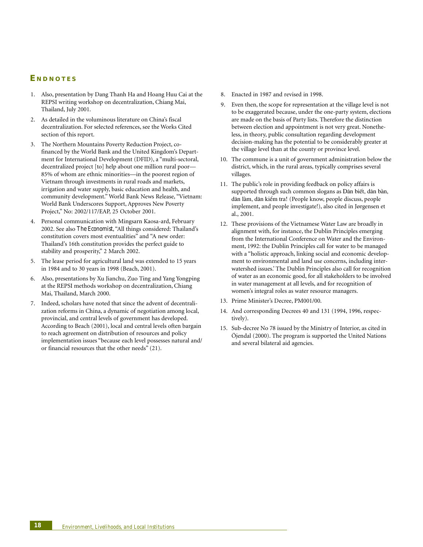## **E NDNOTES**

- 1. Also, presentation by Dang Thanh Ha and Hoang Huu Cai at the REPSI writing workshop on decentralization, Chiang Mai, Thailand, July 2001.
- 2. As detailed in the voluminous literature on China's fiscal decentralization. For selected references, see the Works Cited section of this report.
- 3. The Northern Mountains Poverty Reduction Project, cofinanced by the World Bank and the United Kingdom's Department for International Development (DFID), a "multi-sectoral, decentralized project [to] help about one million rural poor— 85% of whom are ethnic minorities—in the poorest region of Vietnam through investments in rural roads and markets, irrigation and water supply, basic education and health, and community development." World Bank News Release, "Vietnam: World Bank Underscores Support, Approves New Poverty Project," No: 2002/117/EAP, 25 October 2001.
- 4. Personal communication with Mingsarn Kaosa-ard, February 2002. See also *The Economist*, "All things considered: Thailand's constitution covers most eventualities" and "A new order: Thailand's 16th constitution provides the perfect guide to stability and prosperity," 2 March 2002.
- 5. The lease period for agricultural land was extended to 15 years in 1984 and to 30 years in 1998 (Beach, 2001).
- 6. Also, presentations by Xu Jianchu, Zuo Ting and Yang Yongping at the REPSI methods workshop on decentralization, Chiang Mai, Thailand, March 2000.
- 7. Indeed, scholars have noted that since the advent of decentralization reforms in China, a dynamic of negotiation among local, provincial, and central levels of government has developed. According to Beach (2001), local and central levels often bargain to reach agreement on distribution of resources and policy implementation issues "because each level possesses natural and/ or financial resources that the other needs" (21).
- 8. Enacted in 1987 and revised in 1998.
- 9. Even then, the scope for representation at the village level is not to be exaggerated because, under the one-party system, elections are made on the basis of Party lists. Therefore the distinction between election and appointment is not very great. Nonetheless, in theory, public consultation regarding development decision-making has the potential to be considerably greater at the village level than at the county or province level.
- 10. The commune is a unit of government administration below the district, which, in the rural areas, typically comprises several villages.
- 11. The public's role in providing feedback on policy affairs is supported through such common slogans as Dân biết, dân bàn, dân làm, dân kiểm tra! (People know, people discuss, people implement, and people investigate!), also cited in Jørgensen et al., 2001.
- 12. These provisions of the Vietnamese Water Law are broadly in alignment with, for instance, the Dublin Principles emerging from the International Conference on Water and the Environment, 1992: the Dublin Principles call for water to be managed with a "holistic approach, linking social and economic development to environmental and land use concerns, including interwatershed issues.' The Dublin Principles also call for recognition of water as an economic good, for all stakeholders to be involved in water management at all levels, and for recognition of women's integral roles as water resource managers.
- 13. Prime Minister's Decree, PM001/00.
- 14. And corresponding Decrees 40 and 131 (1994, 1996, respectively).
- 15. Sub-decree No 78 issued by the Ministry of Interior, as cited in Öjendal (2000). The program is supported the United Nations and several bilateral aid agencies.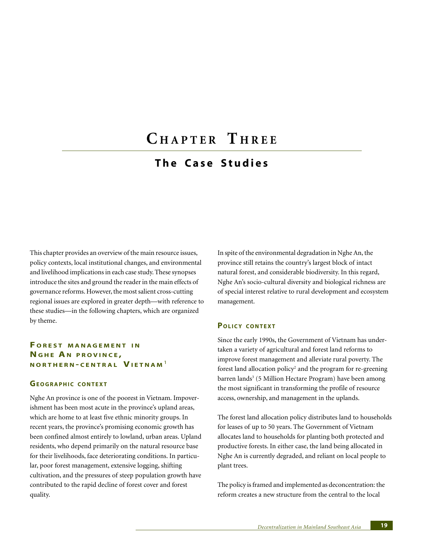## **C HAPTER T HREE**

## **The Case Studies**

This chapter provides an overview of the main resource issues, policy contexts, local institutional changes, and environmental and livelihood implications in each case study. These synopses introduce the sites and ground the reader in the main effects of governance reforms. However, the most salient cross-cutting regional issues are explored in greater depth—with reference to these studies—in the following chapters, which are organized by theme.

## **F OREST MANAGEMENT I N NGHE A N PROVINCE , NORTHERN - CENTRAL VIETNAM** <sup>1</sup>

## **GEOGRAPHIC CONTEXT**

Nghe An province is one of the poorest in Vietnam. Impoverishment has been most acute in the province's upland areas, which are home to at least five ethnic minority groups. In recent years, the province's promising economic growth has been confined almost entirely to lowland, urban areas. Upland residents, who depend primarily on the natural resource base for their livelihoods, face deteriorating conditions. In particular, poor forest management, extensive logging, shifting cultivation, and the pressures of steep population growth have contributed to the rapid decline of forest cover and forest quality.

In spite of the environmental degradation in Nghe An, the province still retains the country's largest block of intact natural forest, and considerable biodiversity. In this regard, Nghe An's socio-cultural diversity and biological richness are of special interest relative to rural development and ecosystem management.

#### **POLICY CONTEXT**

Since the early 1990s, the Government of Vietnam has undertaken a variety of agricultural and forest land reforms to improve forest management and alleviate rural poverty. The forest land allocation policy<sup>2</sup> and the program for re-greening barren lands<sup>3</sup> (5 Million Hectare Program) have been among the most significant in transforming the profile of resource access, ownership, and management in the uplands.

The forest land allocation policy distributes land to households for leases of up to 50 years. The Government of Vietnam allocates land to households for planting both protected and productive forests. In either case, the land being allocated in Nghe An is currently degraded, and reliant on local people to plant trees.

The policy is framed and implemented as deconcentration: the reform creates a new structure from the central to the local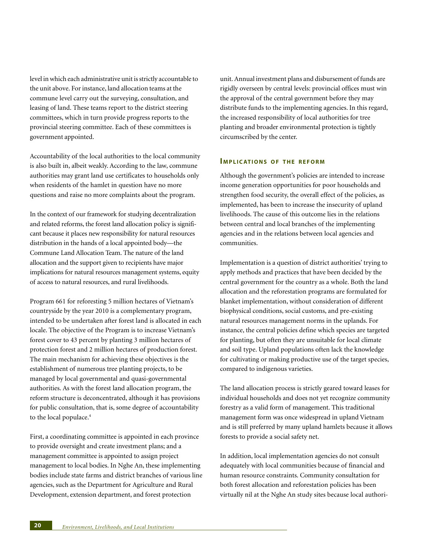level in which each administrative unit is strictly accountable to the unit above. For instance, land allocation teams at the commune level carry out the surveying, consultation, and leasing of land. These teams report to the district steering committees, which in turn provide progress reports to the provincial steering committee. Each of these committees is government appointed.

Accountability of the local authorities to the local community is also built in, albeit weakly. According to the law, commune authorities may grant land use certificates to households only when residents of the hamlet in question have no more questions and raise no more complaints about the program.

In the context of our framework for studying decentralization and related reforms, the forest land allocation policy is significant because it places new responsibility for natural resources distribution in the hands of a local appointed body—the Commune Land Allocation Team. The nature of the land allocation and the support given to recipients have major implications for natural resources management systems, equity of access to natural resources, and rural livelihoods.

Program 661 for reforesting 5 million hectares of Vietnam's countryside by the year 2010 is a complementary program, intended to be undertaken after forest land is allocated in each locale. The objective of the Program is to increase Vietnam's forest cover to 43 percent by planting 3 million hectares of protection forest and 2 million hectares of production forest. The main mechanism for achieving these objectives is the establishment of numerous tree planting projects, to be managed by local governmental and quasi-governmental authorities. As with the forest land allocation program, the reform structure is deconcentrated, although it has provisions for public consultation, that is, some degree of accountability to the local populace.<sup>4</sup>

First, a coordinating committee is appointed in each province to provide oversight and create investment plans; and a management committee is appointed to assign project management to local bodies. In Nghe An, these implementing bodies include state farms and district branches of various line agencies, such as the Department for Agriculture and Rural Development, extension department, and forest protection

unit. Annual investment plans and disbursement of funds are rigidly overseen by central levels: provincial offices must win the approval of the central government before they may distribute funds to the implementing agencies. In this regard, the increased responsibility of local authorities for tree planting and broader environmental protection is tightly circumscribed by the center.

#### **IMPLICATIONS OF THE REFORM**

Although the government's policies are intended to increase income generation opportunities for poor households and strengthen food security, the overall effect of the policies, as implemented, has been to increase the insecurity of upland livelihoods. The cause of this outcome lies in the relations between central and local branches of the implementing agencies and in the relations between local agencies and communities.

Implementation is a question of district authorities' trying to apply methods and practices that have been decided by the central government for the country as a whole. Both the land allocation and the reforestation programs are formulated for blanket implementation, without consideration of different biophysical conditions, social customs, and pre-existing natural resources management norms in the uplands. For instance, the central policies define which species are targeted for planting, but often they are unsuitable for local climate and soil type. Upland populations often lack the knowledge for cultivating or making productive use of the target species, compared to indigenous varieties.

The land allocation process is strictly geared toward leases for individual households and does not yet recognize community forestry as a valid form of management. This traditional management form was once widespread in upland Vietnam and is still preferred by many upland hamlets because it allows forests to provide a social safety net.

In addition, local implementation agencies do not consult adequately with local communities because of financial and human resource constraints. Community consultation for both forest allocation and reforestation policies has been virtually nil at the Nghe An study sites because local authori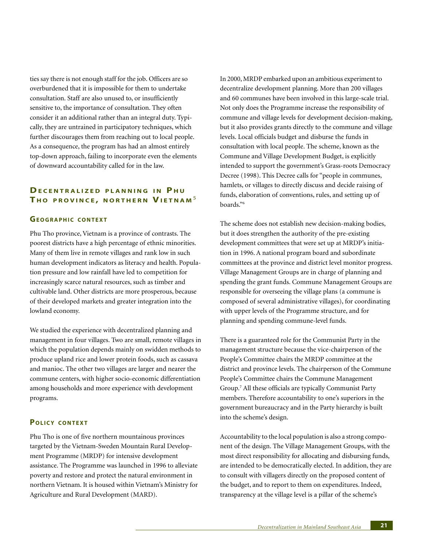ties say there is not enough staff for the job. Officers are so overburdened that it is impossible for them to undertake consultation. Staff are also unused to, or insufficiently sensitive to, the importance of consultation. They often consider it an additional rather than an integral duty. Typically, they are untrained in participatory techniques, which further discourages them from reaching out to local people. As a consequence, the program has had an almost entirely top-down approach, failing to incorporate even the elements of downward accountability called for in the law.

## **DECENTRALIZED PLANNING IN PHU T H O PROVINCE , NORTHERN VIETNAM** <sup>5</sup>

## **GEOGRAPHIC CONTEXT**

Phu Tho province, Vietnam is a province of contrasts. The poorest districts have a high percentage of ethnic minorities. Many of them live in remote villages and rank low in such human development indicators as literacy and health. Population pressure and low rainfall have led to competition for increasingly scarce natural resources, such as timber and cultivable land. Other districts are more prosperous, because of their developed markets and greater integration into the lowland economy.

We studied the experience with decentralized planning and management in four villages. Two are small, remote villages in which the population depends mainly on swidden methods to produce upland rice and lower protein foods, such as cassava and manioc. The other two villages are larger and nearer the commune centers, with higher socio-economic differentiation among households and more experience with development programs.

## **POLICY CONTEXT**

Phu Tho is one of five northern mountainous provinces targeted by the Vietnam-Sweden Mountain Rural Development Programme (MRDP) for intensive development assistance. The Programme was launched in 1996 to alleviate poverty and restore and protect the natural environment in northern Vietnam. It is housed within Vietnam's Ministry for Agriculture and Rural Development (MARD).

In 2000, MRDP embarked upon an ambitious experiment to decentralize development planning. More than 200 villages and 60 communes have been involved in this large-scale trial. Not only does the Programme increase the responsibility of commune and village levels for development decision-making, but it also provides grants directly to the commune and village levels. Local officials budget and disburse the funds in consultation with local people. The scheme, known as the Commune and Village Development Budget, is explicitly intended to support the government's Grass-roots Democracy Decree (1998). This Decree calls for "people in communes, hamlets, or villages to directly discuss and decide raising of funds, elaboration of conventions, rules, and setting up of boards."6

The scheme does not establish new decision-making bodies, but it does strengthen the authority of the pre-existing development committees that were set up at MRDP's initiation in 1996. A national program board and subordinate committees at the province and district level monitor progress. Village Management Groups are in charge of planning and spending the grant funds. Commune Management Groups are responsible for overseeing the village plans (a commune is composed of several administrative villages), for coordinating with upper levels of the Programme structure, and for planning and spending commune-level funds.

There is a guaranteed role for the Communist Party in the management structure because the vice-chairperson of the People's Committee chairs the MRDP committee at the district and province levels. The chairperson of the Commune People's Committee chairs the Commune Management Group.7 All these officials are typically Communist Party members. Therefore accountability to one's superiors in the government bureaucracy and in the Party hierarchy is built into the scheme's design.

Accountability to the local population is also a strong component of the design. The Village Management Groups, with the most direct responsibility for allocating and disbursing funds, are intended to be democratically elected. In addition, they are to consult with villagers directly on the proposed content of the budget, and to report to them on expenditures. Indeed, transparency at the village level is a pillar of the scheme's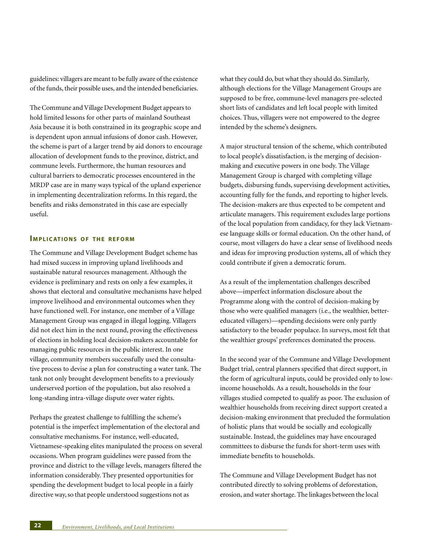guidelines: villagers are meant to be fully aware of the existence of the funds, their possible uses, and the intended beneficiaries.

The Commune and Village Development Budget appears to hold limited lessons for other parts of mainland Southeast Asia because it is both constrained in its geographic scope and is dependent upon annual infusions of donor cash. However, the scheme is part of a larger trend by aid donors to encourage allocation of development funds to the province, district, and commune levels. Furthermore, the human resources and cultural barriers to democratic processes encountered in the MRDP case are in many ways typical of the upland experience in implementing decentralization reforms. In this regard, the benefits and risks demonstrated in this case are especially useful.

#### **IMPLICATIONS OF THE REFORM**

The Commune and Village Development Budget scheme has had mixed success in improving upland livelihoods and sustainable natural resources management. Although the evidence is preliminary and rests on only a few examples, it shows that electoral and consultative mechanisms have helped improve livelihood and environmental outcomes when they have functioned well. For instance, one member of a Village Management Group was engaged in illegal logging. Villagers did not elect him in the next round, proving the effectiveness of elections in holding local decision-makers accountable for managing public resources in the public interest. In one village, community members successfully used the consultative process to devise a plan for constructing a water tank. The tank not only brought development benefits to a previously underserved portion of the population, but also resolved a long-standing intra-village dispute over water rights.

Perhaps the greatest challenge to fulfilling the scheme's potential is the imperfect implementation of the electoral and consultative mechanisms. For instance, well-educated, Vietnamese-speaking elites manipulated the process on several occasions. When program guidelines were passed from the province and district to the village levels, managers filtered the information considerably. They presented opportunities for spending the development budget to local people in a fairly directive way, so that people understood suggestions not as

what they could do, but what they should do. Similarly, although elections for the Village Management Groups are supposed to be free, commune-level managers pre-selected short lists of candidates and left local people with limited choices. Thus, villagers were not empowered to the degree intended by the scheme's designers.

A major structural tension of the scheme, which contributed to local people's dissatisfaction, is the merging of decisionmaking and executive powers in one body. The Village Management Group is charged with completing village budgets, disbursing funds, supervising development activities, accounting fully for the funds, and reporting to higher levels. The decision-makers are thus expected to be competent and articulate managers. This requirement excludes large portions of the local population from candidacy, for they lack Vietnamese language skills or formal education. On the other hand, of course, most villagers do have a clear sense of livelihood needs and ideas for improving production systems, all of which they could contribute if given a democratic forum.

As a result of the implementation challenges described above—imperfect information disclosure about the Programme along with the control of decision-making by those who were qualified managers (i.e., the wealthier, bettereducated villagers)—spending decisions were only partly satisfactory to the broader populace. In surveys, most felt that the wealthier groups' preferences dominated the process.

In the second year of the Commune and Village Development Budget trial, central planners specified that direct support, in the form of agricultural inputs, could be provided only to lowincome households. As a result, households in the four villages studied competed to qualify as poor. The exclusion of wealthier households from receiving direct support created a decision-making environment that precluded the formulation of holistic plans that would be socially and ecologically sustainable. Instead, the guidelines may have encouraged committees to disburse the funds for short-term uses with immediate benefits to households.

The Commune and Village Development Budget has not contributed directly to solving problems of deforestation, erosion, and water shortage. The linkages between the local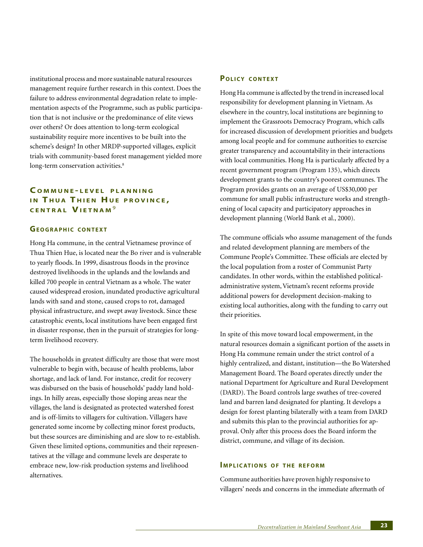institutional process and more sustainable natural resources management require further research in this context. Does the failure to address environmental degradation relate to implementation aspects of the Programme, such as public participation that is not inclusive or the predominance of elite views over others? Or does attention to long-term ecological sustainability require more incentives to be built into the scheme's design? In other MRDP-supported villages, explicit trials with community-based forest management yielded more long-term conservation activities.<sup>8</sup>

## **C OMMUNE - LEVEL PLANNING IN THUA THIEN HUE PROVINCE, CENTRAL VIETNAM** <sup>9</sup>

## **GEOGRAPHIC CONTEXT**

Hong Ha commune, in the central Vietnamese province of Thua Thien Hue, is located near the Bo river and is vulnerable to yearly floods. In 1999, disastrous floods in the province destroyed livelihoods in the uplands and the lowlands and killed 700 people in central Vietnam as a whole. The water caused widespread erosion, inundated productive agricultural lands with sand and stone, caused crops to rot, damaged physical infrastructure, and swept away livestock. Since these catastrophic events, local institutions have been engaged first in disaster response, then in the pursuit of strategies for longterm livelihood recovery.

The households in greatest difficulty are those that were most vulnerable to begin with, because of health problems, labor shortage, and lack of land. For instance, credit for recovery was disbursed on the basis of households' paddy land holdings. In hilly areas, especially those sloping areas near the villages, the land is designated as protected watershed forest and is off-limits to villagers for cultivation. Villagers have generated some income by collecting minor forest products, but these sources are diminishing and are slow to re-establish. Given these limited options, communities and their representatives at the village and commune levels are desperate to embrace new, low-risk production systems and livelihood alternatives.

## **POLICY CONTEXT**

Hong Ha commune is affected by the trend in increased local responsibility for development planning in Vietnam. As elsewhere in the country, local institutions are beginning to implement the Grassroots Democracy Program, which calls for increased discussion of development priorities and budgets among local people and for commune authorities to exercise greater transparency and accountability in their interactions with local communities. Hong Ha is particularly affected by a recent government program (Program 135), which directs development grants to the country's poorest communes. The Program provides grants on an average of US\$30,000 per commune for small public infrastructure works and strengthening of local capacity and participatory approaches in development planning (World Bank et al., 2000).

The commune officials who assume management of the funds and related development planning are members of the Commune People's Committee. These officials are elected by the local population from a roster of Communist Party candidates. In other words, within the established politicaladministrative system, Vietnam's recent reforms provide additional powers for development decision-making to existing local authorities, along with the funding to carry out their priorities.

In spite of this move toward local empowerment, in the natural resources domain a significant portion of the assets in Hong Ha commune remain under the strict control of a highly centralized, and distant, institution—the Bo Watershed Management Board. The Board operates directly under the national Department for Agriculture and Rural Development (DARD). The Board controls large swathes of tree-covered land and barren land designated for planting. It develops a design for forest planting bilaterally with a team from DARD and submits this plan to the provincial authorities for approval. Only after this process does the Board inform the district, commune, and village of its decision.

## **IMPLICATIONS OF THE REFORM**

Commune authorities have proven highly responsive to villagers' needs and concerns in the immediate aftermath of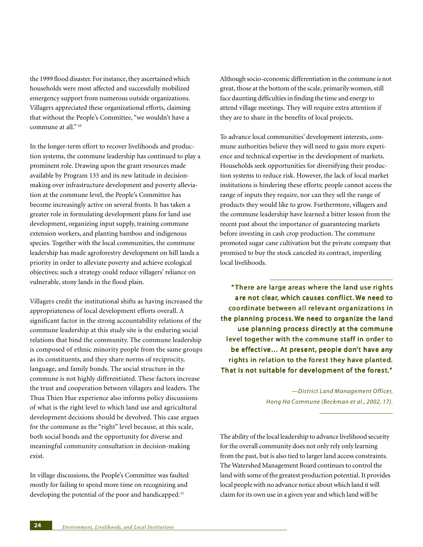the 1999 flood disaster. For instance, they ascertained which households were most affected and successfully mobilized emergency support from numerous outside organizations. Villagers appreciated these organizational efforts, claiming that without the People's Committee, "we wouldn't have a commune at all."<sup>10</sup>

In the longer-term effort to recover livelihoods and production systems, the commune leadership has continued to play a prominent role. Drawing upon the grant resources made available by Program 135 and its new latitude in decisionmaking over infrastructure development and poverty alleviation at the commune level, the People's Committee has become increasingly active on several fronts. It has taken a greater role in formulating development plans for land use development, organizing input supply, training commune extension workers, and planting bamboo and indigenous species. Together with the local communities, the commune leadership has made agroforestry development on hill lands a priority in order to alleviate poverty and achieve ecological objectives; such a strategy could reduce villagers' reliance on vulnerable, stony lands in the flood plain.

Villagers credit the institutional shifts as having increased the appropriateness of local development efforts overall. A significant factor in the strong accountability relations of the commune leadership at this study site is the enduring social relations that bind the community. The commune leadership is composed of ethnic minority people from the same groups as its constituents, and they share norms of reciprocity, language, and family bonds. The social structure in the commune is not highly differentiated. These factors increase the trust and cooperation between villagers and leaders. The Thua Thien Hue experience also informs policy discussions of what is the right level to which land use and agricultural development decisions should be devolved. This case argues for the commune as the "right" level because, at this scale, both social bonds and the opportunity for diverse and meaningful community consultation in decision-making exist.

In village discussions, the People's Committee was faulted mostly for failing to spend more time on recognizing and developing the potential of the poor and handicapped.<sup>11</sup>

Although socio-economic differentiation in the commune is not great, those at the bottom of the scale, primarily women, still face daunting difficulties in finding the time and energy to attend village meetings. They will require extra attention if they are to share in the benefits of local projects.

To advance local communities' development interests, commune authorities believe they will need to gain more experience and technical expertise in the development of markets. Households seek opportunities for diversifying their production systems to reduce risk. However, the lack of local market institutions is hindering these efforts; people cannot access the range of inputs they require, nor can they sell the range of products they would like to grow. Furthermore, villagers and the commune leadership have learned a bitter lesson from the recent past about the importance of guaranteeing markets before investing in cash crop production. The commune promoted sugar cane cultivation but the private company that promised to buy the stock canceled its contract, imperiling local livelihoods.

" There are large areas where the land use rights are not clear, which causes conflict. We need to coordinate between all relevant organizations in the planning process. We need to organize the land use planning process directly at the commune level together with the commune staff in order to be effective… At present, people don't have any rights in relation to the forest they have planted. That is not suitable for development of the forest."

> *—District Land Management Officer, Hong Ha Commune (Beckman et al., 2002, 17).*

The ability of the local leadership to advance livelihood security for the overall community does not only rely only learning from the past, but is also tied to larger land access constraints. The Watershed Management Board continues to control the land with some of the greatest production potential. It provides local people with no advance notice about which land it will claim for its own use in a given year and which land will be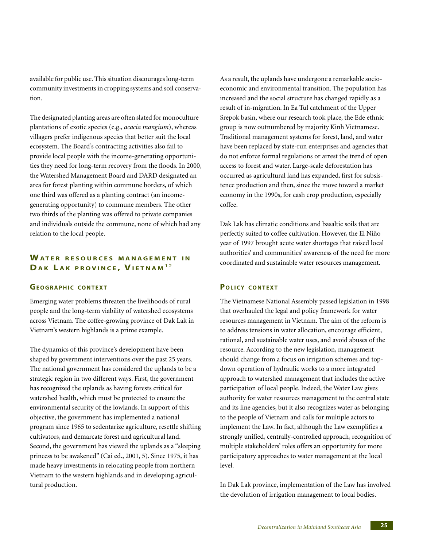available for public use. This situation discourages long-term community investments in cropping systems and soil conservation.

The designated planting areas are often slated for monoculture plantations of exotic species (e.g., *acacia mangium*), whereas villagers prefer indigenous species that better suit the local ecosystem. The Board's contracting activities also fail to provide local people with the income-generating opportunities they need for long-term recovery from the floods. In 2000, the Watershed Management Board and DARD designated an area for forest planting within commune borders, of which one third was offered as a planting contract (an incomegenerating opportunity) to commune members. The other two thirds of the planting was offered to private companies and individuals outside the commune, none of which had any relation to the local people.

## **WATER RESOURCES MANAGEMENT I N DA K L A K PROVINCE , VIETNAM** 1 2

## **GEOGRAPHIC CONTEXT**

Emerging water problems threaten the livelihoods of rural people and the long-term viability of watershed ecosystems across Vietnam. The coffee-growing province of Dak Lak in Vietnam's western highlands is a prime example.

The dynamics of this province's development have been shaped by government interventions over the past 25 years. The national government has considered the uplands to be a strategic region in two different ways. First, the government has recognized the uplands as having forests critical for watershed health, which must be protected to ensure the environmental security of the lowlands. In support of this objective, the government has implemented a national program since 1965 to sedentarize agriculture, resettle shifting cultivators, and demarcate forest and agricultural land. Second, the government has viewed the uplands as a "sleeping princess to be awakened" (Cai ed., 2001, 5). Since 1975, it has made heavy investments in relocating people from northern Vietnam to the western highlands and in developing agricultural production.

As a result, the uplands have undergone a remarkable socioeconomic and environmental transition. The population has increased and the social structure has changed rapidly as a result of in-migration. In Ea Tul catchment of the Upper Srepok basin, where our research took place, the Ede ethnic group is now outnumbered by majority Kinh Vietnamese. Traditional management systems for forest, land, and water have been replaced by state-run enterprises and agencies that do not enforce formal regulations or arrest the trend of open access to forest and water. Large-scale deforestation has occurred as agricultural land has expanded, first for subsistence production and then, since the move toward a market economy in the 1990s, for cash crop production, especially coffee.

Dak Lak has climatic conditions and basaltic soils that are perfectly suited to coffee cultivation. However, the El Niño year of 1997 brought acute water shortages that raised local authorities' and communities' awareness of the need for more coordinated and sustainable water resources management.

## **POLICY CONTEXT**

The Vietnamese National Assembly passed legislation in 1998 that overhauled the legal and policy framework for water resources management in Vietnam. The aim of the reform is to address tensions in water allocation, encourage efficient, rational, and sustainable water uses, and avoid abuses of the resource. According to the new legislation, management should change from a focus on irrigation schemes and topdown operation of hydraulic works to a more integrated approach to watershed management that includes the active participation of local people. Indeed, the Water Law gives authority for water resources management to the central state and its line agencies, but it also recognizes water as belonging to the people of Vietnam and calls for multiple actors to implement the Law. In fact, although the Law exemplifies a strongly unified, centrally-controlled approach, recognition of multiple stakeholders' roles offers an opportunity for more participatory approaches to water management at the local level.

In Dak Lak province, implementation of the Law has involved the devolution of irrigation management to local bodies.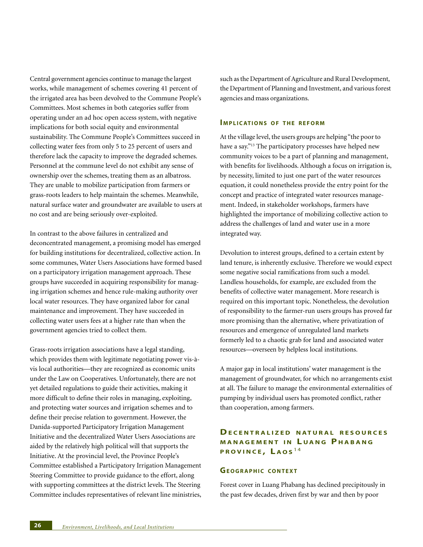Central government agencies continue to manage the largest works, while management of schemes covering 41 percent of the irrigated area has been devolved to the Commune People's Committees. Most schemes in both categories suffer from operating under an ad hoc open access system, with negative implications for both social equity and environmental sustainability. The Commune People's Committees succeed in collecting water fees from only 5 to 25 percent of users and therefore lack the capacity to improve the degraded schemes. Personnel at the commune level do not exhibit any sense of ownership over the schemes, treating them as an albatross. They are unable to mobilize participation from farmers or grass-roots leaders to help maintain the schemes. Meanwhile, natural surface water and groundwater are available to users at no cost and are being seriously over-exploited.

In contrast to the above failures in centralized and deconcentrated management, a promising model has emerged for building institutions for decentralized, collective action. In some communes, Water Users Associations have formed based on a participatory irrigation management approach. These groups have succeeded in acquiring responsibility for managing irrigation schemes and hence rule-making authority over local water resources. They have organized labor for canal maintenance and improvement. They have succeeded in collecting water users fees at a higher rate than when the government agencies tried to collect them.

Grass-roots irrigation associations have a legal standing, which provides them with legitimate negotiating power vis-àvis local authorities—they are recognized as economic units under the Law on Cooperatives. Unfortunately, there are not yet detailed regulations to guide their activities, making it more difficult to define their roles in managing, exploiting, and protecting water sources and irrigation schemes and to define their precise relation to government. However, the Danida-supported Participatory Irrigation Management Initiative and the decentralized Water Users Associations are aided by the relatively high political will that supports the Initiative. At the provincial level, the Province People's Committee established a Participatory Irrigation Management Steering Committee to provide guidance to the effort, along with supporting committees at the district levels. The Steering Committee includes representatives of relevant line ministries,

such as the Department of Agriculture and Rural Development, the Department of Planning and Investment, and various forest agencies and mass organizations.

#### **IMPLICATIONS OF THE REFORM**

At the village level, the users groups are helping "the poor to have a say."13 The participatory processes have helped new community voices to be a part of planning and management, with benefits for livelihoods. Although a focus on irrigation is, by necessity, limited to just one part of the water resources equation, it could nonetheless provide the entry point for the concept and practice of integrated water resources management. Indeed, in stakeholder workshops, farmers have highlighted the importance of mobilizing collective action to address the challenges of land and water use in a more integrated way.

Devolution to interest groups, defined to a certain extent by land tenure, is inherently exclusive. Therefore we would expect some negative social ramifications from such a model. Landless households, for example, are excluded from the benefits of collective water management. More research is required on this important topic. Nonetheless, the devolution of responsibility to the farmer-run users groups has proved far more promising than the alternative, where privatization of resources and emergence of unregulated land markets formerly led to a chaotic grab for land and associated water resources—overseen by helpless local institutions.

A major gap in local institutions' water management is the management of groundwater, for which no arrangements exist at all. The failure to manage the environmental externalities of pumping by individual users has promoted conflict, rather than cooperation, among farmers.

## **DECENTRALIZED NATURAL RESOURCES MANAGEMENT IN LUANG PHABANG PROVINCE , L AOS** 1 4

## **GEOGRAPHIC CONTEXT**

Forest cover in Luang Phabang has declined precipitously in the past few decades, driven first by war and then by poor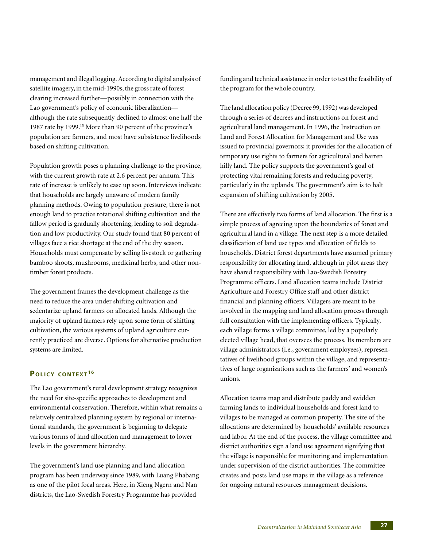management and illegal logging. According to digital analysis of satellite imagery, in the mid-1990s, the gross rate of forest clearing increased further—possibly in connection with the Lao government's policy of economic liberalization although the rate subsequently declined to almost one half the 1987 rate by 1999.15 More than 90 percent of the province's population are farmers, and most have subsistence livelihoods based on shifting cultivation.

Population growth poses a planning challenge to the province, with the current growth rate at 2.6 percent per annum. This rate of increase is unlikely to ease up soon. Interviews indicate that households are largely unaware of modern family planning methods. Owing to population pressure, there is not enough land to practice rotational shifting cultivation and the fallow period is gradually shortening, leading to soil degradation and low productivity. Our study found that 80 percent of villages face a rice shortage at the end of the dry season. Households must compensate by selling livestock or gathering bamboo shoots, mushrooms, medicinal herbs, and other nontimber forest products.

The government frames the development challenge as the need to reduce the area under shifting cultivation and sedentarize upland farmers on allocated lands. Although the majority of upland farmers rely upon some form of shifting cultivation, the various systems of upland agriculture currently practiced are diverse. Options for alternative production systems are limited.

## **POLICY CONTEXT <sup>16</sup>**

The Lao government's rural development strategy recognizes the need for site-specific approaches to development and environmental conservation. Therefore, within what remains a relatively centralized planning system by regional or international standards, the government is beginning to delegate various forms of land allocation and management to lower levels in the government hierarchy.

The government's land use planning and land allocation program has been underway since 1989, with Luang Phabang as one of the pilot focal areas. Here, in Xieng Ngern and Nan districts, the Lao-Swedish Forestry Programme has provided

funding and technical assistance in order to test the feasibility of the program for the whole country.

The land allocation policy (Decree 99, 1992) was developed through a series of decrees and instructions on forest and agricultural land management. In 1996, the Instruction on Land and Forest Allocation for Management and Use was issued to provincial governors; it provides for the allocation of temporary use rights to farmers for agricultural and barren hilly land. The policy supports the government's goal of protecting vital remaining forests and reducing poverty, particularly in the uplands. The government's aim is to halt expansion of shifting cultivation by 2005.

There are effectively two forms of land allocation. The first is a simple process of agreeing upon the boundaries of forest and agricultural land in a village. The next step is a more detailed classification of land use types and allocation of fields to households. District forest departments have assumed primary responsibility for allocating land, although in pilot areas they have shared responsibility with Lao-Swedish Forestry Programme officers. Land allocation teams include District Agriculture and Forestry Office staff and other district financial and planning officers. Villagers are meant to be involved in the mapping and land allocation process through full consultation with the implementing officers. Typically, each village forms a village committee, led by a popularly elected village head, that oversees the process. Its members are village administrators (i.e., government employees), representatives of livelihood groups within the village, and representatives of large organizations such as the farmers' and women's unions.

Allocation teams map and distribute paddy and swidden farming lands to individual households and forest land to villages to be managed as common property. The size of the allocations are determined by households' available resources and labor. At the end of the process, the village committee and district authorities sign a land use agreement signifying that the village is responsible for monitoring and implementation under supervision of the district authorities. The committee creates and posts land use maps in the village as a reference for ongoing natural resources management decisions.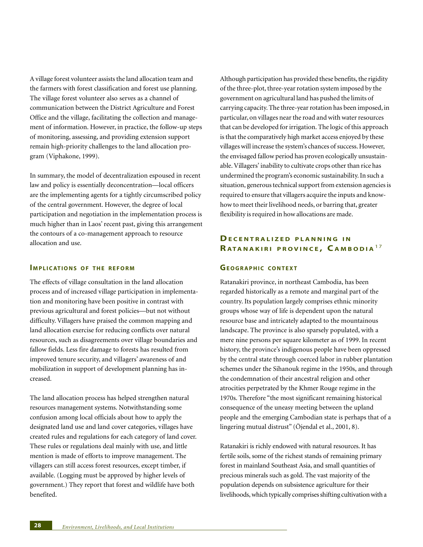A village forest volunteer assists the land allocation team and the farmers with forest classification and forest use planning. The village forest volunteer also serves as a channel of communication between the District Agriculture and Forest Office and the village, facilitating the collection and management of information. However, in practice, the follow-up steps of monitoring, assessing, and providing extension support remain high-priority challenges to the land allocation program (Viphakone, 1999).

In summary, the model of decentralization espoused in recent law and policy is essentially deconcentration—local officers are the implementing agents for a tightly circumscribed policy of the central government. However, the degree of local participation and negotiation in the implementation process is much higher than in Laos' recent past, giving this arrangement the contours of a co-management approach to resource allocation and use.

## **IMPLICATIONS OF THE REFORM**

The effects of village consultation in the land allocation process and of increased village participation in implementation and monitoring have been positive in contrast with previous agricultural and forest policies—but not without difficulty. Villagers have praised the common mapping and land allocation exercise for reducing conflicts over natural resources, such as disagreements over village boundaries and fallow fields. Less fire damage to forests has resulted from improved tenure security, and villagers' awareness of and mobilization in support of development planning has increased.

The land allocation process has helped strengthen natural resources management systems. Notwithstanding some confusion among local officials about how to apply the designated land use and land cover categories, villages have created rules and regulations for each category of land cover. These rules or regulations deal mainly with use, and little mention is made of efforts to improve management. The villagers can still access forest resources, except timber, if available. (Logging must be approved by higher levels of government.) They report that forest and wildlife have both benefited.

Although participation has provided these benefits, the rigidity of the three-plot, three-year rotation system imposed by the government on agricultural land has pushed the limits of carrying capacity. The three-year rotation has been imposed, in particular, on villages near the road and with water resources that can be developed for irrigation. The logic of this approach is that the comparatively high market access enjoyed by these villages will increase the system's chances of success. However, the envisaged fallow period has proven ecologically unsustainable. Villagers' inability to cultivate crops other than rice has undermined the program's economic sustainability. In such a situation, generous technical support from extension agencies is required to ensure that villagers acquire the inputs and knowhow to meet their livelihood needs, or barring that, greater flexibility is required in how allocations are made.

## **DECENTRALIZED PLANNING I N R ATANAKIRI PROVINCE , C AMBODIA** 1 7

## **GEOGRAPHIC CONTEXT**

Ratanakiri province, in northeast Cambodia, has been regarded historically as a remote and marginal part of the country. Its population largely comprises ethnic minority groups whose way of life is dependent upon the natural resource base and intricately adapted to the mountainous landscape. The province is also sparsely populated, with a mere nine persons per square kilometer as of 1999. In recent history, the province's indigenous people have been oppressed by the central state through coerced labor in rubber plantation schemes under the Sihanouk regime in the 1950s, and through the condemnation of their ancestral religion and other atrocities perpetrated by the Khmer Rouge regime in the 1970s. Therefore "the most significant remaining historical consequence of the uneasy meeting between the upland people and the emerging Cambodian state is perhaps that of a lingering mutual distrust" (Öjendal et al., 2001, 8).

Ratanakiri is richly endowed with natural resources. It has fertile soils, some of the richest stands of remaining primary forest in mainland Southeast Asia, and small quantities of precious minerals such as gold. The vast majority of the population depends on subsistence agriculture for their livelihoods, which typically comprises shifting cultivation with a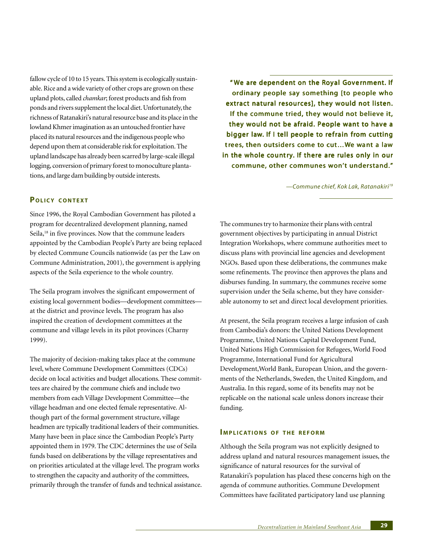fallow cycle of 10 to 15 years. This system is ecologically sustainable. Rice and a wide variety of other crops are grown on these upland plots, called *chamkar*; forest products and fish from ponds and rivers supplement the local diet. Unfortunately, the richness of Ratanakiri's natural resource base and its place in the lowland Khmer imagination as an untouched frontier have placed its natural resources and the indigenous people who depend upon them at considerable risk for exploitation. The upland landscape has already been scarred by large-scale illegal logging, conversion of primary forest to monoculture plantations, and large dam building by outside interests.

"We are dependent on the Royal Government. If ordinary people say something [to people who extract natural resources], they would not listen. If the commune tried, they would not believe it, they would not be afraid. People want to have a bigger law. If I tell people to refrain from cutting trees, then outsiders come to cut... We want a law in the whole country. If there are rules only in our commune, other communes won't understand."

*—Commune chief, Kok Lak, Ratanakiri19*

## **POLICY CONTEXT**

Since 1996, the Royal Cambodian Government has piloted a program for decentralized development planning, named Seila,<sup>18</sup> in five provinces. Now that the commune leaders appointed by the Cambodian People's Party are being replaced by elected Commune Councils nationwide (as per the Law on Commune Administration, 2001), the government is applying aspects of the Seila experience to the whole country.

The Seila program involves the significant empowerment of existing local government bodies—development committees at the district and province levels. The program has also inspired the creation of development committees at the commune and village levels in its pilot provinces (Charny 1999).

The majority of decision-making takes place at the commune level, where Commune Development Committees (CDCs) decide on local activities and budget allocations. These committees are chaired by the commune chiefs and include two members from each Village Development Committee—the village headman and one elected female representative. Although part of the formal government structure, village headmen are typically traditional leaders of their communities. Many have been in place since the Cambodian People's Party appointed them in 1979. The CDC determines the use of Seila funds based on deliberations by the village representatives and on priorities articulated at the village level. The program works to strengthen the capacity and authority of the committees, primarily through the transfer of funds and technical assistance. The communes try to harmonize their plans with central government objectives by participating in annual District Integration Workshops, where commune authorities meet to discuss plans with provincial line agencies and development NGOs. Based upon these deliberations, the communes make some refinements. The province then approves the plans and disburses funding. In summary, the communes receive some supervision under the Seila scheme, but they have considerable autonomy to set and direct local development priorities.

At present, the Seila program receives a large infusion of cash from Cambodia's donors: the United Nations Development Programme, United Nations Capital Development Fund, United Nations High Commission for Refugees, World Food Programme, International Fund for Agricultural Development,World Bank, European Union, and the governments of the Netherlands, Sweden, the United Kingdom, and Australia. In this regard, some of its benefits may not be replicable on the national scale unless donors increase their funding.

#### **IMPLICATIONS OF THE REFORM**

Although the Seila program was not explicitly designed to address upland and natural resources management issues, the significance of natural resources for the survival of Ratanakiri's population has placed these concerns high on the agenda of commune authorities. Commune Development Committees have facilitated participatory land use planning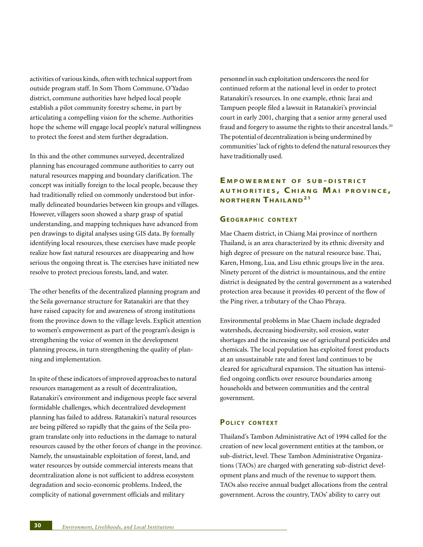activities of various kinds, often with technical support from outside program staff. In Som Thom Commune, O'Yadao district, commune authorities have helped local people establish a pilot community forestry scheme, in part by articulating a compelling vision for the scheme. Authorities hope the scheme will engage local people's natural willingness to protect the forest and stem further degradation.

In this and the other communes surveyed, decentralized planning has encouraged commune authorities to carry out natural resources mapping and boundary clarification. The concept was initially foreign to the local people, because they had traditionally relied on commonly understood but informally delineated boundaries between kin groups and villages. However, villagers soon showed a sharp grasp of spatial understanding, and mapping techniques have advanced from pen drawings to digital analyses using GIS data. By formally identifying local resources, these exercises have made people realize how fast natural resources are disappearing and how serious the ongoing threat is. The exercises have initiated new resolve to protect precious forests, land, and water.

The other benefits of the decentralized planning program and the Seila governance structure for Ratanakiri are that they have raised capacity for and awareness of strong institutions from the province down to the village levels. Explicit attention to women's empowerment as part of the program's design is strengthening the voice of women in the development planning process, in turn strengthening the quality of planning and implementation.

In spite of these indicators of improved approaches to natural resources management as a result of decentralization, Ratanakiri's environment and indigenous people face several formidable challenges, which decentralized development planning has failed to address. Ratanakiri's natural resources are being pilfered so rapidly that the gains of the Seila program translate only into reductions in the damage to natural resources caused by the other forces of change in the province. Namely, the unsustainable exploitation of forest, land, and water resources by outside commercial interests means that decentralization alone is not sufficient to address ecosystem degradation and socio-economic problems. Indeed, the complicity of national government officials and military

personnel in such exploitation underscores the need for continued reform at the national level in order to protect Ratanakiri's resources. In one example, ethnic Jarai and Tampuen people filed a lawsuit in Ratanakiri's provincial court in early 2001, charging that a senior army general used fraud and forgery to assume the rights to their ancestral lands.<sup>20</sup> The potential of decentralization is being undermined by communities' lack of rights to defend the natural resources they have traditionally used.

## **E MPOWERMENT O F SUB - DISTRICT AUTHORITIES , C HIANG MA I PROVINCE , NORTHERN THAILAND21**

## **GEOGRAPHIC CONTEXT**

Mae Chaem district, in Chiang Mai province of northern Thailand, is an area characterized by its ethnic diversity and high degree of pressure on the natural resource base. Thai, Karen, Hmong, Lua, and Lisu ethnic groups live in the area. Ninety percent of the district is mountainous, and the entire district is designated by the central government as a watershed protection area because it provides 40 percent of the flow of the Ping river, a tributary of the Chao Phraya.

Environmental problems in Mae Chaem include degraded watersheds, decreasing biodiversity, soil erosion, water shortages and the increasing use of agricultural pesticides and chemicals. The local population has exploited forest products at an unsustainable rate and forest land continues to be cleared for agricultural expansion. The situation has intensified ongoing conflicts over resource boundaries among households and between communities and the central government.

## **POLICY CONTEXT**

Thailand's Tambon Administrative Act of 1994 called for the creation of new local government entities at the tambon, or sub-district, level. These Tambon Administrative Organizations (TAOs) are charged with generating sub-district development plans and much of the revenue to support them. TAOs also receive annual budget allocations from the central government. Across the country, TAOs' ability to carry out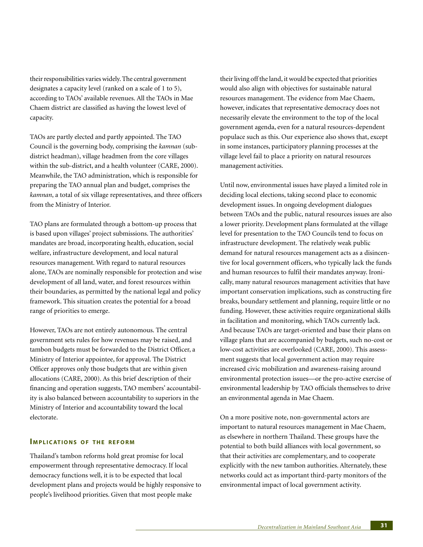their responsibilities varies widely. The central government designates a capacity level (ranked on a scale of 1 to 5), according to TAOs' available revenues. All the TAOs in Mae Chaem district are classified as having the lowest level of capacity.

TAOs are partly elected and partly appointed. The TAO Council is the governing body, comprising the *kamnan* (subdistrict headman), village headmen from the core villages within the sub-district, and a health volunteer (CARE, 2000). Meanwhile, the TAO administration, which is responsible for preparing the TAO annual plan and budget, comprises the *kamnan*, a total of six village representatives, and three officers from the Ministry of Interior.

TAO plans are formulated through a bottom-up process that is based upon villages' project submissions. The authorities' mandates are broad, incorporating health, education, social welfare, infrastructure development, and local natural resources management. With regard to natural resources alone, TAOs are nominally responsible for protection and wise development of all land, water, and forest resources within their boundaries, as permitted by the national legal and policy framework. This situation creates the potential for a broad range of priorities to emerge.

However, TAOs are not entirely autonomous. The central government sets rules for how revenues may be raised, and tambon budgets must be forwarded to the District Officer, a Ministry of Interior appointee, for approval. The District Officer approves only those budgets that are within given allocations (CARE, 2000). As this brief description of their financing and operation suggests, TAO members' accountability is also balanced between accountability to superiors in the Ministry of Interior and accountability toward the local electorate.

#### **IMPLICATIONS OF THE REFORM**

Thailand's tambon reforms hold great promise for local empowerment through representative democracy. If local democracy functions well, it is to be expected that local development plans and projects would be highly responsive to people's livelihood priorities. Given that most people make

their living off the land, it would be expected that priorities would also align with objectives for sustainable natural resources management. The evidence from Mae Chaem, however, indicates that representative democracy does not necessarily elevate the environment to the top of the local government agenda, even for a natural resources-dependent populace such as this. Our experience also shows that, except in some instances, participatory planning processes at the village level fail to place a priority on natural resources management activities.

Until now, environmental issues have played a limited role in deciding local elections, taking second place to economic development issues. In ongoing development dialogues between TAOs and the public, natural resources issues are also a lower priority. Development plans formulated at the village level for presentation to the TAO Councils tend to focus on infrastructure development. The relatively weak public demand for natural resources management acts as a disincentive for local government officers, who typically lack the funds and human resources to fulfil their mandates anyway. Ironically, many natural resources management activities that have important conservation implications, such as constructing fire breaks, boundary settlement and planning, require little or no funding. However, these activities require organizational skills in facilitation and monitoring, which TAOs currently lack. And because TAOs are target-oriented and base their plans on village plans that are accompanied by budgets, such no-cost or low-cost activities are overlooked (CARE, 2000). This assessment suggests that local government action may require increased civic mobilization and awareness-raising around environmental protection issues—or the pro-active exercise of environmental leadership by TAO officials themselves to drive an environmental agenda in Mae Chaem.

On a more positive note, non-governmental actors are important to natural resources management in Mae Chaem, as elsewhere in northern Thailand. These groups have the potential to both build alliances with local government, so that their activities are complementary, and to cooperate explicitly with the new tambon authorities. Alternately, these networks could act as important third-party monitors of the environmental impact of local government activity.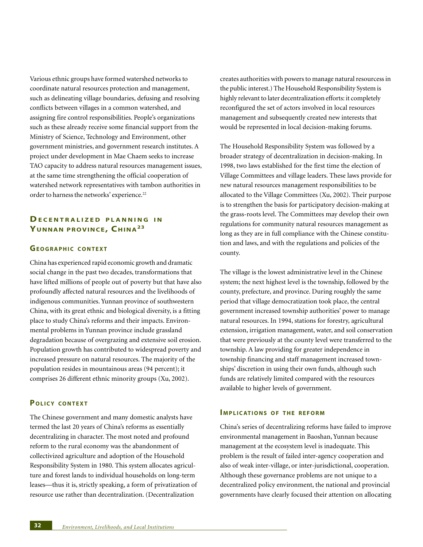Various ethnic groups have formed watershed networks to coordinate natural resources protection and management, such as delineating village boundaries, defusing and resolving conflicts between villages in a common watershed, and assigning fire control responsibilities. People's organizations such as these already receive some financial support from the Ministry of Science, Technology and Environment, other government ministries, and government research institutes. A project under development in Mae Chaem seeks to increase TAO capacity to address natural resources management issues, at the same time strengthening the official cooperation of watershed network representatives with tambon authorities in order to harness the networks' experience.<sup>22</sup>

# **DECENTRALIZED PLANNING I N YUNNAN PROVINCE, CHINA23**

#### **GEOGRAPHIC CONTEXT**

China has experienced rapid economic growth and dramatic social change in the past two decades, transformations that have lifted millions of people out of poverty but that have also profoundly affected natural resources and the livelihoods of indigenous communities. Yunnan province of southwestern China, with its great ethnic and biological diversity, is a fitting place to study China's reforms and their impacts. Environmental problems in Yunnan province include grassland degradation because of overgrazing and extensive soil erosion. Population growth has contributed to widespread poverty and increased pressure on natural resources. The majority of the population resides in mountainous areas (94 percent); it comprises 26 different ethnic minority groups (Xu, 2002).

#### **POLICY CONTEXT**

The Chinese government and many domestic analysts have termed the last 20 years of China's reforms as essentially decentralizing in character. The most noted and profound reform to the rural economy was the abandonment of collectivized agriculture and adoption of the Household Responsibility System in 1980. This system allocates agriculture and forest lands to individual households on long-term leases—thus it is, strictly speaking, a form of privatization of resource use rather than decentralization. (Decentralization

creates authorities with powers to manage natural resourcess in the public interest.) The Household Responsibility System is highly relevant to later decentralization efforts: it completely reconfigured the set of actors involved in local resources management and subsequently created new interests that would be represented in local decision-making forums.

The Household Responsibility System was followed by a broader strategy of decentralization in decision-making. In 1998, two laws established for the first time the election of Village Committees and village leaders. These laws provide for new natural resources management responsibilities to be allocated to the Village Committees (Xu, 2002). Their purpose is to strengthen the basis for participatory decision-making at the grass-roots level. The Committees may develop their own regulations for community natural resources management as long as they are in full compliance with the Chinese constitution and laws, and with the regulations and policies of the county.

The village is the lowest administrative level in the Chinese system; the next highest level is the township, followed by the county, prefecture, and province. During roughly the same period that village democratization took place, the central government increased township authorities' power to manage natural resources. In 1994, stations for forestry, agricultural extension, irrigation management, water, and soil conservation that were previously at the county level were transferred to the township. A law providing for greater independence in township financing and staff management increased townships' discretion in using their own funds, although such funds are relatively limited compared with the resources available to higher levels of government.

## **IMPLICATIONS OF THE REFORM**

China's series of decentralizing reforms have failed to improve environmental management in Baoshan, Yunnan because management at the ecosystem level is inadequate. This problem is the result of failed inter-agency cooperation and also of weak inter-village, or inter-jurisdictional, cooperation. Although these governance problems are not unique to a decentralized policy environment, the national and provincial governments have clearly focused their attention on allocating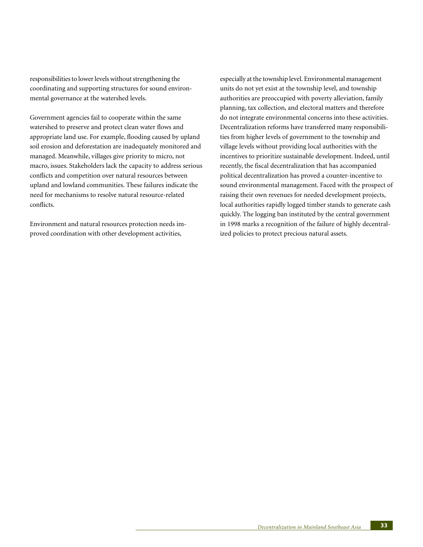responsibilities to lower levels without strengthening the coordinating and supporting structures for sound environmental governance at the watershed levels.

Government agencies fail to cooperate within the same watershed to preserve and protect clean water flows and appropriate land use. For example, flooding caused by upland soil erosion and deforestation are inadequately monitored and managed. Meanwhile, villages give priority to micro, not macro, issues. Stakeholders lack the capacity to address serious conflicts and competition over natural resources between upland and lowland communities. These failures indicate the need for mechanisms to resolve natural resource-related conflicts.

Environment and natural resources protection needs improved coordination with other development activities,

especially at the township level. Environmental management units do not yet exist at the township level, and township authorities are preoccupied with poverty alleviation, family planning, tax collection, and electoral matters and therefore do not integrate environmental concerns into these activities. Decentralization reforms have transferred many responsibilities from higher levels of government to the township and village levels without providing local authorities with the incentives to prioritize sustainable development. Indeed, until recently, the fiscal decentralization that has accompanied political decentralization has proved a counter-incentive to sound environmental management. Faced with the prospect of raising their own revenues for needed development projects, local authorities rapidly logged timber stands to generate cash quickly. The logging ban instituted by the central government in 1998 marks a recognition of the failure of highly decentralized policies to protect precious natural assets.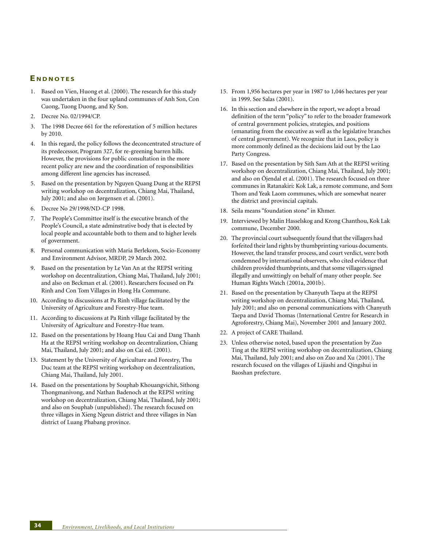#### **E NDNOTES**

- 1. Based on Vien, Huong et al. (2000). The research for this study was undertaken in the four upland communes of Anh Son, Con Cuong, Tuong Duong, and Ky Son.
- 2. Decree No. 02/1994/CP.
- 3. The 1998 Decree 661 for the reforestation of 5 million hectares by 2010.
- 4. In this regard, the policy follows the deconcentrated structure of its predecessor, Program 327, for re-greening barren hills. However, the provisions for public consultation in the more recent policy are new and the coordination of responsibilities among different line agencies has increased.
- 5. Based on the presentation by Nguyen Quang Dung at the REPSI writing workshop on decentralization, Chiang Mai, Thailand, July 2001; and also on Jørgensen et al. (2001).
- 6. Decree No 29/1998/ND-CP 1998.
- 7. The People's Committee itself is the executive branch of the People's Council, a state adminstrative body that is elected by local people and accountable both to them and to higher levels of government.
- 8. Personal communication with Maria Berlekom, Socio-Economy and Environment Advisor, MRDP, 29 March 2002.
- 9. Based on the presentation by Le Van An at the REPSI writing workshop on decentralization, Chiang Mai, Thailand, July 2001; and also on Beckman et al. (2001). Researchers focused on Pa Rinh and Con Tom Villages in Hong Ha Commune.
- 10. According to discussions at Pa Rinh village facilitated by the University of Agriculture and Forestry-Hue team.
- 11. According to discussions at Pa Rinh village facilitated by the University of Agriculture and Forestry-Hue team.
- 12. Based on the presentations by Hoang Huu Cai and Dang Thanh Ha at the REPSI writing workshop on decentralization, Chiang Mai, Thailand, July 2001; and also on Cai ed. (2001).
- 13. Statement by the University of Agriculture and Forestry, Thu Duc team at the REPSI writing workshop on decentralization, Chiang Mai, Thailand, July 2001.
- 14. Based on the presentations by Souphab Khouangvichit, Sithong Thongmanivong, and Nathan Badenoch at the REPSI writing workshop on decentralization, Chiang Mai, Thailand, July 2001; and also on Souphab (unpublished). The research focused on three villages in Xieng Ngeun district and three villages in Nan district of Luang Phabang province.
- 15. From 1,956 hectares per year in 1987 to 1,046 hectares per year in 1999. See Salas (2001).
- 16. In this section and elsewhere in the report, we adopt a broad definition of the term "policy" to refer to the broader framework of central government policies, strategies, and positions (emanating from the executive as well as the legislative branches of central government). We recognize that in Laos, policy is more commonly defined as the decisions laid out by the Lao Party Congress.
- 17. Based on the presentation by Sith Sam Ath at the REPSI writing workshop on decentralization, Chiang Mai, Thailand, July 2001; and also on Öjendal et al. (2001). The research focused on three communes in Ratanakiri: Kok Lak, a remote commune, and Som Thom and Yeak Laom communes, which are somewhat nearer the district and provincial capitals.
- 18. Seila means "foundation stone" in Khmer.
- 19. Interviewed by Malin Hasselskog and Krong Chanthou, Kok Lak commune, December 2000.
- 20. The provincial court subsequently found that the villagers had forfeited their land rights by thumbprinting various documents. However, the land transfer process, and court verdict, were both condemned by international observers, who cited evidence that children provided thumbprints, and that some villagers signed illegally and unwittingly on behalf of many other people. See Human Rights Watch (2001a, 2001b).
- 21. Based on the presentation by Chanyuth Taepa at the REPSI writing workshop on decentralization, Chiang Mai, Thailand, July 2001; and also on personal communications with Chanyuth Taepa and David Thomas (International Centre for Research in Agroforestry, Chiang Mai), November 2001 and January 2002.
- 22. A project of CARE Thailand.
- 23. Unless otherwise noted, based upon the presentation by Zuo Ting at the REPSI writing workshop on decentralization, Chiang Mai, Thailand, July 2001; and also on Zuo and Xu (2001). The research focused on the villages of Lijiashi and Qingshui in Baoshan prefecture.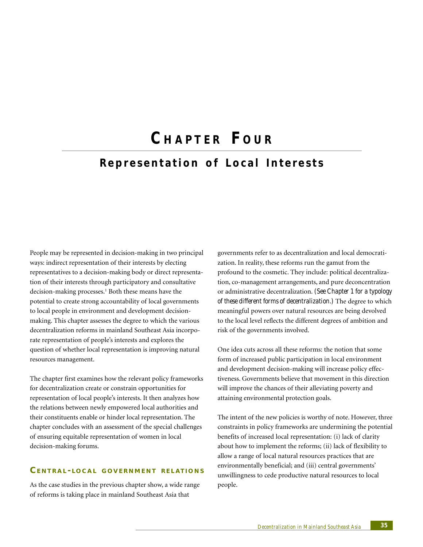# **C HAPTER F OUR Representation of Local Interests**

People may be represented in decision-making in two principal ways: indirect representation of their interests by electing representatives to a decision-making body or direct representation of their interests through participatory and consultative decision-making processes.<sup>1</sup> Both these means have the potential to create strong accountability of local governments to local people in environment and development decisionmaking. This chapter assesses the degree to which the various decentralization reforms in mainland Southeast Asia incorporate representation of people's interests and explores the question of whether local representation is improving natural resources management.

The chapter first examines how the relevant policy frameworks for decentralization create or constrain opportunities for representation of local people's interests. It then analyzes how the relations between newly empowered local authorities and their constituents enable or hinder local representation. The chapter concludes with an assessment of the special challenges of ensuring equitable representation of women in local decision-making forums.

# **CENTRAL - LOCAL GOVERNMENT REL ATIONS**

As the case studies in the previous chapter show, a wide range of reforms is taking place in mainland Southeast Asia that

governments refer to as decentralization and local democratization. In reality, these reforms run the gamut from the profound to the cosmetic. They include: political decentralization, co-management arrangements, and pure deconcentration or administrative decentralization. *(See Chapter 1 for a typology of these different forms of decentralization.)* The degree to which meaningful powers over natural resources are being devolved to the local level reflects the different degrees of ambition and risk of the governments involved.

One idea cuts across all these reforms: the notion that some form of increased public participation in local environment and development decision-making will increase policy effectiveness. Governments believe that movement in this direction will improve the chances of their alleviating poverty and attaining environmental protection goals.

The intent of the new policies is worthy of note. However, three constraints in policy frameworks are undermining the potential benefits of increased local representation: (i) lack of clarity about how to implement the reforms; (ii) lack of flexibility to allow a range of local natural resources practices that are environmentally beneficial; and (iii) central governments' unwillingness to cede productive natural resources to local people.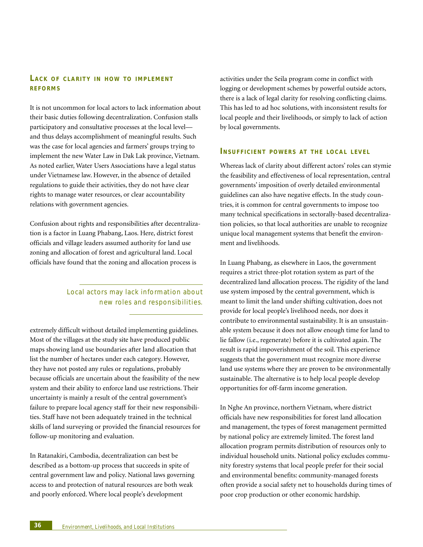# **LACK OF CLARITY IN HOW TO IMPLEMENT REFORMS**

It is not uncommon for local actors to lack information about their basic duties following decentralization. Confusion stalls participatory and consultative processes at the local level and thus delays accomplishment of meaningful results. Such was the case for local agencies and farmers' groups trying to implement the new Water Law in Dak Lak province, Vietnam. As noted earlier, Water Users Associations have a legal status under Vietnamese law. However, in the absence of detailed regulations to guide their activities, they do not have clear rights to manage water resources, or clear accountability relations with government agencies.

Confusion about rights and responsibilities after decentralization is a factor in Luang Phabang, Laos. Here, district forest officials and village leaders assumed authority for land use zoning and allocation of forest and agricultural land. Local officials have found that the zoning and allocation process is

# Local actors may lack information about new roles and responsibilities.

extremely difficult without detailed implementing guidelines. Most of the villages at the study site have produced public maps showing land use boundaries after land allocation that list the number of hectares under each category. However, they have not posted any rules or regulations, probably because officials are uncertain about the feasibility of the new system and their ability to enforce land use restrictions. Their uncertainty is mainly a result of the central government's failure to prepare local agency staff for their new responsibilities. Staff have not been adequately trained in the technical skills of land surveying or provided the financial resources for follow-up monitoring and evaluation.

In Ratanakiri, Cambodia, decentralization can best be described as a bottom-up process that succeeds in spite of central government law and policy. National laws governing access to and protection of natural resources are both weak and poorly enforced. Where local people's development

activities under the Seila program come in conflict with logging or development schemes by powerful outside actors, there is a lack of legal clarity for resolving conflicting claims. This has led to ad hoc solutions, with inconsistent results for local people and their livelihoods, or simply to lack of action by local governments.

#### **INSUFFICIENT POWERS AT THE LOCAL LEVEL**

Whereas lack of clarity about different actors' roles can stymie the feasibility and effectiveness of local representation, central governments' imposition of overly detailed environmental guidelines can also have negative effects. In the study countries, it is common for central governments to impose too many technical specifications in sectorally-based decentralization policies, so that local authorities are unable to recognize unique local management systems that benefit the environment and livelihoods.

In Luang Phabang, as elsewhere in Laos, the government requires a strict three-plot rotation system as part of the decentralized land allocation process. The rigidity of the land use system imposed by the central government, which is meant to limit the land under shifting cultivation, does not provide for local people's livelihood needs, nor does it contribute to environmental sustainability. It is an unsustainable system because it does not allow enough time for land to lie fallow (i.e., regenerate) before it is cultivated again. The result is rapid impoverishment of the soil. This experience suggests that the government must recognize more diverse land use systems where they are proven to be environmentally sustainable. The alternative is to help local people develop opportunities for off-farm income generation.

In Nghe An province, northern Vietnam, where district officials have new responsibilities for forest land allocation and management, the types of forest management permitted by national policy are extremely limited. The forest land allocation program permits distribution of resources only to individual household units. National policy excludes community forestry systems that local people prefer for their social and environmental benefits: community-managed forests often provide a social safety net to households during times of poor crop production or other economic hardship.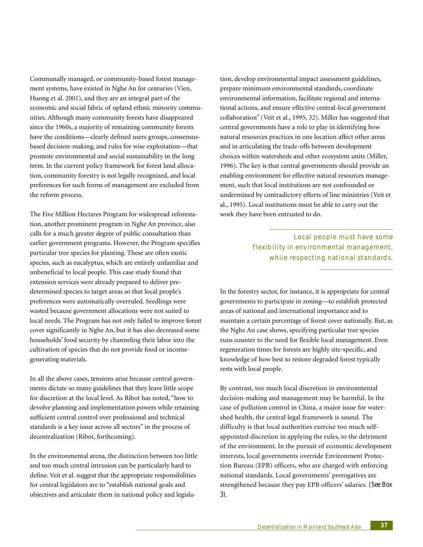Communally managed, or community-based forest management systems, have existed in Nghe An for centuries (Vien, Huong et al. 2001), and they are an integral part of the economic and social fabric of upland ethnic minority communities. Although many community forests have disappeared since the 1960s, a majority of remaining community forests have the conditions—clearly defined users groups, consensusbased decision-making, and rules for wise exploitation—that promote environmental and social sustainability in the long term. In the current policy framework for forest land allocation, community forestry is not legally recognized, and local preferences for such forms of management are excluded from the reform process.

The Five Million Hectares Program for widespread reforestation, another prominent program in Nghe An province, also calls for a much greater degree of public consultation than earlier government programs. However, the Program specifies particular tree species for planting. These are often exotic species, such as eucalyptus, which are entirely unfamiliar and unbeneficial to local people. This case study found that extension services were already prepared to deliver predetermined species to target areas so that local people's preferences were automatically overruled. Seedlings were wasted because government allocations were not suited to local needs. The Program has not only failed to improve forest cover significantly in Nghe An, but it has also decreased some households' food security by channeling their labor into the cultivation of species that do not provide food or incomegenerating materials.

In all the above cases, tensions arise because central governments dictate so many guidelines that they leave little scope for discretion at the local level. As Ribot has noted, "how to devolve planning and implementation powers while retaining sufficient central control over professional and technical standards is a key issue across all sectors" in the process of decentralization (Ribot, forthcoming).

In the environmental arena, the distinction between too little and too much central intrusion can be particularly hard to define. Veit et al. suggest that the appropriate responsibilities for central legislators are to "establish national goals and objectives and articulate them in national policy and legislation, develop environmental impact assessment guidelines, prepare minimum environmental standards, coordinate environmental information, facilitate regional and international actions, and ensure effective central-local government collaboration" (Veit et al., 1995, 32). Miller has suggested that central governments have a role to play in identifying how natural resources practices in one location affect other areas and in articulating the trade-offs between development choices within watersheds and other ecosystem units (Miller, 1996). The key is that central governments should provide an enabling environment for effective natural resources management, such that local institutions are not confounded or undermined by contradictory efforts of line ministries (Veit et al., 1995). Local institutions must be able to carry out the work they have been entrusted to do.

> Local people must have some flexibility in environmental management, while respecting national standards.

In the forestry sector, for instance, it is appropriate for central governments to participate in zoning—to establish protected areas of national and international importance and to maintain a certain percentage of forest cover nationally. But, as the Nghe An case shows, specifying particular tree species runs counter to the need for flexible local management. Even regeneration times for forests are highly site-specific, and knowledge of how best to restore degraded forest typically rests with local people.

By contrast, too much local discretion in environmental decision-making and management may be harmful. In the case of pollution control in China, a major issue for watershed health, the central legal framework is sound. The difficulty is that local authorities exercise too much selfappointed discretion in applying the rules, to the detriment of the environment. In the pursuit of economic development interests, local governments override Environment Protection Bureau (EPB) officers, who are charged with enforcing national standards. Local governments' prerogatives are strengthened because they pay EPB officers' salaries. *(See Box 3)*.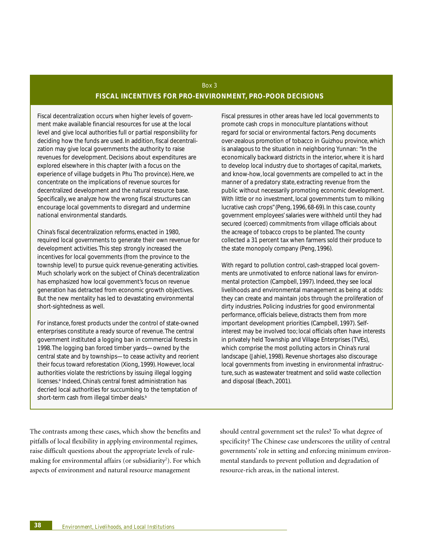# Box 3 **FISCAL INCENTIVES FOR PRO-ENVIRONMENT, PRO-POOR DECISIONS**

Fiscal decentralization occurs when higher levels of government make available financial resources for use at the local level and give local authorities full or partial responsibility for deciding how the funds are used. In addition, fiscal decentralization may give local governments the authority to raise revenues for development. Decisions about expenditures are explored elsewhere in this chapter (with a focus on the experience of village budgets in Phu Tho province). Here, we concentrate on the implications of revenue sources for decentralized development and the natural resource base. Specifically, we analyze how the wrong fiscal structures can encourage local governments to disregard and undermine national environmental standards.

China's fiscal decentralization reforms, enacted in 1980, required local governments to generate their own revenue for development activities. This step strongly increased the incentives for local governments (from the province to the township level) to pursue quick revenue-generating activities. Much scholarly work on the subject of China's decentralization has emphasized how local government's focus on revenue generation has detracted from economic growth objectives. But the new mentality has led to devastating environmental short-sightedness as well.

For instance, forest products under the control of state-owned enterprises constitute a ready source of revenue. The central government instituted a logging ban in commercial forests in 1998. The logging ban forced timber yards—owned by the central state and by townships—to cease activity and reorient their focus toward reforestation (Xiong, 1999). However, local authorities violate the restrictions by issuing illegal logging licenses.<sup>a</sup> Indeed, China's central forest administration has decried local authorities for succumbing to the temptation of short-term cash from illegal timber deals.<sup>b</sup>

Fiscal pressures in other areas have led local governments to promote cash crops in monoculture plantations without regard for social or environmental factors. Peng documents over-zealous promotion of tobacco in Guizhou province, which is analagous to the situation in neighboring Yunnan: "In the economically backward districts in the interior, where it is hard to develop local industry due to shortages of capital, markets, and know-how, local governments are compelled to act in the manner of a predatory state, extracting revenue from the public without necessarily promoting economic development. With little or no investment, local governments turn to milking lucrative cash crops" (Peng, 1996, 68-69). In this case, county government employees' salaries were withheld until they had secured (coerced) commitments from village officials about the acreage of tobacco crops to be planted. The county collected a 31 percent tax when farmers sold their produce to the state monopoly company (Peng, 1996).

With regard to pollution control, cash-strapped local governments are unmotivated to enforce national laws for environmental protection (Campbell, 1997). Indeed, they see local livelihoods and environmental management as being at odds: they can create and maintain jobs through the proliferation of dirty industries. Policing industries for good environmental performance, officials believe, distracts them from more important development priorities (Campbell, 1997). Selfinterest may be involved too; local officials often have interests in privately held Township and Village Enterprises (TVEs), which comprise the most polluting actors in China's rural landscape (Jahiel, 1998). Revenue shortages also discourage local governments from investing in environmental infrastructure, such as wastewater treatment and solid waste collection and disposal (Beach, 2001).

The contrasts among these cases, which show the benefits and pitfalls of local flexibility in applying environmental regimes, raise difficult questions about the appropriate levels of rulemaking for environmental affairs (or subsidiarity<sup>2</sup>). For which aspects of environment and natural resource management

should central government set the rules? To what degree of specificity? The Chinese case underscores the utility of central governments' role in setting and enforcing minimum environmental standards to prevent pollution and degradation of resource-rich areas, in the national interest.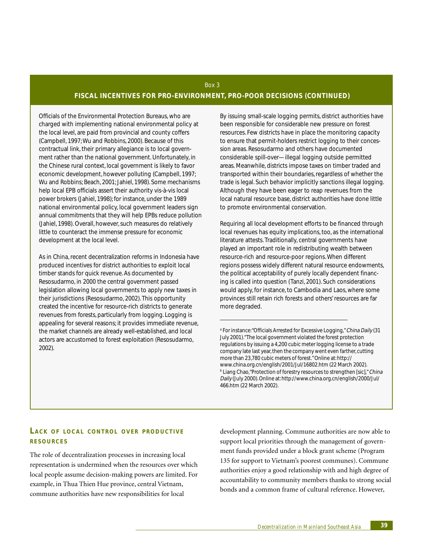# Box 3 **FISCAL INCENTIVES FOR PRO-ENVIRONMENT, PRO-POOR DECISIONS (CONTINUED)**

Officials of the Environmental Protection Bureaus, who are charged with implementing national environmental policy at the local level, are paid from provincial and county coffers (Campbell, 1997; Wu and Robbins, 2000). Because of this contractual link, their primary allegiance is to local government rather than the national government. Unfortunately, in the Chinese rural context, local government is likely to favor economic development, however polluting (Campbell, 1997; Wu and Robbins; Beach, 2001; Jahiel, 1998). Some mechanisms help local EPB officials assert their authority vis-à-vis local power brokers (Jahiel, 1998); for instance, under the 1989 national environmental policy, local government leaders sign annual commitments that they will help EPBs reduce pollution (Jahiel, 1998). Overall, however, such measures do relatively little to counteract the immense pressure for economic development at the local level.

As in China, recent decentralization reforms in Indonesia have produced incentives for district authorities to exploit local timber stands for quick revenue. As documented by Resosudarmo, in 2000 the central government passed legislation allowing local governments to apply new taxes in their jurisdictions (Resosudarmo, 2002). This opportunity created the incentive for resource-rich districts to generate revenues from forests, particularly from logging. Logging is appealing for several reasons; it provides immediate revenue, the market channels are already well-established, and local actors are accustomed to forest exploitation (Resosudarmo, 2002).

By issuing small-scale logging permits, district authorities have been responsible for considerable new pressure on forest resources. Few districts have in place the monitoring capacity to ensure that permit-holders restrict logging to their concession areas. Resosudarmo and others have documented considerable spill-over—illegal logging outside permitted areas. Meanwhile, districts impose taxes on timber traded and transported within their boundaries, regardless of whether the trade is legal. Such behavior implicitly sanctions illegal logging. Although they have been eager to reap revenues from the local natural resource base, district authorities have done little to promote environmental conservation.

Requiring all local development efforts to be financed through local revenues has equity implications, too, as the international literature attests. Traditionally, central governments have played an important role in redistributing wealth between resource-rich and resource-poor regions. When different regions possess widely different natural resource endowments, the political acceptability of purely locally dependent financing is called into question (Tanzi, 2001). Such considerations would apply, for instance, to Cambodia and Laos, where some provinces still retain rich forests and others' resources are far more degraded.

<sup>a</sup> For instance:"Officials Arrested for Excessive Logging," *China Daily* (31 July 2001). "The local government violated the forest protection regulations by issuing a 4,200 cubic meter logging license to a trade company late last year, then the company went even farther, cutting more than 23,780 cubic meters of forest." Online at: http:// www.china.org.cn/english/2001/Jul/16802.htm (22 March 2002). **b** Liang Chao, "Protection of forestry resources to strengthen [sic]," *China* Daily (July 2000). Online at: http://www.china.org.cn/english/2000/Jul/ 466.htm (22 March 2002).

## **LACK OF LOCAL CONTROL OVER PRODUCTIVE RESOURCES**

The role of decentralization processes in increasing local representation is undermined when the resources over which local people assume decision-making powers are limited. For example, in Thua Thien Hue province, central Vietnam, commune authorities have new responsibilities for local

development planning. Commune authorities are now able to support local priorities through the management of government funds provided under a block grant scheme (Program 135 for support to Vietnam's poorest communes). Commune authorities enjoy a good relationship with and high degree of accountability to community members thanks to strong social bonds and a common frame of cultural reference. However,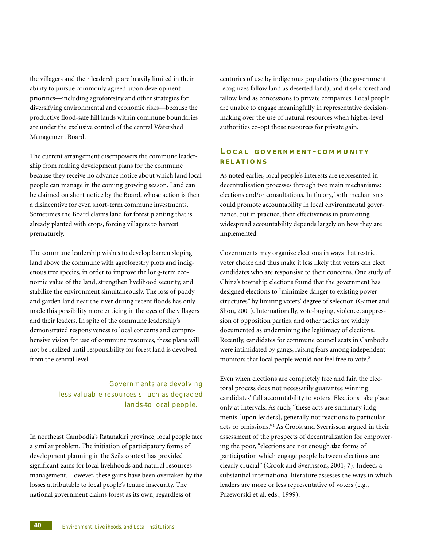the villagers and their leadership are heavily limited in their ability to pursue commonly agreed-upon development priorities—including agroforestry and other strategies for diversifying environmental and economic risks—because the productive flood-safe hill lands within commune boundaries are under the exclusive control of the central Watershed Management Board.

The current arrangement disempowers the commune leadership from making development plans for the commune because they receive no advance notice about which land local people can manage in the coming growing season. Land can be claimed on short notice by the Board, whose action is then a disincentive for even short-term commune investments. Sometimes the Board claims land for forest planting that is already planted with crops, forcing villagers to harvest prematurely.

The commune leadership wishes to develop barren sloping land above the commune with agroforestry plots and indigenous tree species, in order to improve the long-term economic value of the land, strengthen livelihood security, and stabilize the environment simultaneously. The loss of paddy and garden land near the river during recent floods has only made this possibility more enticing in the eyes of the villagers and their leaders. In spite of the commune leadership's demonstrated responsiveness to local concerns and comprehensive vision for use of commune resources, these plans will not be realized until responsibility for forest land is devolved from the central level.

> Governments are devolving less valuable resources-s uch as degraded lands-to local people.

In northeast Cambodia's Ratanakiri province, local people face a similar problem. The initiation of participatory forms of development planning in the Seila context has provided significant gains for local livelihoods and natural resources management. However, these gains have been overtaken by the losses attributable to local people's tenure insecurity. The national government claims forest as its own, regardless of

centuries of use by indigenous populations (the government recognizes fallow land as deserted land), and it sells forest and fallow land as concessions to private companies. Local people are unable to engage meaningfully in representative decisionmaking over the use of natural resources when higher-level authorities co-opt those resources for private gain.

# **L OCAL GOVERNMENT - COMMUNITY REL ATIONS**

As noted earlier, local people's interests are represented in decentralization processes through two main mechanisms: elections and/or consultations. In theory, both mechanisms could promote accountability in local environmental governance, but in practice, their effectiveness in promoting widespread accountability depends largely on how they are implemented.

Governments may organize elections in ways that restrict voter choice and thus make it less likely that voters can elect candidates who are responsive to their concerns. One study of China's township elections found that the government has designed elections to "minimize danger to existing power structures" by limiting voters' degree of selection (Gamer and Shou, 2001). Internationally, vote-buying, violence, suppression of opposition parties, and other tactics are widely documented as undermining the legitimacy of elections. Recently, candidates for commune council seats in Cambodia were intimidated by gangs, raising fears among independent monitors that local people would not feel free to vote.<sup>3</sup>

Even when elections are completely free and fair, the electoral process does not necessarily guarantee winning candidates' full accountability to voters. Elections take place only at intervals. As such, "these acts are summary judgments [upon leaders], generally not reactions to particular acts or omissions."4 As Crook and Sverrisson argued in their assessment of the prospects of decentralization for empowering the poor, "elections are not enough the forms of participation which engage people between elections are clearly crucial" (Crook and Sverrisson, 2001, 7). Indeed, a substantial international literature assesses the ways in which leaders are more or less representative of voters (e.g., Przeworski et al. eds., 1999).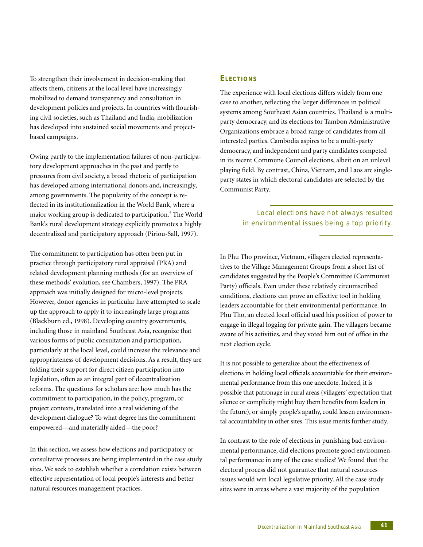To strengthen their involvement in decision-making that affects them, citizens at the local level have increasingly mobilized to demand transparency and consultation in development policies and projects. In countries with flourishing civil societies, such as Thailand and India, mobilization has developed into sustained social movements and projectbased campaigns.

Owing partly to the implementation failures of non-participatory development approaches in the past and partly to pressures from civil society, a broad rhetoric of participation has developed among international donors and, increasingly, among governments. The popularity of the concept is reflected in its institutionalization in the World Bank, where a major working group is dedicated to participation.5 The World Bank's rural development strategy explicitly promotes a highly decentralized and participatory approach (Piriou-Sall, 1997).

The commitment to participation has often been put in practice through participatory rural appraisal (PRA) and related development planning methods (for an overview of these methods' evolution, see Chambers, 1997). The PRA approach was initially designed for micro-level projects. However, donor agencies in particular have attempted to scale up the approach to apply it to increasingly large programs (Blackburn ed., 1998). Developing country governments, including those in mainland Southeast Asia, recognize that various forms of public consultation and participation, particularly at the local level, could increase the relevance and appropriateness of development decisions. As a result, they are folding their support for direct citizen participation into legislation, often as an integral part of decentralization reforms. The questions for scholars are: how much has the commitment to participation, in the policy, program, or project contexts, translated into a real widening of the development dialogue? To what degree has the commitment empowered—and materially aided—the poor?

In this section, we assess how elections and participatory or consultative processes are being implemented in the case study sites. We seek to establish whether a correlation exists between effective representation of local people's interests and better natural resources management practices.

#### **ELECTIONS**

The experience with local elections differs widely from one case to another, reflecting the larger differences in political systems among Southeast Asian countries. Thailand is a multiparty democracy, and its elections for Tambon Administrative Organizations embrace a broad range of candidates from all interested parties. Cambodia aspires to be a multi-party democracy, and independent and party candidates competed in its recent Commune Council elections, albeit on an unlevel playing field. By contrast, China, Vietnam, and Laos are singleparty states in which electoral candidates are selected by the Communist Party.

> Local elections have not always resulted in environmental issues being a top priority.

In Phu Tho province, Vietnam, villagers elected representatives to the Village Management Groups from a short list of candidates suggested by the People's Committee (Communist Party) officials. Even under these relatively circumscribed conditions, elections can prove an effective tool in holding leaders accountable for their environmental performance. In Phu Tho, an elected local official used his position of power to engage in illegal logging for private gain. The villagers became aware of his activities, and they voted him out of office in the next election cycle.

It is not possible to generalize about the effectiveness of elections in holding local officials accountable for their environmental performance from this one anecdote. Indeed, it is possible that patronage in rural areas (villagers' expectation that silence or complicity might buy them benefits from leaders in the future), or simply people's apathy, could lessen environmental accountability in other sites. This issue merits further study.

In contrast to the role of elections in punishing bad environmental performance, did elections promote good environmental performance in any of the case studies? We found that the electoral process did not guarantee that natural resources issues would win local legislative priority. All the case study sites were in areas where a vast majority of the population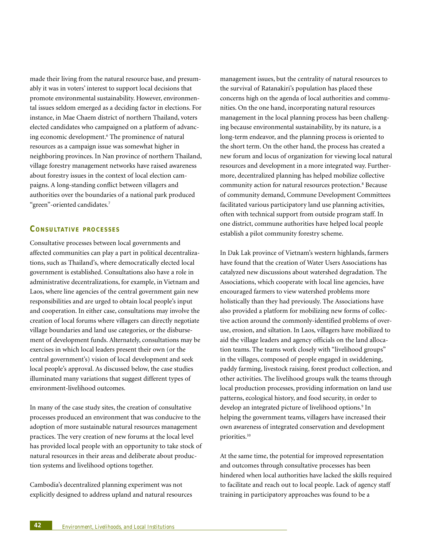made their living from the natural resource base, and presumably it was in voters' interest to support local decisions that promote environmental sustainability. However, environmental issues seldom emerged as a deciding factor in elections. For instance, in Mae Chaem district of northern Thailand, voters elected candidates who campaigned on a platform of advancing economic development.<sup>6</sup> The prominence of natural resources as a campaign issue was somewhat higher in neighboring provinces. In Nan province of northern Thailand, village forestry management networks have raised awareness about forestry issues in the context of local election campaigns. A long-standing conflict between villagers and authorities over the boundaries of a national park produced "green"-oriented candidates.7

# **CO N S U LTAT I V E PROCESSES**

Consultative processes between local governments and affected communities can play a part in political decentralizations, such as Thailand's, where democratically elected local government is established. Consultations also have a role in administrative decentralizations, for example, in Vietnam and Laos, where line agencies of the central government gain new responsibilities and are urged to obtain local people's input and cooperation. In either case, consultations may involve the creation of local forums where villagers can directly negotiate village boundaries and land use categories, or the disbursement of development funds. Alternately, consultations may be exercises in which local leaders present their own (or the central government's) vision of local development and seek local people's approval. As discussed below, the case studies illuminated many variations that suggest different types of environment-livelihood outcomes.

In many of the case study sites, the creation of consultative processes produced an environment that was conducive to the adoption of more sustainable natural resources management practices. The very creation of new forums at the local level has provided local people with an opportunity to take stock of natural resources in their areas and deliberate about production systems and livelihood options together.

Cambodia's decentralized planning experiment was not explicitly designed to address upland and natural resources management issues, but the centrality of natural resources to the survival of Ratanakiri's population has placed these concerns high on the agenda of local authorities and communities. On the one hand, incorporating natural resources management in the local planning process has been challenging because environmental sustainability, by its nature, is a long-term endeavor, and the planning process is oriented to the short term. On the other hand, the process has created a new forum and locus of organization for viewing local natural resources and development in a more integrated way. Furthermore, decentralized planning has helped mobilize collective community action for natural resources protection.<sup>8</sup> Because of community demand, Commune Development Committees facilitated various participatory land use planning activities, often with technical support from outside program staff. In one district, commune authorities have helped local people establish a pilot community forestry scheme.

In Dak Lak province of Vietnam's western highlands, farmers have found that the creation of Water Users Associations has catalyzed new discussions about watershed degradation. The Associations, which cooperate with local line agencies, have encouraged farmers to view watershed problems more holistically than they had previously. The Associations have also provided a platform for mobilizing new forms of collective action around the commonly-identified problems of overuse, erosion, and siltation. In Laos, villagers have mobilized to aid the village leaders and agency officials on the land allocation teams. The teams work closely with "livelihood groups" in the villages, composed of people engaged in swiddening, paddy farming, livestock raising, forest product collection, and other activities. The livelihood groups walk the teams through local production processes, providing information on land use patterns, ecological history, and food security, in order to develop an integrated picture of livelihood options.<sup>9</sup> In helping the government teams, villagers have increased their own awareness of integrated conservation and development priorities.<sup>10</sup>

At the same time, the potential for improved representation and outcomes through consultative processes has been hindered when local authorities have lacked the skills required to facilitate and reach out to local people. Lack of agency staff training in participatory approaches was found to be a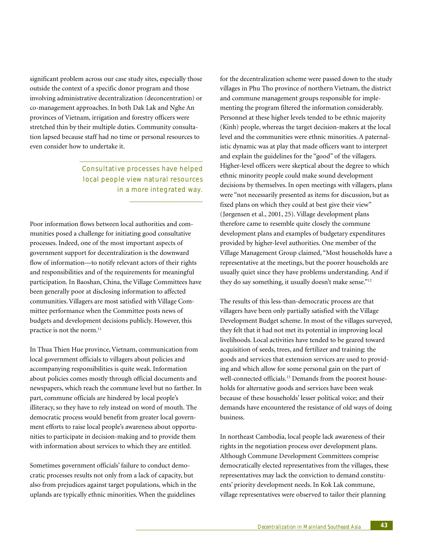significant problem across our case study sites, especially those outside the context of a specific donor program and those involving administrative decentralization (deconcentration) or co-management approaches. In both Dak Lak and Nghe An provinces of Vietnam, irrigation and forestry officers were stretched thin by their multiple duties. Community consultation lapsed because staff had no time or personal resources to even consider how to undertake it.

# Consultative processes have helped local people view natural resources in a more integrated way.

Poor information flows between local authorities and communities posed a challenge for initiating good consultative processes. Indeed, one of the most important aspects of government support for decentralization is the downward flow of information—to notify relevant actors of their rights and responsibilities and of the requirements for meaningful participation. In Baoshan, China, the Village Committees have been generally poor at disclosing information to affected communities. Villagers are most satisfied with Village Committee performance when the Committee posts news of budgets and development decisions publicly. However, this practice is not the norm.<sup>11</sup>

In Thua Thien Hue province, Vietnam, communication from local government officials to villagers about policies and accompanying responsibilities is quite weak. Information about policies comes mostly through official documents and newspapers, which reach the commune level but no farther. In part, commune officials are hindered by local people's illiteracy, so they have to rely instead on word of mouth. The democratic process would benefit from greater local government efforts to raise local people's awareness about opportunities to participate in decision-making and to provide them with information about services to which they are entitled.

Sometimes government officials' failure to conduct democratic processes results not only from a lack of capacity, but also from prejudices against target populations, which in the uplands are typically ethnic minorities. When the guidelines

for the decentralization scheme were passed down to the study villages in Phu Tho province of northern Vietnam, the district and commune management groups responsible for implementing the program filtered the information considerably. Personnel at these higher levels tended to be ethnic majority (Kinh) people, whereas the target decision-makers at the local level and the communities were ethnic minorities. A paternalistic dynamic was at play that made officers want to interpret and explain the guidelines for the "good" of the villagers. Higher-level officers were skeptical about the degree to which ethnic minority people could make sound development decisions by themselves. In open meetings with villagers, plans were "not necessarily presented as items for discussion, but as fixed plans on which they could at best give their view" (Jørgensen et al., 2001, 25). Village development plans therefore came to resemble quite closely the commune development plans and examples of budgetary expenditures provided by higher-level authorities. One member of the Village Management Group claimed, "Most households have a representative at the meetings, but the poorer households are usually quiet since they have problems understanding. And if they do say something, it usually doesn't make sense."<sup>12</sup>

The results of this less-than-democratic process are that villagers have been only partially satisfied with the Village Development Budget scheme. In most of the villages surveyed, they felt that it had not met its potential in improving local livelihoods. Local activities have tended to be geared toward acquisition of seeds, trees, and fertilizer and training: the goods and services that extension services are used to providing and which allow for some personal gain on the part of well-connected officials.<sup>13</sup> Demands from the poorest households for alternative goods and services have been weak because of these households' lesser political voice; and their demands have encountered the resistance of old ways of doing business.

In northeast Cambodia, local people lack awareness of their rights in the negotiation process over development plans. Although Commune Development Committees comprise democratically elected representatives from the villages, these representatives may lack the conviction to demand constituents' priority development needs. In Kok Lak commune, village representatives were observed to tailor their planning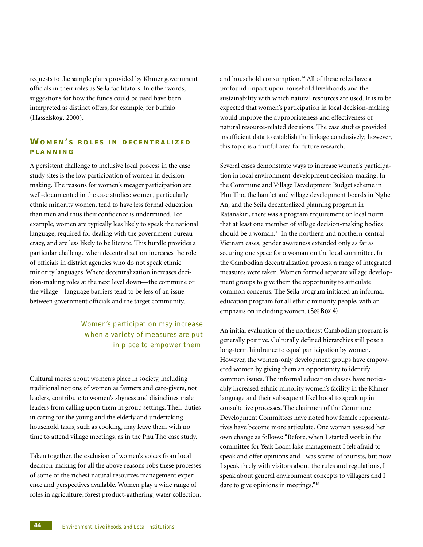requests to the sample plans provided by Khmer government officials in their roles as Seila facilitators. In other words, suggestions for how the funds could be used have been interpreted as distinct offers, for example, for buffalo (Hasselskog, 2000).

# **WOMEN ' S ROLES I N DECENTRALIZED PLANNING**

A persistent challenge to inclusive local process in the case study sites is the low participation of women in decisionmaking. The reasons for women's meager participation are well-documented in the case studies: women, particularly ethnic minority women, tend to have less formal education than men and thus their confidence is undermined. For example, women are typically less likely to speak the national language, required for dealing with the government bureaucracy, and are less likely to be literate. This hurdle provides a particular challenge when decentralization increases the role of officials in district agencies who do not speak ethnic minority languages. Where decentralization increases decision-making roles at the next level down—the commune or the village—language barriers tend to be less of an issue between government officials and the target community.

> Women's participation may increase when a variety of measures are put in place to empower them.

Cultural mores about women's place in society, including traditional notions of women as farmers and care-givers, not leaders, contribute to women's shyness and disinclines male leaders from calling upon them in group settings. Their duties in caring for the young and the elderly and undertaking household tasks, such as cooking, may leave them with no time to attend village meetings, as in the Phu Tho case study.

Taken together, the exclusion of women's voices from local decision-making for all the above reasons robs these processes of some of the richest natural resources management experience and perspectives available. Women play a wide range of roles in agriculture, forest product-gathering, water collection, and household consumption.<sup>14</sup> All of these roles have a profound impact upon household livelihoods and the sustainability with which natural resources are used. It is to be expected that women's participation in local decision-making would improve the appropriateness and effectiveness of natural resource-related decisions. The case studies provided insufficient data to establish the linkage conclusively; however, this topic is a fruitful area for future research.

Several cases demonstrate ways to increase women's participation in local environment-development decision-making. In the Commune and Village Development Budget scheme in Phu Tho, the hamlet and village development boards in Nghe An, and the Seila decentralized planning program in Ratanakiri, there was a program requirement or local norm that at least one member of village decision-making bodies should be a woman.<sup>15</sup> In the northern and northern-central Vietnam cases, gender awareness extended only as far as securing one space for a woman on the local committee. In the Cambodian decentralization process, a range of integrated measures were taken. Women formed separate village development groups to give them the opportunity to articulate common concerns. The Seila program initiated an informal education program for all ethnic minority people, with an emphasis on including women. (*See Box 4).*

An initial evaluation of the northeast Cambodian program is generally positive. Culturally defined hierarchies still pose a long-term hindrance to equal participation by women. However, the women-only development groups have empowered women by giving them an opportunity to identify common issues. The informal education classes have noticeably increased ethnic minority women's facility in the Khmer language and their subsequent likelihood to speak up in consultative processes. The chairmen of the Commune Development Committees have noted how female representatives have become more articulate. One woman assessed her own change as follows: "Before, when I started work in the committee for Yeak Loam lake management I felt afraid to speak and offer opinions and I was scared of tourists, but now I speak freely with visitors about the rules and regulations, I speak about general environment concepts to villagers and I dare to give opinions in meetings."<sup>16</sup>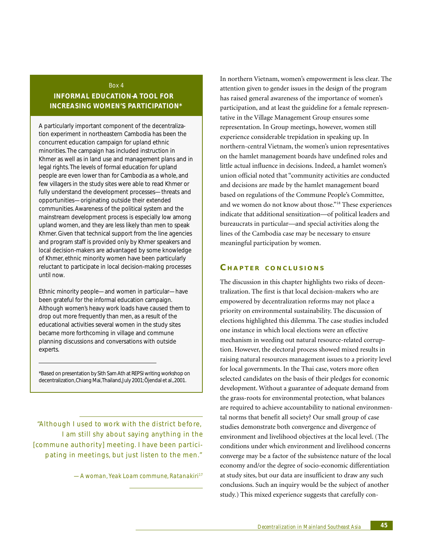Box 4

# **INFORMAL EDUCATION—A TOOL FOR INCREASING WOMEN'S PARTICIPATION\***

A particularly important component of the decentralization experiment in northeastern Cambodia has been the concurrent education campaign for upland ethnic minorities. The campaign has included instruction in Khmer as well as in land use and management plans and in legal rights. The levels of formal education for upland people are even lower than for Cambodia as a whole, and few villagers in the study sites were able to read Khmer or fully understand the development processes—threats and opportunities—originating outside their extended communities. Awareness of the political system and the mainstream development process is especially low among upland women, and they are less likely than men to speak Khmer. Given that technical support from the line agencies and program staff is provided only by Khmer speakers and local decision-makers are advantaged by some knowledge of Khmer, ethnic minority women have been particularly reluctant to participate in local decision-making processes until now.

Ethnic minority people—and women in particular—have been grateful for the informal education campaign. Although women's heavy work loads have caused them to drop out more frequently than men, as a result of the educational activities several women in the study sites became more forthcoming in village and commune planning discussions and conversations with outside experts.

\*Based on presentation by Sith Sam Ath at REPSI writing workshop on decentralization, Chiang Mai, Thailand, July 2001; Öjendal et al., 2001.

"Although I used to work with the district before, I am still shy about saying anything in the [commune authority] meeting. I have been participating in meetings, but just listen to the men."

*—A woman, Yeak Loam commune, Ratanakiri17*

In northern Vietnam, women's empowerment is less clear. The attention given to gender issues in the design of the program has raised general awareness of the importance of women's participation, and at least the guideline for a female representative in the Village Management Group ensures some representation. In Group meetings, however, women still experience considerable trepidation in speaking up. In northern-central Vietnam, the women's union representatives on the hamlet management boards have undefined roles and little actual influence in decisions. Indeed, a hamlet women's union official noted that "community activities are conducted and decisions are made by the hamlet management board based on regulations of the Commune People's Committee, and we women do not know about those."18 These experiences indicate that additional sensitization—of political leaders and bureaucrats in particular—and special activities along the lines of the Cambodia case may be necessary to ensure meaningful participation by women.

# **C HAPTER CONCLUSIONS**

The discussion in this chapter highlights two risks of decentralization. The first is that local decision-makers who are empowered by decentralization reforms may not place a priority on environmental sustainability. The discussion of elections highlighted this dilemma. The case studies included one instance in which local elections were an effective mechanism in weeding out natural resource-related corruption. However, the electoral process showed mixed results in raising natural resources management issues to a priority level for local governments. In the Thai case, voters more often selected candidates on the basis of their pledges for economic development. Without a guarantee of adequate demand from the grass-roots for environmental protection, what balances are required to achieve accountability to national environmental norms that benefit all society? Our small group of case studies demonstrate both convergence and divergence of environment and livelihood objectives at the local level. (The conditions under which environment and livelihood concerns converge may be a factor of the subsistence nature of the local economy and/or the degree of socio-economic differentiation at study sites, but our data are insufficient to draw any such conclusions. Such an inquiry would be the subject of another study.) This mixed experience suggests that carefully con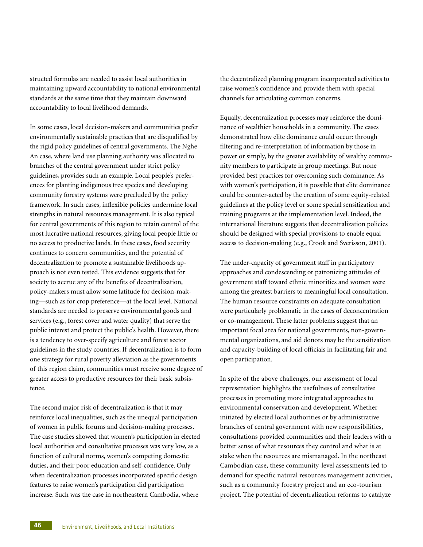structed formulas are needed to assist local authorities in maintaining upward accountability to national environmental standards at the same time that they maintain downward accountability to local livelihood demands.

In some cases, local decision-makers and communities prefer environmentally sustainable practices that are disqualified by the rigid policy guidelines of central governments. The Nghe An case, where land use planning authority was allocated to branches of the central government under strict policy guidelines, provides such an example. Local people's preferences for planting indigenous tree species and developing community forestry systems were precluded by the policy framework. In such cases, inflexible policies undermine local strengths in natural resources management. It is also typical for central governments of this region to retain control of the most lucrative national resources, giving local people little or no access to productive lands. In these cases, food security continues to concern communities, and the potential of decentralization to promote a sustainable livelihoods approach is not even tested. This evidence suggests that for society to accrue any of the benefits of decentralization, policy-makers must allow some latitude for decision-making—such as for crop preference—at the local level. National standards are needed to preserve environmental goods and services (e.g., forest cover and water quality) that serve the public interest and protect the public's health. However, there is a tendency to over-specify agriculture and forest sector guidelines in the study countries. If decentralization is to form one strategy for rural poverty alleviation as the governments of this region claim, communities must receive some degree of greater access to productive resources for their basic subsistence.

The second major risk of decentralization is that it may reinforce local inequalities, such as the unequal participation of women in public forums and decision-making processes. The case studies showed that women's participation in elected local authorities and consultative processes was very low, as a function of cultural norms, women's competing domestic duties, and their poor education and self-confidence. Only when decentralization processes incorporated specific design features to raise women's participation did participation increase. Such was the case in northeastern Cambodia, where

the decentralized planning program incorporated activities to raise women's confidence and provide them with special channels for articulating common concerns.

Equally, decentralization processes may reinforce the dominance of wealthier households in a community. The cases demonstrated how elite dominance could occur: through filtering and re-interpretation of information by those in power or simply, by the greater availability of wealthy community members to participate in group meetings. But none provided best practices for overcoming such dominance. As with women's participation, it is possible that elite dominance could be counter-acted by the creation of some equity-related guidelines at the policy level or some special sensitization and training programs at the implementation level. Indeed, the international literature suggests that decentralization policies should be designed with special provisions to enable equal access to decision-making (e.g., Crook and Sverisson, 2001).

The under-capacity of government staff in participatory approaches and condescending or patronizing attitudes of government staff toward ethnic minorities and women were among the greatest barriers to meaningful local consultation. The human resource constraints on adequate consultation were particularly problematic in the cases of deconcentration or co-management. These latter problems suggest that an important focal area for national governments, non-governmental organizations, and aid donors may be the sensitization and capacity-building of local officials in facilitating fair and open participation.

In spite of the above challenges, our assessment of local representation highlights the usefulness of consultative processes in promoting more integrated approaches to environmental conservation and development. Whether initiated by elected local authorities or by administrative branches of central government with new responsibilities, consultations provided communities and their leaders with a better sense of what resources they control and what is at stake when the resources are mismanaged. In the northeast Cambodian case, these community-level assessments led to demand for specific natural resources management activities, such as a community forestry project and an eco-tourism project. The potential of decentralization reforms to catalyze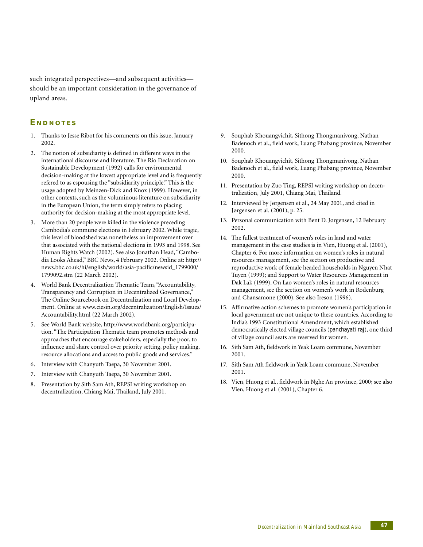such integrated perspectives—and subsequent activities should be an important consideration in the governance of upland areas.

# **E NDNOTES**

- 1. Thanks to Jesse Ribot for his comments on this issue, January 2002.
- 2. The notion of subsidiarity is defined in different ways in the international discourse and literature. The Rio Declaration on Sustainable Development (1992) calls for environmental decision-making at the lowest appropriate level and is frequently refered to as espousing the "subsidiarity principle." This is the usage adopted by Meinzen-Dick and Knox (1999). However, in other contexts, such as the voluminous literature on subsidiarity in the European Union, the term simply refers to placing authority for decision-making at the most appropriate level.
- 3. More than 20 people were killed in the violence preceding Cambodia's commune elections in February 2002. While tragic, this level of bloodshed was nonetheless an improvement over that associated with the national elections in 1993 and 1998. See Human Rights Watch (2002). See also Jonathan Head, "Cambodia Looks Ahead," BBC News, 4 February 2002. Online at: http:// news.bbc.co.uk/hi/english/world/asia-pacific/newsid\_1799000/ 1799092.stm (22 March 2002).
- 4. World Bank Decentralization Thematic Team, "Accountability, Transparency and Corruption in Decentralized Governance," The Online Sourcebook on Decentralization and Local Development. Online at www.ciesin.org/decentralization/English/Issues/ Accountability.html (22 March 2002).
- 5. See World Bank website, http://www.worldbank.org/participation. "The Participation Thematic team promotes methods and approaches that encourage stakeholders, especially the poor, to influence and share control over priority setting, policy making, resource allocations and access to public goods and services."
- 6. Interview with Chanyuth Taepa, 30 November 2001.
- 7. Interview with Chanyuth Taepa, 30 November 2001.
- 8. Presentation by Sith Sam Ath, REPSI writing workshop on decentralization, Chiang Mai, Thailand, July 2001.
- 9. Souphab Khouangvichit, Sithong Thongmanivong, Nathan Badenoch et al., field work, Luang Phabang province, November 2000.
- 10. Souphab Khouangvichit, Sithong Thongmanivong, Nathan Badenoch et al., field work, Luang Phabang province, November 2000.
- 11. Presentation by Zuo Ting, REPSI writing workshop on decentralization, July 2001, Chiang Mai, Thailand.
- 12. Interviewed by Jørgensen et al., 24 May 2001, and cited in Jørgensen et al. (2001), p. 25.
- 13. Personal communication with Bent D. Jørgensen, 12 February 2002.
- 14. The fullest treatment of women's roles in land and water management in the case studies is in Vien, Huong et al. (2001), Chapter 6. For more information on women's roles in natural resources management, see the section on productive and reproductive work of female headed households in Nguyen Nhat Tuyen (1999); and Support to Water Resources Management in Dak Lak (1999). On Lao women's roles in natural resources management, see the section on women's work in Rodenburg and Chansamone (2000). See also Ireson (1996).
- 15. Affirmative action schemes to promote women's participation in local government are not unique to these countries. According to India's 1993 Constitutional Amendment, which established democratically elected village councils (*panchayati raj*), one third of village council seats are reserved for women.
- 16. Sith Sam Ath, fieldwork in Yeak Loam commune, November 2001.
- 17. Sith Sam Ath fieldwork in Yeak Loam commune, November 2001.
- 18. Vien, Huong et al., fieldwork in Nghe An province, 2000; see also Vien, Huong et al. (2001), Chapter 6.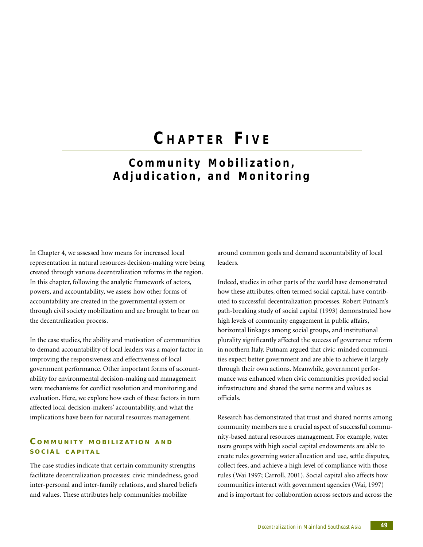# **C HAPTER F IVE**

# **Community Mobilization, Adjudication, and Monitoring**

In Chapter 4, we assessed how means for increased local representation in natural resources decision-making were being created through various decentralization reforms in the region. In this chapter, following the analytic framework of actors, powers, and accountability, we assess how other forms of accountability are created in the governmental system or through civil society mobilization and are brought to bear on the decentralization process.

In the case studies, the ability and motivation of communities to demand accountability of local leaders was a major factor in improving the responsiveness and effectiveness of local government performance. Other important forms of accountability for environmental decision-making and management were mechanisms for conflict resolution and monitoring and evaluation. Here, we explore how each of these factors in turn affected local decision-makers' accountability, and what the implications have been for natural resources management.

# **C OMMUNITY MOBILIZ ATION AND SOCIAL CAPITAL**

The case studies indicate that certain community strengths facilitate decentralization processes: civic mindedness, good inter-personal and inter-family relations, and shared beliefs and values. These attributes help communities mobilize

around common goals and demand accountability of local leaders.

Indeed, studies in other parts of the world have demonstrated how these attributes, often termed social capital, have contributed to successful decentralization processes. Robert Putnam's path-breaking study of social capital (1993) demonstrated how high levels of community engagement in public affairs, horizontal linkages among social groups, and institutional plurality significantly affected the success of governance reform in northern Italy. Putnam argued that civic-minded communities expect better government and are able to achieve it largely through their own actions. Meanwhile, government performance was enhanced when civic communities provided social infrastructure and shared the same norms and values as officials.

Research has demonstrated that trust and shared norms among community members are a crucial aspect of successful community-based natural resources management. For example, water users groups with high social capital endowments are able to create rules governing water allocation and use, settle disputes, collect fees, and achieve a high level of compliance with those rules (Wai 1997; Carroll, 2001). Social capital also affects how communities interact with government agencies (Wai, 1997) and is important for collaboration across sectors and across the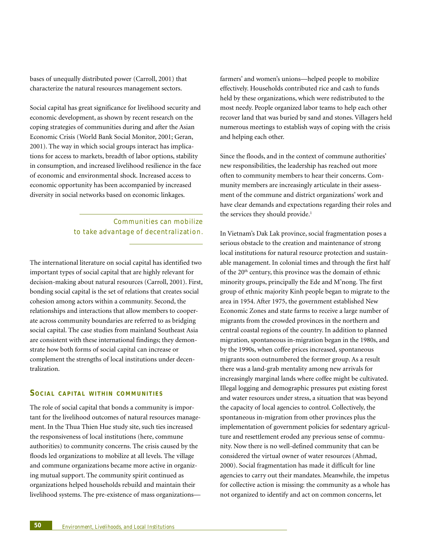bases of unequally distributed power (Carroll, 2001) that characterize the natural resources management sectors.

Social capital has great significance for livelihood security and economic development, as shown by recent research on the coping strategies of communities during and after the Asian Economic Crisis (World Bank Social Monitor, 2001; Geran, 2001). The way in which social groups interact has implications for access to markets, breadth of labor options, stability in consumption, and increased livelihood resilience in the face of economic and environmental shock. Increased access to economic opportunity has been accompanied by increased diversity in social networks based on economic linkages.

> Communities can mobilize to take advantage of decentralization.

The international literature on social capital has identified two important types of social capital that are highly relevant for decision-making about natural resources (Carroll, 2001). First, bonding social capital is the set of relations that creates social cohesion among actors within a community. Second, the relationships and interactions that allow members to cooperate across community boundaries are referred to as bridging social capital. The case studies from mainland Southeast Asia are consistent with these international findings; they demonstrate how both forms of social capital can increase or complement the strengths of local institutions under decentralization.

### **SOCIAL CAPITAL WITHIN COMMUNITIES**

The role of social capital that bonds a community is important for the livelihood outcomes of natural resources management. In the Thua Thien Hue study site, such ties increased the responsiveness of local institutions (here, commune authorities) to community concerns. The crisis caused by the floods led organizations to mobilize at all levels. The village and commune organizations became more active in organizing mutual support. The community spirit continued as organizations helped households rebuild and maintain their livelihood systems. The pre-existence of mass organizationsfarmers' and women's unions—helped people to mobilize effectively. Households contributed rice and cash to funds held by these organizations, which were redistributed to the most needy. People organized labor teams to help each other recover land that was buried by sand and stones. Villagers held numerous meetings to establish ways of coping with the crisis and helping each other.

Since the floods, and in the context of commune authorities' new responsibilities, the leadership has reached out more often to community members to hear their concerns. Community members are increasingly articulate in their assessment of the commune and district organizations' work and have clear demands and expectations regarding their roles and the services they should provide.<sup>1</sup>

In Vietnam's Dak Lak province, social fragmentation poses a serious obstacle to the creation and maintenance of strong local institutions for natural resource protection and sustainable management. In colonial times and through the first half of the 20<sup>th</sup> century, this province was the domain of ethnic minority groups, principally the Ede and M'nong. The first group of ethnic majority Kinh people began to migrate to the area in 1954. After 1975, the government established New Economic Zones and state farms to receive a large number of migrants from the crowded provinces in the northern and central coastal regions of the country. In addition to planned migration, spontaneous in-migration began in the 1980s, and by the 1990s, when coffee prices increased, spontaneous migrants soon outnumbered the former group. As a result there was a land-grab mentality among new arrivals for increasingly marginal lands where coffee might be cultivated. Illegal logging and demographic pressures put existing forest and water resources under stress, a situation that was beyond the capacity of local agencies to control. Collectively, the spontaneous in-migration from other provinces plus the implementation of government policies for sedentary agriculture and resettlement eroded any previous sense of community. Now there is no well-defined community that can be considered the virtual owner of water resources (Ahmad, 2000). Social fragmentation has made it difficult for line agencies to carry out their mandates. Meanwhile, the impetus for collective action is missing: the community as a whole has not organized to identify and act on common concerns, let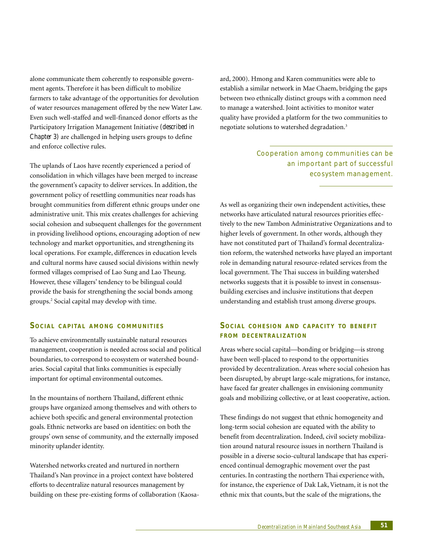alone communicate them coherently to responsible government agents. Therefore it has been difficult to mobilize farmers to take advantage of the opportunities for devolution of water resources management offered by the new Water Law. Even such well-staffed and well-financed donor efforts as the Participatory Irrigation Management Initiative *(described in Chapter 3)* are challenged in helping users groups to define and enforce collective rules.

The uplands of Laos have recently experienced a period of consolidation in which villages have been merged to increase the government's capacity to deliver services. In addition, the government policy of resettling communities near roads has brought communities from different ethnic groups under one administrative unit. This mix creates challenges for achieving social cohesion and subsequent challenges for the government in providing livelihood options, encouraging adoption of new technology and market opportunities, and strengthening its local operations. For example, differences in education levels and cultural norms have caused social divisions within newly formed villages comprised of Lao Sung and Lao Theung. However, these villagers' tendency to be bilingual could provide the basis for strengthening the social bonds among groups.2 Social capital may develop with time.

#### **SOCIAL CAPITAL AMONG COMMUNITIES**

To achieve environmentally sustainable natural resources management, cooperation is needed across social and political boundaries, to correspond to ecosystem or watershed boundaries. Social capital that links communities is especially important for optimal environmental outcomes.

In the mountains of northern Thailand, different ethnic groups have organized among themselves and with others to achieve both specific and general environmental protection goals. Ethnic networks are based on identities: on both the groups' own sense of community, and the externally imposed minority uplander identity.

Watershed networks created and nurtured in northern Thailand's Nan province in a project context have bolstered efforts to decentralize natural resources management by building on these pre-existing forms of collaboration (Kaosaard, 2000). Hmong and Karen communities were able to establish a similar network in Mae Chaem, bridging the gaps between two ethnically distinct groups with a common need to manage a watershed. Joint activities to monitor water quality have provided a platform for the two communities to negotiate solutions to watershed degradation.<sup>3</sup>

> Cooperation among communities can be an important part of successful ecosystem management.

As well as organizing their own independent activities, these networks have articulated natural resources priorities effectively to the new Tambon Administrative Organizations and to higher levels of government. In other words, although they have not constituted part of Thailand's formal decentralization reform, the watershed networks have played an important role in demanding natural resource-related services from the local government. The Thai success in building watershed networks suggests that it is possible to invest in consensusbuilding exercises and inclusive institutions that deepen understanding and establish trust among diverse groups.

## **SOCIAL COHESION AND CAPACITY TO BENEFIT FROM DECENTRALIZ ATION**

Areas where social capital—bonding or bridging—is strong have been well-placed to respond to the opportunities provided by decentralization. Areas where social cohesion has been disrupted, by abrupt large-scale migrations, for instance, have faced far greater challenges in envisioning community goals and mobilizing collective, or at least cooperative, action.

These findings do not suggest that ethnic homogeneity and long-term social cohesion are equated with the ability to benefit from decentralization. Indeed, civil society mobilization around natural resource issues in northern Thailand is possible in a diverse socio-cultural landscape that has experienced continual demographic movement over the past centuries. In contrasting the northern Thai experience with, for instance, the experience of Dak Lak, Vietnam, it is not the ethnic mix that counts, but the scale of the migrations, the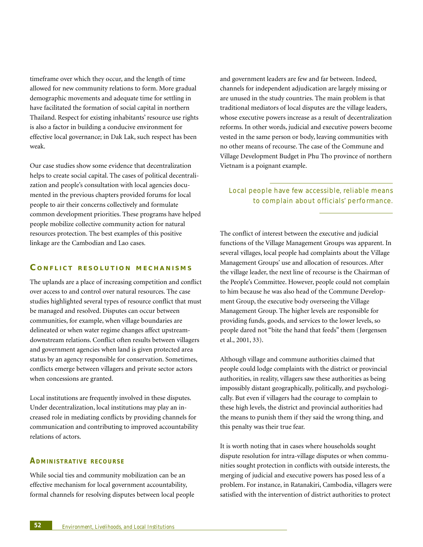timeframe over which they occur, and the length of time allowed for new community relations to form. More gradual demographic movements and adequate time for settling in have facilitated the formation of social capital in northern Thailand. Respect for existing inhabitants' resource use rights is also a factor in building a conducive environment for effective local governance; in Dak Lak, such respect has been weak.

Our case studies show some evidence that decentralization helps to create social capital. The cases of political decentralization and people's consultation with local agencies documented in the previous chapters provided forums for local people to air their concerns collectively and formulate common development priorities. These programs have helped people mobilize collective community action for natural resources protection. The best examples of this positive linkage are the Cambodian and Lao cases.

# **C ONFLICT RESOLUTION MECHANISMS**

The uplands are a place of increasing competition and conflict over access to and control over natural resources. The case studies highlighted several types of resource conflict that must be managed and resolved. Disputes can occur between communities, for example, when village boundaries are delineated or when water regime changes affect upstreamdownstream relations. Conflict often results between villagers and government agencies when land is given protected area status by an agency responsible for conservation. Sometimes, conflicts emerge between villagers and private sector actors when concessions are granted.

Local institutions are frequently involved in these disputes. Under decentralization, local institutions may play an increased role in mediating conflicts by providing channels for communication and contributing to improved accountability relations of actors.

#### **ADMINISTRATIVE RECOURSE**

While social ties and community mobilization can be an effective mechanism for local government accountability, formal channels for resolving disputes between local people and government leaders are few and far between. Indeed, channels for independent adjudication are largely missing or are unused in the study countries. The main problem is that traditional mediators of local disputes are the village leaders, whose executive powers increase as a result of decentralization reforms. In other words, judicial and executive powers become vested in the same person or body, leaving communities with no other means of recourse. The case of the Commune and Village Development Budget in Phu Tho province of northern Vietnam is a poignant example.

# Local people have few accessible, reliable means to complain about officials' performance.

The conflict of interest between the executive and judicial functions of the Village Management Groups was apparent. In several villages, local people had complaints about the Village Management Groups' use and allocation of resources. After the village leader, the next line of recourse is the Chairman of the People's Committee. However, people could not complain to him because he was also head of the Commune Development Group, the executive body overseeing the Village Management Group. The higher levels are responsible for providing funds, goods, and services to the lower levels, so people dared not "bite the hand that feeds" them (Jørgensen et al., 2001, 33).

Although village and commune authorities claimed that people could lodge complaints with the district or provincial authorities, in reality, villagers saw these authorities as being impossibly distant geographically, politically, and psychologically. But even if villagers had the courage to complain to these high levels, the district and provincial authorities had the means to punish them if they said the wrong thing, and this penalty was their true fear.

It is worth noting that in cases where households sought dispute resolution for intra-village disputes or when communities sought protection in conflicts with outside interests, the merging of judicial and executive powers has posed less of a problem. For instance, in Ratanakiri, Cambodia, villagers were satisfied with the intervention of district authorities to protect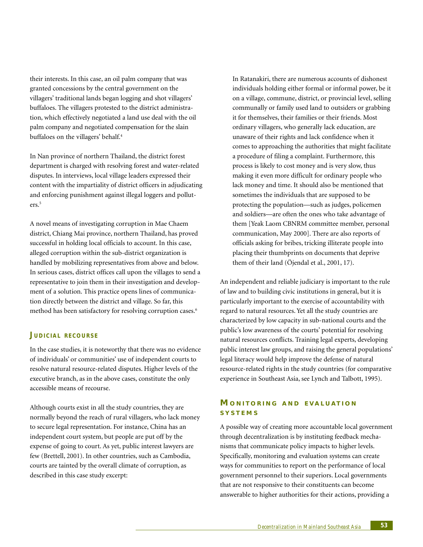their interests. In this case, an oil palm company that was granted concessions by the central government on the villagers' traditional lands began logging and shot villagers' buffaloes. The villagers protested to the district administration, which effectively negotiated a land use deal with the oil palm company and negotiated compensation for the slain buffaloes on the villagers' behalf.<sup>4</sup>

In Nan province of northern Thailand, the district forest department is charged with resolving forest and water-related disputes. In interviews, local village leaders expressed their content with the impartiality of district officers in adjudicating and enforcing punishment against illegal loggers and polluters.5

A novel means of investigating corruption in Mae Chaem district, Chiang Mai province, northern Thailand, has proved successful in holding local officials to account. In this case, alleged corruption within the sub-district organization is handled by mobilizing representatives from above and below. In serious cases, district offices call upon the villages to send a representative to join them in their investigation and development of a solution. This practice opens lines of communication directly between the district and village. So far, this method has been satisfactory for resolving corruption cases.<sup>6</sup>

#### **JUDICIAL RECOURSE**

In the case studies, it is noteworthy that there was no evidence of individuals' or communities' use of independent courts to resolve natural resource-related disputes. Higher levels of the executive branch, as in the above cases, constitute the only accessible means of recourse.

Although courts exist in all the study countries, they are normally beyond the reach of rural villagers, who lack money to secure legal representation. For instance, China has an independent court system, but people are put off by the expense of going to court. As yet, public interest lawyers are few (Brettell, 2001). In other countries, such as Cambodia, courts are tainted by the overall climate of corruption, as described in this case study excerpt:

In Ratanakiri, there are numerous accounts of dishonest individuals holding either formal or informal power, be it on a village, commune, district, or provincial level, selling communally or family used land to outsiders or grabbing it for themselves, their families or their friends. Most ordinary villagers, who generally lack education, are unaware of their rights and lack confidence when it comes to approaching the authorities that might facilitate a procedure of filing a complaint. Furthermore, this process is likely to cost money and is very slow, thus making it even more difficult for ordinary people who lack money and time. It should also be mentioned that sometimes the individuals that are supposed to be protecting the population—such as judges, policemen and soldiers—are often the ones who take advantage of them [Yeak Laom CBNRM committee member, personal communication, May 2000]. There are also reports of officials asking for bribes, tricking illiterate people into placing their thumbprints on documents that deprive them of their land (Öjendal et al., 2001, 17).

An independent and reliable judiciary is important to the rule of law and to building civic institutions in general, but it is particularly important to the exercise of accountability with regard to natural resources. Yet all the study countries are characterized by low capacity in sub-national courts and the public's low awareness of the courts' potential for resolving natural resources conflicts. Training legal experts, developing public interest law groups, and raising the general populations' legal literacy would help improve the defense of natural resource-related rights in the study countries (for comparative experience in Southeast Asia, see Lynch and Talbott, 1995).

# **M ONITORING AND EVALUATION SYSTEMS**

A possible way of creating more accountable local government through decentralization is by instituting feedback mechanisms that communicate policy impacts to higher levels. Specifically, monitoring and evaluation systems can create ways for communities to report on the performance of local government personnel to their superiors. Local governments that are not responsive to their constituents can become answerable to higher authorities for their actions, providing a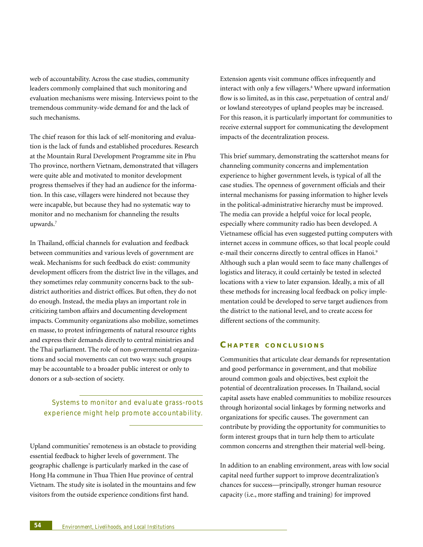web of accountability. Across the case studies, community leaders commonly complained that such monitoring and evaluation mechanisms were missing. Interviews point to the tremendous community-wide demand for and the lack of such mechanisms.

The chief reason for this lack of self-monitoring and evaluation is the lack of funds and established procedures. Research at the Mountain Rural Development Programme site in Phu Tho province, northern Vietnam, demonstrated that villagers were quite able and motivated to monitor development progress themselves if they had an audience for the information. In this case, villagers were hindered not because they were incapable, but because they had no systematic way to monitor and no mechanism for channeling the results upwards.7

In Thailand, official channels for evaluation and feedback between communities and various levels of government are weak. Mechanisms for such feedback do exist: community development officers from the district live in the villages, and they sometimes relay community concerns back to the subdistrict authorities and district offices. But often, they do not do enough. Instead, the media plays an important role in criticizing tambon affairs and documenting development impacts. Community organizations also mobilize, sometimes en masse, to protest infringements of natural resource rights and express their demands directly to central ministries and the Thai parliament. The role of non-governmental organizations and social movements can cut two ways: such groups may be accountable to a broader public interest or only to donors or a sub-section of society.

Systems to monitor and evaluate grass-roots experience might help promote accountability.

Upland communities' remoteness is an obstacle to providing essential feedback to higher levels of government. The geographic challenge is particularly marked in the case of Hong Ha commune in Thua Thien Hue province of central Vietnam. The study site is isolated in the mountains and few visitors from the outside experience conditions first hand.

Extension agents visit commune offices infrequently and interact with only a few villagers.<sup>8</sup> Where upward information flow is so limited, as in this case, perpetuation of central and/ or lowland stereotypes of upland peoples may be increased. For this reason, it is particularly important for communities to receive external support for communicating the development impacts of the decentralization process.

This brief summary, demonstrating the scattershot means for channeling community concerns and implementation experience to higher government levels, is typical of all the case studies. The openness of government officials and their internal mechanisms for passing information to higher levels in the political-administrative hierarchy must be improved. The media can provide a helpful voice for local people, especially where community radio has been developed. A Vietnamese official has even suggested putting computers with internet access in commune offices, so that local people could e-mail their concerns directly to central offices in Hanoi.<sup>9</sup> Although such a plan would seem to face many challenges of logistics and literacy, it could certainly be tested in selected locations with a view to later expansion. Ideally, a mix of all these methods for increasing local feedback on policy implementation could be developed to serve target audiences from the district to the national level, and to create access for different sections of the community.

## **C HAPTER CONCLUSIONS**

Communities that articulate clear demands for representation and good performance in government, and that mobilize around common goals and objectives, best exploit the potential of decentralization processes. In Thailand, social capital assets have enabled communities to mobilize resources through horizontal social linkages by forming networks and organizations for specific causes. The government can contribute by providing the opportunity for communities to form interest groups that in turn help them to articulate common concerns and strengthen their material well-being.

In addition to an enabling environment, areas with low social capital need further support to improve decentralization's chances for success—principally, stronger human resource capacity (i.e., more staffing and training) for improved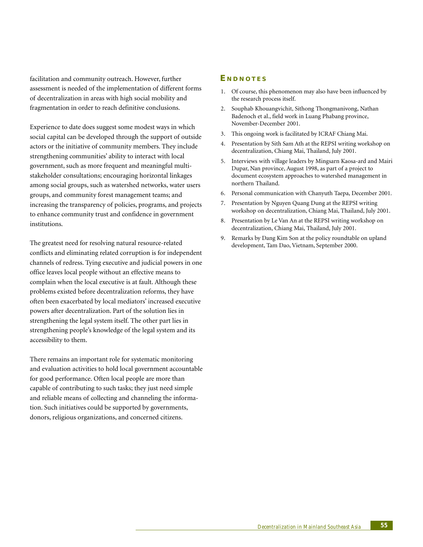facilitation and community outreach. However, further assessment is needed of the implementation of different forms of decentralization in areas with high social mobility and fragmentation in order to reach definitive conclusions.

Experience to date does suggest some modest ways in which social capital can be developed through the support of outside actors or the initiative of community members. They include strengthening communities' ability to interact with local government, such as more frequent and meaningful multistakeholder consultations; encouraging horizontal linkages among social groups, such as watershed networks, water users groups, and community forest management teams; and increasing the transparency of policies, programs, and projects to enhance community trust and confidence in government institutions.

The greatest need for resolving natural resource-related conflicts and eliminating related corruption is for independent channels of redress. Tying executive and judicial powers in one office leaves local people without an effective means to complain when the local executive is at fault. Although these problems existed before decentralization reforms, they have often been exacerbated by local mediators' increased executive powers after decentralization. Part of the solution lies in strengthening the legal system itself. The other part lies in strengthening people's knowledge of the legal system and its accessibility to them.

There remains an important role for systematic monitoring and evaluation activities to hold local government accountable for good performance. Often local people are more than capable of contributing to such tasks; they just need simple and reliable means of collecting and channeling the information. Such initiatives could be supported by governments, donors, religious organizations, and concerned citizens.

#### **E NDNOTES**

- 1. Of course, this phenomenon may also have been influenced by the research process itself.
- 2. Souphab Khouangvichit, Sithong Thongmanivong, Nathan Badenoch et al., field work in Luang Phabang province, November-December 2001.
- 3. This ongoing work is facilitated by ICRAF Chiang Mai.
- 4. Presentation by Sith Sam Ath at the REPSI writing workshop on decentralization, Chiang Mai, Thailand, July 2001.
- 5. Interviews with village leaders by Mingsarn Kaosa-ard and Mairi Dupar, Nan province, August 1998, as part of a project to document ecosystem approaches to watershed management in northern Thailand.
- 6. Personal communication with Chanyuth Taepa, December 2001.
- 7. Presentation by Nguyen Quang Dung at the REPSI writing workshop on decentralization, Chiang Mai, Thailand, July 2001.
- 8. Presentation by Le Van An at the REPSI writing workshop on decentralization, Chiang Mai, Thailand, July 2001.
- 9. Remarks by Dang Kim Son at the policy roundtable on upland development, Tam Dao, Vietnam, September 2000.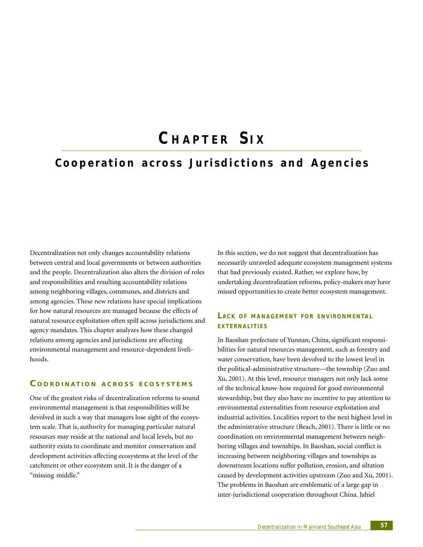# **C HAPTER S I X**

# **Cooperation across Jurisdictions and Agencies**

Decentralization not only changes accountability relations between central and local governments or between authorities and the people. Decentralization also alters the division of roles and responsibilities and resulting accountability relations among neighboring villages, communes, and districts and among agencies. These new relations have special implications for how natural resources are managed because the effects of natural resource exploitation often spill across jurisdictions and agency mandates. This chapter analyzes how these changed relations among agencies and jurisdictions are affecting environmental management and resource-dependent livelihoods.

# **C OORDINATION ACROSS ECOSYSTEMS**

One of the greatest risks of decentralization reforms to sound environmental management is that responsibilities will be devolved in such a way that managers lose sight of the ecosystem scale. That is, authority for managing particular natural resources may reside at the national and local levels, but no authority exists to coordinate and monitor conservation and development activities affecting ecosystems at the level of the catchment or other ecosystem unit. It is the danger of a "missing middle."

In this section, we do not suggest that decentralization has necessarily unraveled adequate ecosystem management systems that had previously existed. Rather, we explore how, by undertaking decentralization reforms, policy-makers may have missed opportunities to create better ecosystem management.

# **LACK OF MANAGEMENT FOR ENVIRONMENTAL EXTERNALITIES**

In Baoshan prefecture of Yunnan, China, significant responsibilities for natural resources management, such as forestry and water conservation, have been devolved to the lowest level in the political-administrative structure—the township (Zuo and Xu, 2001). At this level, resource managers not only lack some of the technical know-how required for good environmental stewardship, but they also have no incentive to pay attention to environmental externalities from resource exploitation and industrial activities. Localities report to the next highest level in the administrative structure (Beach, 2001). There is little or no coordination on environmental management between neighboring villages and townships. In Baoshan, social conflict is increasing between neighboring villages and townships as downstream locations suffer pollution, erosion, and siltation caused by development activities upstream (Zuo and Xu, 2001). The problems in Baoshan are emblematic of a large gap in inter-jurisdictional cooperation throughout China. Jahiel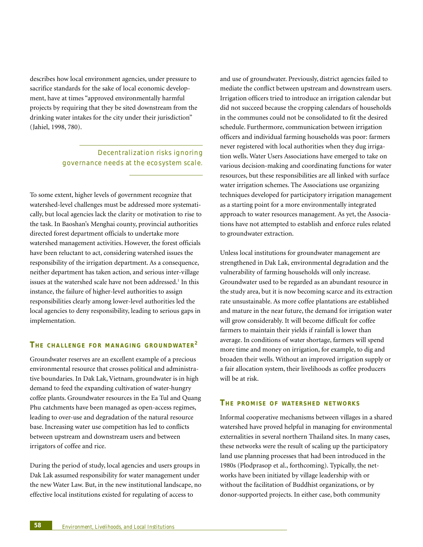describes how local environment agencies, under pressure to sacrifice standards for the sake of local economic development, have at times "approved environmentally harmful projects by requiring that they be sited downstream from the drinking water intakes for the city under their jurisdiction" (Jahiel, 1998, 780).

# Decentralization risks ignoring governance needs at the ecosystem scale.

To some extent, higher levels of government recognize that watershed-level challenges must be addressed more systematically, but local agencies lack the clarity or motivation to rise to the task. In Baoshan's Menghai county, provincial authorities directed forest department officials to undertake more watershed management activities. However, the forest officials have been reluctant to act, considering watershed issues the responsibility of the irrigation department. As a consequence, neither department has taken action, and serious inter-village issues at the watershed scale have not been addressed.<sup>1</sup> In this instance, the failure of higher-level authorities to assign responsibilities clearly among lower-level authorities led the local agencies to deny responsibility, leading to serious gaps in implementation.

## **TH E CHALLENGE FOR MANAGING GROUNDWATER<sup>2</sup>**

Groundwater reserves are an excellent example of a precious environmental resource that crosses political and administrative boundaries. In Dak Lak, Vietnam, groundwater is in high demand to feed the expanding cultivation of water-hungry coffee plants. Groundwater resources in the Ea Tul and Quang Phu catchments have been managed as open-access regimes, leading to over-use and degradation of the natural resource base. Increasing water use competition has led to conflicts between upstream and downstream users and between irrigators of coffee and rice.

During the period of study, local agencies and users groups in Dak Lak assumed responsibility for water management under the new Water Law. But, in the new institutional landscape, no effective local institutions existed for regulating of access to

and use of groundwater. Previously, district agencies failed to mediate the conflict between upstream and downstream users. Irrigation officers tried to introduce an irrigation calendar but did not succeed because the cropping calendars of households in the communes could not be consolidated to fit the desired schedule. Furthermore, communication between irrigation officers and individual farming households was poor: farmers never registered with local authorities when they dug irrigation wells. Water Users Associations have emerged to take on various decision-making and coordinating functions for water resources, but these responsibilities are all linked with surface water irrigation schemes. The Associations use organizing techniques developed for participatory irrigation management as a starting point for a more environmentally integrated approach to water resources management. As yet, the Associations have not attempted to establish and enforce rules related to groundwater extraction.

Unless local institutions for groundwater management are strengthened in Dak Lak, environmental degradation and the vulnerability of farming households will only increase. Groundwater used to be regarded as an abundant resource in the study area, but it is now becoming scarce and its extraction rate unsustainable. As more coffee plantations are established and mature in the near future, the demand for irrigation water will grow considerably. It will become difficult for coffee farmers to maintain their yields if rainfall is lower than average. In conditions of water shortage, farmers will spend more time and money on irrigation, for example, to dig and broaden their wells. Without an improved irrigation supply or a fair allocation system, their livelihoods as coffee producers will be at risk.

#### **TH E PROMISE O F WATERSHED NETWORKS**

Informal cooperative mechanisms between villages in a shared watershed have proved helpful in managing for environmental externalities in several northern Thailand sites. In many cases, these networks were the result of scaling up the participatory land use planning processes that had been introduced in the 1980s (Plodprasop et al., forthcoming). Typically, the networks have been initiated by village leadership with or without the facilitation of Buddhist organizations, or by donor-supported projects. In either case, both community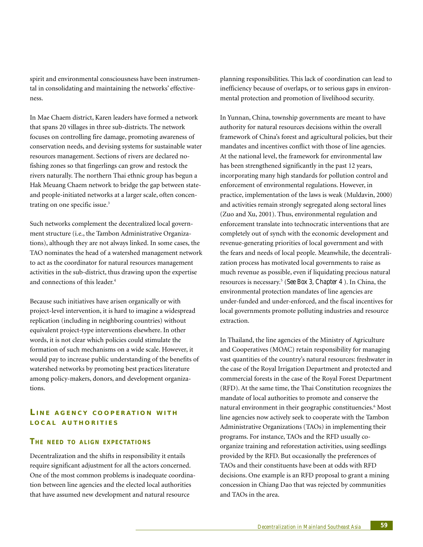spirit and environmental consciousness have been instrumental in consolidating and maintaining the networks' effectiveness.

In Mae Chaem district, Karen leaders have formed a network that spans 20 villages in three sub-districts. The network focuses on controlling fire damage, promoting awareness of conservation needs, and devising systems for sustainable water resources management. Sections of rivers are declared nofishing zones so that fingerlings can grow and restock the rivers naturally. The northern Thai ethnic group has begun a Hak Meuang Chaem network to bridge the gap between stateand people-initiated networks at a larger scale, often concentrating on one specific issue.<sup>3</sup>

Such networks complement the decentralized local government structure (i.e., the Tambon Administrative Organizations), although they are not always linked. In some cases, the TAO nominates the head of a watershed management network to act as the coordinator for natural resources management activities in the sub-district, thus drawing upon the expertise and connections of this leader.4

Because such initiatives have arisen organically or with project-level intervention, it is hard to imagine a widespread replication (including in neighboring countries) without equivalent project-type interventions elsewhere. In other words, it is not clear which policies could stimulate the formation of such mechanisms on a wide scale. However, it would pay to increase public understanding of the benefits of watershed networks by promoting best practices literature among policy-makers, donors, and development organizations.

# **L INE AGENCY COOPERATION WITH LOCAL AUTHORITIES**

#### **TH E NEED T O ALIGN EXPECTATIONS**

Decentralization and the shifts in responsibility it entails require significant adjustment for all the actors concerned. One of the most common problems is inadequate coordination between line agencies and the elected local authorities that have assumed new development and natural resource

planning responsibilities. This lack of coordination can lead to inefficiency because of overlaps, or to serious gaps in environmental protection and promotion of livelihood security.

In Yunnan, China, township governments are meant to have authority for natural resources decisions within the overall framework of China's forest and agricultural policies, but their mandates and incentives conflict with those of line agencies. At the national level, the framework for environmental law has been strengthened significantly in the past 12 years, incorporating many high standards for pollution control and enforcement of environmental regulations. However, in practice, implementation of the laws is weak (Muldavin, 2000) and activities remain strongly segregated along sectoral lines (Zuo and Xu, 2001). Thus, environmental regulation and enforcement translate into technocratic interventions that are completely out of synch with the economic development and revenue-generating priorities of local government and with the fears and needs of local people. Meanwhile, the decentralization process has motivated local governments to raise as much revenue as possible, even if liquidating precious natural resources is necessary.5 (*See Box 3, Chapter 4* ). In China, the environmental protection mandates of line agencies are under-funded and under-enforced, and the fiscal incentives for local governments promote polluting industries and resource extraction.

In Thailand, the line agencies of the Ministry of Agriculture and Cooperatives (MOAC) retain responsibility for managing vast quantities of the country's natural resources: freshwater in the case of the Royal Irrigation Department and protected and commercial forests in the case of the Royal Forest Department (RFD). At the same time, the Thai Constitution recognizes the mandate of local authorities to promote and conserve the natural environment in their geographic constituencies.6 Most line agencies now actively seek to cooperate with the Tambon Administrative Organizations (TAOs) in implementing their programs. For instance, TAOs and the RFD usually coorganize training and reforestation activities, using seedlings provided by the RFD. But occasionally the preferences of TAOs and their constituents have been at odds with RFD decisions. One example is an RFD proposal to grant a mining concession in Chiang Dao that was rejected by communities and TAOs in the area.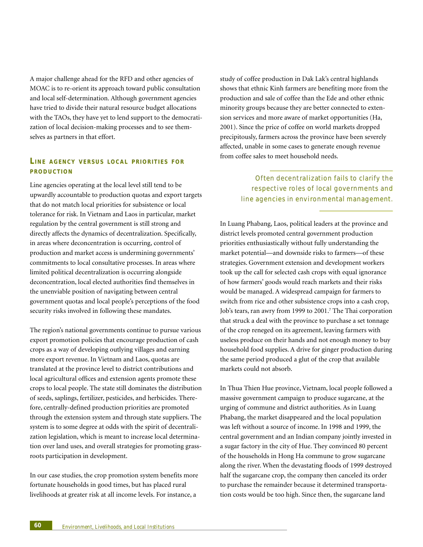A major challenge ahead for the RFD and other agencies of MOAC is to re-orient its approach toward public consultation and local self-determination. Although government agencies have tried to divide their natural resource budget allocations with the TAOs, they have yet to lend support to the democratization of local decision-making processes and to see themselves as partners in that effort.

# **LINE AGENCY VERSUS LOCAL PRIORITIES FOR PRODUCTION**

Line agencies operating at the local level still tend to be upwardly accountable to production quotas and export targets that do not match local priorities for subsistence or local tolerance for risk. In Vietnam and Laos in particular, market regulation by the central government is still strong and directly affects the dynamics of decentralization. Specifically, in areas where deconcentration is occurring, control of production and market access is undermining governments' commitments to local consultative processes. In areas where limited political decentralization is occurring alongside deconcentration, local elected authorities find themselves in the unenviable position of navigating between central government quotas and local people's perceptions of the food security risks involved in following these mandates.

The region's national governments continue to pursue various export promotion policies that encourage production of cash crops as a way of developing outlying villages and earning more export revenue. In Vietnam and Laos, quotas are translated at the province level to district contributions and local agricultural offices and extension agents promote these crops to local people. The state still dominates the distribution of seeds, saplings, fertilizer, pesticides, and herbicides. Therefore, centrally-defined production priorities are promoted through the extension system and through state suppliers. The system is to some degree at odds with the spirit of decentralization legislation, which is meant to increase local determination over land uses, and overall strategies for promoting grassroots participation in development.

In our case studies, the crop promotion system benefits more fortunate households in good times, but has placed rural livelihoods at greater risk at all income levels. For instance, a

study of coffee production in Dak Lak's central highlands shows that ethnic Kinh farmers are benefiting more from the production and sale of coffee than the Ede and other ethnic minority groups because they are better connected to extension services and more aware of market opportunities (Ha, 2001). Since the price of coffee on world markets dropped precipitously, farmers across the province have been severely affected, unable in some cases to generate enough revenue from coffee sales to meet household needs.

> Often decent ralization fails to clarify the respective roles of local governments and line agencies in environmental management.

In Luang Phabang, Laos, political leaders at the province and district levels promoted central government production priorities enthusiastically without fully understanding the market potential—and downside risks to farmers—of these strategies. Government extension and development workers took up the call for selected cash crops with equal ignorance of how farmers' goods would reach markets and their risks would be managed. A widespread campaign for farmers to switch from rice and other subsistence crops into a cash crop, Job's tears, ran awry from 1999 to 2001.<sup>7</sup> The Thai corporation that struck a deal with the province to purchase a set tonnage of the crop reneged on its agreement, leaving farmers with useless produce on their hands and not enough money to buy household food supplies. A drive for ginger production during the same period produced a glut of the crop that available markets could not absorb.

In Thua Thien Hue province, Vietnam, local people followed a massive government campaign to produce sugarcane, at the urging of commune and district authorities. As in Luang Phabang, the market disappeared and the local population was left without a source of income. In 1998 and 1999, the central government and an Indian company jointly invested in a sugar factory in the city of Hue. They convinced 80 percent of the households in Hong Ha commune to grow sugarcane along the river. When the devastating floods of 1999 destroyed half the sugarcane crop, the company then canceled its order to purchase the remainder because it determined transportation costs would be too high. Since then, the sugarcane land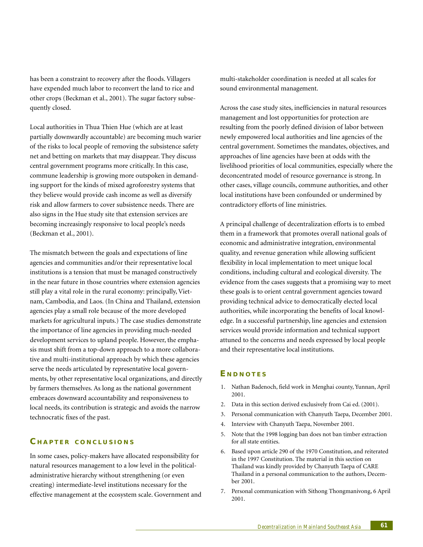has been a constraint to recovery after the floods. Villagers have expended much labor to reconvert the land to rice and other crops (Beckman et al., 2001). The sugar factory subsequently closed.

Local authorities in Thua Thien Hue (which are at least partially downwardly accountable) are becoming much warier of the risks to local people of removing the subsistence safety net and betting on markets that may disappear. They discuss central government programs more critically. In this case, commune leadership is growing more outspoken in demanding support for the kinds of mixed agroforestry systems that they believe would provide cash income as well as diversify risk and allow farmers to cover subsistence needs. There are also signs in the Hue study site that extension services are becoming increasingly responsive to local people's needs (Beckman et al., 2001).

The mismatch between the goals and expectations of line agencies and communities and/or their representative local institutions is a tension that must be managed constructively in the near future in those countries where extension agencies still play a vital role in the rural economy: principally, Vietnam, Cambodia, and Laos. (In China and Thailand, extension agencies play a small role because of the more developed markets for agricultural inputs.) The case studies demonstrate the importance of line agencies in providing much-needed development services to upland people. However, the emphasis must shift from a top-down approach to a more collaborative and multi-institutional approach by which these agencies serve the needs articulated by representative local governments, by other representative local organizations, and directly by farmers themselves. As long as the national government embraces downward accountability and responsiveness to local needs, its contribution is strategic and avoids the narrow technocratic fixes of the past.

# **C HAPTER CONCLUSIONS**

In some cases, policy-makers have allocated responsibility for natural resources management to a low level in the politicaladministrative hierarchy without strengthening (or even creating) intermediate-level institutions necessary for the effective management at the ecosystem scale. Government and multi-stakeholder coordination is needed at all scales for sound environmental management.

Across the case study sites, inefficiencies in natural resources management and lost opportunities for protection are resulting from the poorly defined division of labor between newly empowered local authorities and line agencies of the central government. Sometimes the mandates, objectives, and approaches of line agencies have been at odds with the livelihood priorities of local communities, especially where the deconcentrated model of resource governance is strong. In other cases, village councils, commune authorities, and other local institutions have been confounded or undermined by contradictory efforts of line ministries.

A principal challenge of decentralization efforts is to embed them in a framework that promotes overall national goals of economic and administrative integration, environmental quality, and revenue generation while allowing sufficient flexibility in local implementation to meet unique local conditions, including cultural and ecological diversity. The evidence from the cases suggests that a promising way to meet these goals is to orient central government agencies toward providing technical advice to democratically elected local authorities, while incorporating the benefits of local knowledge. In a successful partnership, line agencies and extension services would provide information and technical support attuned to the concerns and needs expressed by local people and their representative local institutions.

#### **E NDNOTES**

- 1. Nathan Badenoch, field work in Menghai county, Yunnan, April 2001.
- 2. Data in this section derived exclusively from Cai ed. (2001).
- 3. Personal communication with Chanyuth Taepa, December 2001.
- 4. Interview with Chanyuth Taepa, November 2001.
- 5. Note that the 1998 logging ban does not ban timber extraction for all state entities.
- 6. Based upon article 290 of the 1970 Constitution, and reiterated in the 1997 Constitution. The material in this section on Thailand was kindly provided by Chanyuth Taepa of CARE Thailand in a personal communication to the authors, December 2001.
- 7. Personal communication with Sithong Thongmanivong, 6 April 2001.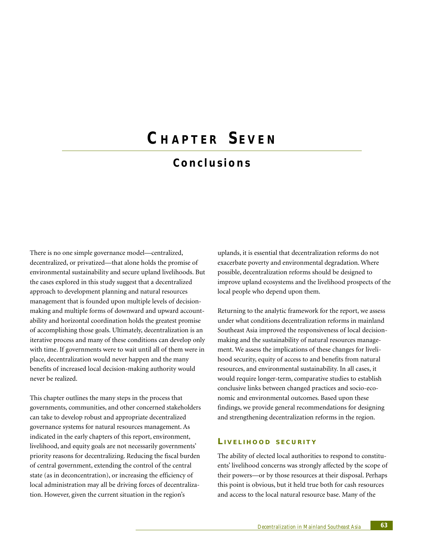# **C HAPTER S EVEN**

# **Conclusions**

There is no one simple governance model—centralized, decentralized, or privatized—that alone holds the promise of environmental sustainability and secure upland livelihoods. But the cases explored in this study suggest that a decentralized approach to development planning and natural resources management that is founded upon multiple levels of decisionmaking and multiple forms of downward and upward accountability and horizontal coordination holds the greatest promise of accomplishing those goals. Ultimately, decentralization is an iterative process and many of these conditions can develop only with time. If governments were to wait until all of them were in place, decentralization would never happen and the many benefits of increased local decision-making authority would never be realized.

This chapter outlines the many steps in the process that governments, communities, and other concerned stakeholders can take to develop robust and appropriate decentralized governance systems for natural resources management. As indicated in the early chapters of this report, environment, livelihood, and equity goals are not necessarily governments' priority reasons for decentralizing. Reducing the fiscal burden of central government, extending the control of the central state (as in deconcentration), or increasing the efficiency of local administration may all be driving forces of decentralization. However, given the current situation in the region's

uplands, it is essential that decentralization reforms do not exacerbate poverty and environmental degradation. Where possible, decentralization reforms should be designed to improve upland ecosystems and the livelihood prospects of the local people who depend upon them.

Returning to the analytic framework for the report, we assess under what conditions decentralization reforms in mainland Southeast Asia improved the responsiveness of local decisionmaking and the sustainability of natural resources management. We assess the implications of these changes for livelihood security, equity of access to and benefits from natural resources, and environmental sustainability. In all cases, it would require longer-term, comparative studies to establish conclusive links between changed practices and socio-economic and environmental outcomes. Based upon these findings, we provide general recommendations for designing and strengthening decentralization reforms in the region.

#### **L IVELIHOOD SECURITY**

The ability of elected local authorities to respond to constituents' livelihood concerns was strongly affected by the scope of their powers—or by those resources at their disposal. Perhaps this point is obvious, but it held true both for cash resources and access to the local natural resource base. Many of the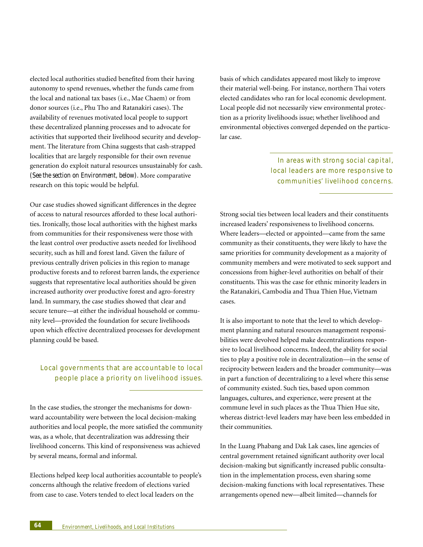elected local authorities studied benefited from their having autonomy to spend revenues, whether the funds came from the local and national tax bases (i.e., Mae Chaem) or from donor sources (i.e., Phu Tho and Ratanakiri cases). The availability of revenues motivated local people to support these decentralized planning processes and to advocate for activities that supported their livelihood security and development. The literature from China suggests that cash-strapped localities that are largely responsible for their own revenue generation do exploit natural resources unsustainably for cash. *(See the section on Environment, below).* More comparative research on this topic would be helpful.

Our case studies showed significant differences in the degree of access to natural resources afforded to these local authorities. Ironically, those local authorities with the highest marks from communities for their responsiveness were those with the least control over productive assets needed for livelihood security, such as hill and forest land. Given the failure of previous centrally driven policies in this region to manage productive forests and to reforest barren lands, the experience suggests that representative local authorities should be given increased authority over productive forest and agro-forestry land. In summary, the case studies showed that clear and secure tenure—at either the individual household or community level—provided the foundation for secure livelihoods upon which effective decentralized processes for development planning could be based.

# Local governments that are accountable to local people place a priority on livelihood issues.

In the case studies, the stronger the mechanisms for downward accountability were between the local decision-making authorities and local people, the more satisfied the community was, as a whole, that decentralization was addressing their livelihood concerns. This kind of responsiveness was achieved by several means, formal and informal.

Elections helped keep local authorities accountable to people's concerns although the relative freedom of elections varied from case to case. Voters tended to elect local leaders on the

basis of which candidates appeared most likely to improve their material well-being. For instance, northern Thai voters elected candidates who ran for local economic development. Local people did not necessarily view environmental protection as a priority livelihoods issue; whether livelihood and environmental objectives converged depended on the particular case.

> In areas with strong social capital, local leaders are more responsive to communities' livelihood conce rns.

Strong social ties between local leaders and their constituents increased leaders' responsiveness to livelihood concerns. Where leaders—elected or appointed—came from the same community as their constituents, they were likely to have the same priorities for community development as a majority of community members and were motivated to seek support and concessions from higher-level authorities on behalf of their constituents. This was the case for ethnic minority leaders in the Ratanakiri, Cambodia and Thua Thien Hue, Vietnam cases.

It is also important to note that the level to which development planning and natural resources management responsibilities were devolved helped make decentralizations responsive to local livelihood concerns. Indeed, the ability for social ties to play a positive role in decentralization—in the sense of reciprocity between leaders and the broader community—was in part a function of decentralizing to a level where this sense of community existed. Such ties, based upon common languages, cultures, and experience, were present at the commune level in such places as the Thua Thien Hue site, whereas district-level leaders may have been less embedded in their communities.

In the Luang Phabang and Dak Lak cases, line agencies of central government retained significant authority over local decision-making but significantly increased public consultation in the implementation process, even sharing some decision-making functions with local representatives. These arrangements opened new—albeit limited—channels for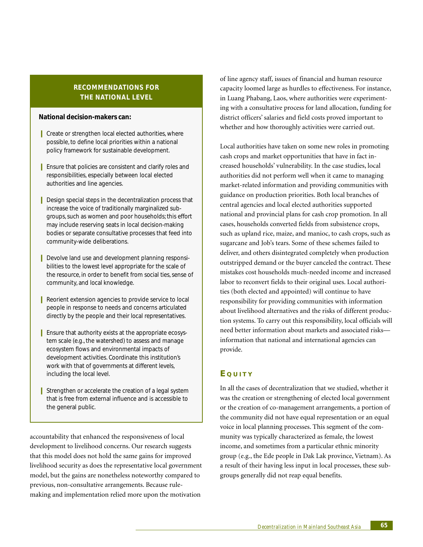# **RECOMMENDATIONS FOR THE NATIONAL LEVEL**

#### **National decision-makers can:**

- Create or strengthen local elected authorities, where possible, to define local priorities within a national policy framework for sustainable development.
- **Ⅰ** Ensure that policies are consistent and clarify roles and responsibilities, especially between local elected authorities and line agencies.
- Design special steps in the decentralization process that increase the voice of traditionally marginalized subgroups, such as women and poor households; this effort may include reserving seats in local decision-making bodies or separate consultative processes that feed into community-wide deliberations.
- Devolve land use and development planning responsibilities to the lowest level appropriate for the scale of the resource, in order to benefit from social ties, sense of community, and local knowledge.
- **■** Reorient extension agencies to provide service to local people in response to needs and concerns articulated directly by the people and their local representatives.
- Ensure that authority exists at the appropriate ecosystem scale (e.g., the watershed) to assess and manage ecosystem flows and environmental impacts of development activities. Coordinate this institution's work with that of governments at different levels, including the local level.
- **■** Strengthen or accelerate the creation of a legal system that is free from external influence and is accessible to the general public.

accountability that enhanced the responsiveness of local development to livelihood concerns. Our research suggests that this model does not hold the same gains for improved livelihood security as does the representative local government model, but the gains are nonetheless noteworthy compared to previous, non-consultative arrangements. Because rulemaking and implementation relied more upon the motivation

of line agency staff, issues of financial and human resource capacity loomed large as hurdles to effectiveness. For instance, in Luang Phabang, Laos, where authorities were experimenting with a consultative process for land allocation, funding for district officers' salaries and field costs proved important to whether and how thoroughly activities were carried out.

Local authorities have taken on some new roles in promoting cash crops and market opportunities that have in fact increased households' vulnerability. In the case studies, local authorities did not perform well when it came to managing market-related information and providing communities with guidance on production priorities. Both local branches of central agencies and local elected authorities supported national and provincial plans for cash crop promotion. In all cases, households converted fields from subsistence crops, such as upland rice, maize, and manioc, to cash crops, such as sugarcane and Job's tears. Some of these schemes failed to deliver, and others disintegrated completely when production outstripped demand or the buyer canceled the contract. These mistakes cost households much-needed income and increased labor to reconvert fields to their original uses. Local authorities (both elected and appointed) will continue to have responsibility for providing communities with information about livelihood alternatives and the risks of different production systems. To carry out this responsibility, local officials will need better information about markets and associated risks information that national and international agencies can provide.

# **E QUITY**

In all the cases of decentralization that we studied, whether it was the creation or strengthening of elected local government or the creation of co-management arrangements, a portion of the community did not have equal representation or an equal voice in local planning processes. This segment of the community was typically characterized as female, the lowest income, and sometimes from a particular ethnic minority group (e.g., the Ede people in Dak Lak province, Vietnam). As a result of their having less input in local processes, these subgroups generally did not reap equal benefits.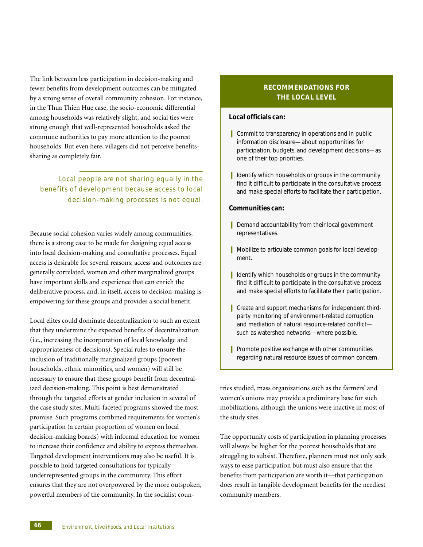The link between less participation in decision-making and fewer benefits from development outcomes can be mitigated by a strong sense of overall community cohesion. For instance, in the Thua Thien Hue case, the socio-economic differential among households was relatively slight, and social ties were strong enough that well-represented households asked the commune authorities to pay more attention to the poorest households. But even here, villagers did not perceive benefitssharing as completely fair.

Local people are not sharing equally in the benefits of development because access to local decision-making processes is not equal.

Because social cohesion varies widely among communities, there is a strong case to be made for designing equal access into local decision-making and consultative processes. Equal access is desirable for several reasons: access and outcomes are generally correlated, women and other marginalized groups have important skills and experience that can enrich the deliberative process, and, in itself, access to decision-making is empowering for these groups and provides a social benefit.

Local elites could dominate decentralization to such an extent that they undermine the expected benefits of decentralization (i.e., increasing the incorporation of local knowledge and appropriateness of decisions). Special rules to ensure the inclusion of traditionally marginalized groups (poorest households, ethnic minorities, and women) will still be necessary to ensure that these groups benefit from decentralized decision-making. This point is best demonstrated through the targeted efforts at gender inclusion in several of the case study sites. Multi-faceted programs showed the most promise. Such programs combined requirements for women's participation (a certain proportion of women on local decision-making boards) with informal education for women to increase their confidence and ability to express themselves. Targeted development interventions may also be useful. It is possible to hold targeted consultations for typically underrepresented groups in the community. This effort ensures that they are not overpowered by the more outspoken, powerful members of the community. In the socialist coun-

# **RECOMMENDATIONS FOR THE LOCAL LEVEL**

#### **Local officials can:**

- Commit to transparency in operations and in public information disclosure—about opportunities for participation, budgets, and development decisions—as one of their top priorities.
- **Ⅰ** Identify which households or groups in the community find it difficult to participate in the consultative process and make special efforts to facilitate their participation.

#### **Communities can:**

- **Ⅰ** Demand accountability from their local government representatives.
- Mobilize to articulate common goals for local development.
- **■** Identify which households or groups in the community find it difficult to participate in the consultative process and make special efforts to facilitate their participation.
- Create and support mechanisms for independent thirdparty monitoring of environment-related corruption and mediation of natural resource-related conflict such as watershed networks—where possible.
- **I** Promote positive exchange with other communities regarding natural resource issues of common concern.

tries studied, mass organizations such as the farmers' and women's unions may provide a preliminary base for such mobilizations, although the unions were inactive in most of the study sites.

The opportunity costs of participation in planning processes will always be higher for the poorest households that are struggling to subsist. Therefore, planners must not only seek ways to ease participation but must also ensure that the benefits from participation are worth it—that participation does result in tangible development benefits for the neediest community members.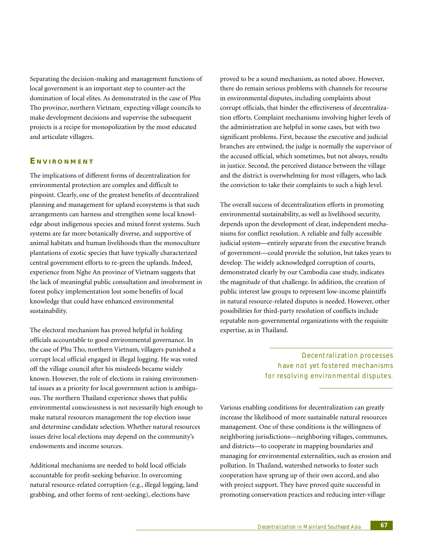Separating the decision-making and management functions of local government is an important step to counter-act the domination of local elites. As demonstrated in the case of Phu Tho province, northern Vietnam¸ expecting village councils to make development decisions and supervise the subsequent projects is a recipe for monopolization by the most educated and articulate villagers.

# **E NVIRONMENT**

The implications of different forms of decentralization for environmental protection are complex and difficult to pinpoint. Clearly, one of the greatest benefits of decentralized planning and management for upland ecosystems is that such arrangements can harness and strengthen some local knowledge about indigenous species and mixed forest systems. Such systems are far more botanically diverse, and supportive of animal habitats and human livelihoods than the monoculture plantations of exotic species that have typically characterized central government efforts to re-green the uplands. Indeed, experience from Nghe An province of Vietnam suggests that the lack of meaningful public consultation and involvement in forest policy implementation lost some benefits of local knowledge that could have enhanced environmental sustainability.

The electoral mechanism has proved helpful in holding officials accountable to good environmental governance. In the case of Phu Tho, northern Vietnam, villagers punished a corrupt local official engaged in illegal logging. He was voted off the village council after his misdeeds became widely known. However, the role of elections in raising environmental issues as a priority for local government action is ambiguous. The northern Thailand experience shows that public environmental consciousness is not necessarily high enough to make natural resources management the top election issue and determine candidate selection. Whether natural resources issues drive local elections may depend on the community's endowments and income sources.

Additional mechanisms are needed to hold local officials accountable for profit-seeking behavior. In overcoming natural resource-related corruption (e.g., illegal logging, land grabbing, and other forms of rent-seeking), elections have

proved to be a sound mechanism, as noted above. However, there do remain serious problems with channels for recourse in environmental disputes, including complaints about corrupt officials, that hinder the effectiveness of decentralization efforts. Complaint mechanisms involving higher levels of the administration are helpful in some cases, but with two significant problems. First, because the executive and judicial branches are entwined, the judge is normally the supervisor of the accused official, which sometimes, but not always, results in justice. Second, the perceived distance between the village and the district is overwhelming for most villagers, who lack the conviction to take their complaints to such a high level.

The overall success of decentralization efforts in promoting environmental sustainability, as well as livelihood security, depends upon the development of clear, independent mechanisms for conflict resolution. A reliable and fully accessible judicial system—entirely separate from the executive branch of government—could provide the solution, but takes years to develop. The widely acknowledged corruption of courts, demonstrated clearly by our Cambodia case study, indicates the magnitude of that challenge. In addition, the creation of public interest law groups to represent low-income plaintiffs in natural resource-related disputes is needed. However, other possibilities for third-party resolution of conflicts include reputable non-governmental organizations with the requisite expertise, as in Thailand.

> Decentralization processes have not yet fostered mechanisms for resolving environmental disputes.

Various enabling conditions for decentralization can greatly increase the likelihood of more sustainable natural resources management. One of these conditions is the willingness of neighboring jurisdictions—neighboring villages, communes, and districts—to cooperate in mapping boundaries and managing for environmental externalities, such as erosion and pollution. In Thailand, watershed networks to foster such cooperation have sprung up of their own accord, and also with project support. They have proved quite successful in promoting conservation practices and reducing inter-village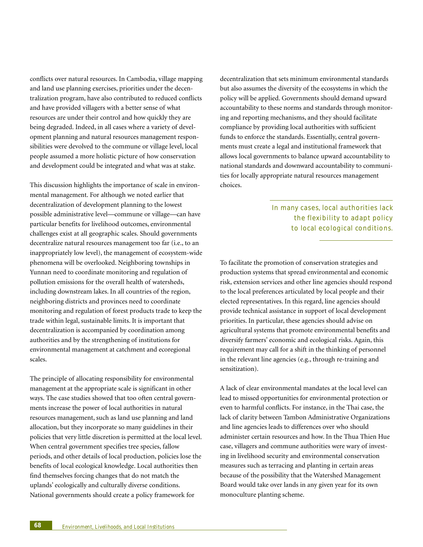conflicts over natural resources. In Cambodia, village mapping and land use planning exercises, priorities under the decentralization program, have also contributed to reduced conflicts and have provided villagers with a better sense of what resources are under their control and how quickly they are being degraded. Indeed, in all cases where a variety of development planning and natural resources management responsibilities were devolved to the commune or village level, local people assumed a more holistic picture of how conservation and development could be integrated and what was at stake.

This discussion highlights the importance of scale in environmental management. For although we noted earlier that decentralization of development planning to the lowest possible administrative level—commune or village—can have particular benefits for livelihood outcomes, environmental challenges exist at all geographic scales. Should governments decentralize natural resources management too far (i.e., to an inappropriately low level), the management of ecosystem-wide phenomena will be overlooked. Neighboring townships in Yunnan need to coordinate monitoring and regulation of pollution emissions for the overall health of watersheds, including downstream lakes. In all countries of the region, neighboring districts and provinces need to coordinate monitoring and regulation of forest products trade to keep the trade within legal, sustainable limits. It is important that decentralization is accompanied by coordination among authorities and by the strengthening of institutions for environmental management at catchment and ecoregional scales.

The principle of allocating responsibility for environmental management at the appropriate scale is significant in other ways. The case studies showed that too often central governments increase the power of local authorities in natural resources management, such as land use planning and land allocation, but they incorporate so many guidelines in their policies that very little discretion is permitted at the local level. When central government specifies tree species, fallow periods, and other details of local production, policies lose the benefits of local ecological knowledge. Local authorities then find themselves forcing changes that do not match the uplands' ecologically and culturally diverse conditions. National governments should create a policy framework for

decentralization that sets minimum environmental standards but also assumes the diversity of the ecosystems in which the policy will be applied. Governments should demand upward accountability to these norms and standards through monitoring and reporting mechanisms, and they should facilitate compliance by providing local authorities with sufficient funds to enforce the standards. Essentially, central governments must create a legal and institutional framework that allows local governments to balance upward accountability to national standards and downward accountability to communities for locally appropriate natural resources management choices.

> In many cases, local authorities lack the flexibility to adapt policy to local ecological conditions.

To facilitate the promotion of conservation strategies and production systems that spread environmental and economic risk, extension services and other line agencies should respond to the local preferences articulated by local people and their elected representatives. In this regard, line agencies should provide technical assistance in support of local development priorities. In particular, these agencies should advise on agricultural systems that promote environmental benefits and diversify farmers' economic and ecological risks. Again, this requirement may call for a shift in the thinking of personnel in the relevant line agencies (e.g., through re-training and sensitization).

A lack of clear environmental mandates at the local level can lead to missed opportunities for environmental protection or even to harmful conflicts. For instance, in the Thai case, the lack of clarity between Tambon Administrative Organizations and line agencies leads to differences over who should administer certain resources and how. In the Thua Thien Hue case, villagers and commune authorities were wary of investing in livelihood security and environmental conservation measures such as terracing and planting in certain areas because of the possibility that the Watershed Management Board would take over lands in any given year for its own monoculture planting scheme.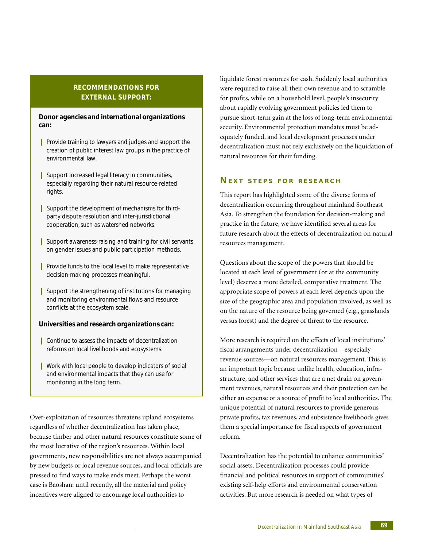# **RECOMMENDATIONS FOR EXTERNAL SUPPORT:**

#### **Donor agencies and international organizations can:**

- **I** Provide training to lawyers and judges and support the creation of public interest law groups in the practice of environmental law.
- Support increased legal literacy in communities, especially regarding their natural resource-related rights.
- **I** Support the development of mechanisms for thirdparty dispute resolution and inter-jurisdictional cooperation, such as watershed networks.
- **I** Support awareness-raising and training for civil servants on gender issues and public participation methods.
- **I** Provide funds to the local level to make representative decision-making processes meaningful.
- **I** Support the strengthening of institutions for managing and monitoring environmental flows and resource conflicts at the ecosystem scale.

#### **Universities and research organizations can:**

- **■** Continue to assess the impacts of decentralization reforms on local livelihoods and ecosystems.
- Work with local people to develop indicators of social and environmental impacts that they can use for monitoring in the long term.

Over-exploitation of resources threatens upland ecosystems regardless of whether decentralization has taken place, because timber and other natural resources constitute some of the most lucrative of the region's resources. Within local governments, new responsibilities are not always accompanied by new budgets or local revenue sources, and local officials are pressed to find ways to make ends meet. Perhaps the worst case is Baoshan: until recently, all the material and policy incentives were aligned to encourage local authorities to

liquidate forest resources for cash. Suddenly local authorities were required to raise all their own revenue and to scramble for profits, while on a household level, people's insecurity about rapidly evolving government policies led them to pursue short-term gain at the loss of long-term environmental security. Environmental protection mandates must be adequately funded, and local development processes under decentralization must not rely exclusively on the liquidation of natural resources for their funding.

#### **NEXT STEPS FOR RESEARCH**

This report has highlighted some of the diverse forms of decentralization occurring throughout mainland Southeast Asia. To strengthen the foundation for decision-making and practice in the future, we have identified several areas for future research about the effects of decentralization on natural resources management.

Questions about the scope of the powers that should be located at each level of government (or at the community level) deserve a more detailed, comparative treatment. The appropriate scope of powers at each level depends upon the size of the geographic area and population involved, as well as on the nature of the resource being governed (e.g., grasslands versus forest) and the degree of threat to the resource.

More research is required on the effects of local institutions' fiscal arrangements under decentralization—especially revenue sources—on natural resources management. This is an important topic because unlike health, education, infrastructure, and other services that are a net drain on government revenues, natural resources and their protection can be either an expense or a source of profit to local authorities. The unique potential of natural resources to provide generous private profits, tax revenues, and subsistence livelihoods gives them a special importance for fiscal aspects of government reform.

Decentralization has the potential to enhance communities' social assets. Decentralization processes could provide financial and political resources in support of communities' existing self-help efforts and environmental conservation activities. But more research is needed on what types of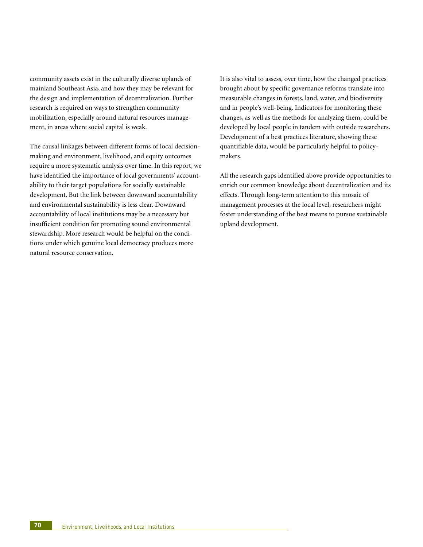community assets exist in the culturally diverse uplands of mainland Southeast Asia, and how they may be relevant for the design and implementation of decentralization. Further research is required on ways to strengthen community mobilization, especially around natural resources management, in areas where social capital is weak.

The causal linkages between different forms of local decisionmaking and environment, livelihood, and equity outcomes require a more systematic analysis over time. In this report, we have identified the importance of local governments' accountability to their target populations for socially sustainable development. But the link between downward accountability and environmental sustainability is less clear. Downward accountability of local institutions may be a necessary but insufficient condition for promoting sound environmental stewardship. More research would be helpful on the conditions under which genuine local democracy produces more natural resource conservation.

It is also vital to assess, over time, how the changed practices brought about by specific governance reforms translate into measurable changes in forests, land, water, and biodiversity and in people's well-being. Indicators for monitoring these changes, as well as the methods for analyzing them, could be developed by local people in tandem with outside researchers. Development of a best practices literature, showing these quantifiable data, would be particularly helpful to policymakers.

All the research gaps identified above provide opportunities to enrich our common knowledge about decentralization and its effects. Through long-term attention to this mosaic of management processes at the local level, researchers might foster understanding of the best means to pursue sustainable upland development.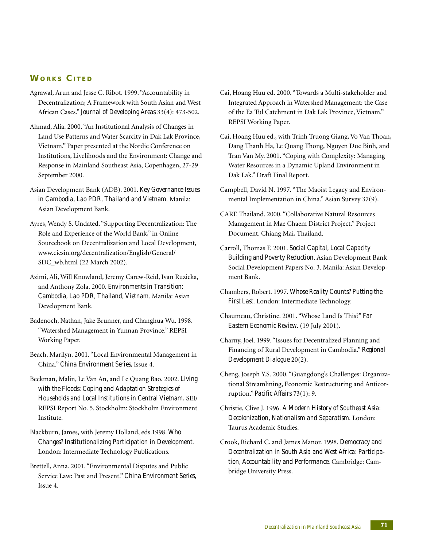## **WORKS CITED**

- Agrawal, Arun and Jesse C. Ribot. 1999. "Accountability in Decentralization; A Framework with South Asian and West African Cases." *Journal of Developing Areas* 33(4): 473-502.
- Ahmad, Alia. 2000. "An Institutional Analysis of Changes in Land Use Patterns and Water Scarcity in Dak Lak Province, Vietnam." Paper presented at the Nordic Conference on Institutions, Livelihoods and the Environment: Change and Response in Mainland Southeast Asia, Copenhagen, 27-29 September 2000.
- Asian Development Bank (ADB). 2001. *Key Governance Issues in Cambodia, Lao PDR, Thailand and Vietnam*. Manila: Asian Development Bank.
- Ayres, Wendy S. Undated. "Supporting Decentralization: The Role and Experience of the World Bank," in Online Sourcebook on Decentralization and Local Development, www.ciesin.org/decentralization/English/General/ SDC\_wb.html (22 March 2002).
- Azimi, Ali, Will Knowland, Jeremy Carew-Reid, Ivan Ruzicka, and Anthony Zola. 2000. *Environments in Transition: Cambodia, Lao PDR, Thailand, Vietnam*. Manila: Asian Development Bank.
- Badenoch, Nathan, Jake Brunner, and Changhua Wu. 1998. "Watershed Management in Yunnan Province." REPSI Working Paper.
- Beach, Marilyn. 2001. "Local Environmental Management in China." *China Environment Series*, Issue 4.
- Beckman, Malin, Le Van An, and Le Quang Bao. 2002. *Living with the Floods: Coping and Adaptation Strategies of Households and Local Institutions in Central Vietnam.* SEI/ REPSI Report No. 5. Stockholm: Stockholm Environment Institute.
- Blackburn, James, with Jeremy Holland, eds.1998. *Who Changes? Institutionalizing Participation in Development*. London: Intermediate Technology Publications.
- Brettell, Anna. 2001. "Environmental Disputes and Public Service Law: Past and Present." *China Environment Series*, Issue 4.
- Cai, Hoang Huu ed. 2000. "Towards a Multi-stakeholder and Integrated Approach in Watershed Management: the Case of the Ea Tul Catchment in Dak Lak Province, Vietnam." REPSI Working Paper.
- Cai, Hoang Huu ed., with Trinh Truong Giang, Vo Van Thoan, Dang Thanh Ha, Le Quang Thong, Nguyen Duc Binh, and Tran Van My. 2001. "Coping with Complexity: Managing Water Resources in a Dynamic Upland Environment in Dak Lak." Draft Final Report.
- Campbell, David N. 1997. "The Maoist Legacy and Environmental Implementation in China." Asian Survey 37(9).
- CARE Thailand. 2000. "Collaborative Natural Resources Management in Mae Chaem District Project." Project Document. Chiang Mai, Thailand.
- Carroll, Thomas F. 2001. *Social Capital, Local Capacity Building and Poverty Reduction*. Asian Development Bank Social Development Papers No. 3. Manila: Asian Development Bank.
- Chambers, Robert. 1997. *Whose Reality Counts? Putting the First Last*. London: Intermediate Technology.
- Chaumeau, Christine. 2001. "Whose Land Is This?" *Far Eastern Economic Review*. (19 July 2001).
- Charny, Joel. 1999. "Issues for Decentralized Planning and Financing of Rural Development in Cambodia." *Regional Development Dialogue* 20(2).
- Cheng, Joseph Y.S. 2000. "Guangdong's Challenges: Organizational Streamlining, Economic Restructuring and Anticorruption." *Pacific Affairs* 73(1): 9.
- Christie, Clive J. 1996. *A Modern History of Southeast Asia: Decolonization, Nationalism and Separatism*. London: Taurus Academic Studies.
- Crook, Richard C. and James Manor. 1998. *Democracy and Decentralization in South Asia and West Africa: Participation, Accountability and Performance*. Cambridge: Cambridge University Press.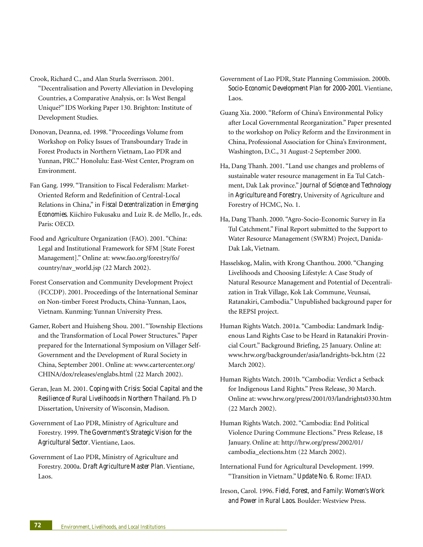- Crook, Richard C., and Alan Sturla Sverrisson. 2001. "Decentralisation and Poverty Alleviation in Developing Countries, a Comparative Analysis, or: Is West Bengal Unique?" IDS Working Paper 130. Brighton: Institute of Development Studies.
- Donovan, Deanna, ed. 1998. "Proceedings Volume from Workshop on Policy Issues of Transboundary Trade in Forest Products in Northern Vietnam, Lao PDR and Yunnan, PRC." Honolulu: East-West Center, Program on Environment.
- Fan Gang. 1999. "Transition to Fiscal Federalism: Market-Oriented Reform and Redefinition of Central-Local Relations in China," in *Fiscal Decentralization in Emerging Economies*. Kiichiro Fukusaku and Luiz R. de Mello, Jr., eds. Paris: OECD.
- Food and Agriculture Organization (FAO). 2001. "China: Legal and Institutional Framework for SFM [State Forest Management]." Online at: www.fao.org/forestry/fo/ country/nav\_world.jsp (22 March 2002).
- Forest Conservation and Community Development Project (FCCDP). 2001. Proceedings of the International Seminar on Non-timber Forest Products, China-Yunnan, Laos, Vietnam. Kunming: Yunnan University Press.
- Gamer, Robert and Huisheng Shou. 2001. "Township Elections and the Transformation of Local Power Structures." Paper prepared for the International Symposium on Villager Self-Government and the Development of Rural Society in China, September 2001. Online at: www.cartercenter.org/ CHINA/dox/releases/englabs.html (22 March 2002).
- Geran, Jean M. 2001. *Coping with Crisis: Social Capital and the Resilience of Rural Livelihoods in Northern Thailand*. Ph D Dissertation, University of Wisconsin, Madison.
- Government of Lao PDR, Ministry of Agriculture and Forestry. 1999. *The Government's Strategic Vision for the Agricultural Sector*. Vientiane, Laos.
- Government of Lao PDR, Ministry of Agriculture and Forestry. 2000a. *Draft Agriculture Master Plan*. Vientiane, Laos.
- Government of Lao PDR, State Planning Commission. 2000b. *Socio-Economic Development Plan for 2000-2001*. Vientiane, Laos.
- Guang Xia. 2000. "Reform of China's Environmental Policy after Local Governmental Reorganization." Paper presented to the workshop on Policy Reform and the Environment in China, Professional Association for China's Environment, Washington, D.C., 31 August-2 September 2000.
- Ha, Dang Thanh. 2001. "Land use changes and problems of sustainable water resource management in Ea Tul Catchment, Dak Lak province." *Journal of Science and Technology in Agriculture and Forestry*, University of Agriculture and Forestry of HCMC, No. 1.
- Ha, Dang Thanh. 2000. "Agro-Socio-Economic Survey in Ea Tul Catchment." Final Report submitted to the Support to Water Resource Management (SWRM) Project, Danida-Dak Lak, Vietnam.
- Hasselskog, Malin, with Krong Chanthou. 2000. "Changing Livelihoods and Choosing Lifestyle: A Case Study of Natural Resource Management and Potential of Decentralization in Trak Village, Kok Lak Commune, Veunsai, Ratanakiri, Cambodia." Unpublished background paper for the REPSI project.
- Human Rights Watch. 2001a. "Cambodia: Landmark Indigenous Land Rights Case to be Heard in Ratanakiri Provincial Court." Background Briefing, 25 January. Online at: www.hrw.org/backgrounder/asia/landrights-bck.htm (22 March 2002).
- Human Rights Watch. 2001b. "Cambodia: Verdict a Setback for Indigenous Land Rights." Press Release, 30 March. Online at: www.hrw.org/press/2001/03/landrights0330.htm (22 March 2002).
- Human Rights Watch. 2002. "Cambodia: End Political Violence During Commune Elections." Press Release, 18 January. Online at: http://hrw.org/press/2002/01/ cambodia\_elections.htm (22 March 2002).
- International Fund for Agricultural Development. 1999. "Transition in Vietnam." *Update No. 6*. Rome: IFAD.
- Ireson, Carol. 1996. *Field, Forest, and Family: Women's Work and Power in Rural Laos*. Boulder: Westview Press.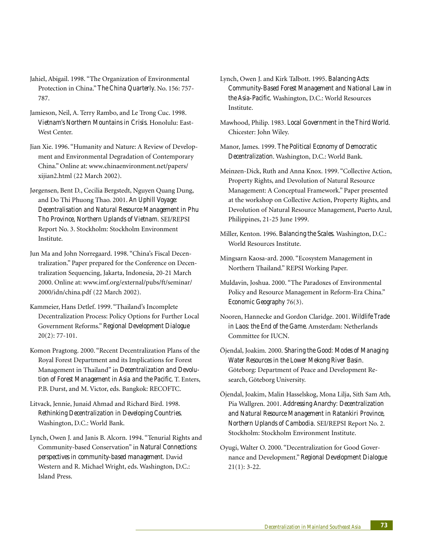- Jahiel, Abigail. 1998. "The Organization of Environmental Protection in China." *The China Quarterly*. No. 156: 757- 787.
- Jamieson, Neil, A. Terry Rambo, and Le Trong Cuc. 1998. *Vietnam's Northern Mountains in Crisis*. Honolulu: East-West Center.
- Jian Xie. 1996. "Humanity and Nature: A Review of Development and Environmental Degradation of Contemporary China." Online at: www.chinaenvironment.net/papers/ xijian2.html (22 March 2002).
- Jørgensen, Bent D., Cecilia Bergstedt, Nguyen Quang Dung, and Do Thi Phuong Thao. 2001. *An Uphill Voyage: Decentralisation and Natural Resource Management in Phu Tho Province, Northern Uplands of Vietnam*. SEI/REPSI Report No. 3. Stockholm: Stockholm Environment Institute.
- Jun Ma and John Norregaard. 1998. "China's Fiscal Decentralization." Paper prepared for the Conference on Decentralization Sequencing, Jakarta, Indonesia, 20-21 March 2000. Online at: www.imf.org/external/pubs/ft/seminar/ 2000/idn/china.pdf (22 March 2002).
- Kammeier, Hans Detlef. 1999. "Thailand's Incomplete Decentralization Process: Policy Options for Further Local Government Reforms." *Regional Development Dialogue* 20(2): 77-101.
- Komon Pragtong. 2000. "Recent Decentralization Plans of the Royal Forest Department and its Implications for Forest Management in Thailand" in *Decentralization and Devolution of Forest Management in Asia and the Pacific*. T. Enters, P.B. Durst, and M. Victor, eds. Bangkok: RECOFTC.
- Litvack, Jennie, Junaid Ahmad and Richard Bird. 1998. *Rethinking Decentralization in Developing Countries*. Washington, D.C.: World Bank.
- Lynch, Owen J. and Janis B. Alcorn. 1994. "Tenurial Rights and Community-based Conservation" in *Natural Connections: perspectives in community-based management*. David Western and R. Michael Wright, eds. Washington, D.C.: Island Press.
- Lynch, Owen J. and Kirk Talbott. 1995. *Balancing Acts: Community-Based Forest Management and National Law in the Asia-Pacific*. Washington, D.C.: World Resources Institute.
- Mawhood, Philip. 1983. *Local Government in the Third World*. Chicester: John Wiley.
- Manor, James. 1999. *The Political Economy of Democratic Decentralization*. Washington, D.C.: World Bank.
- Meinzen-Dick, Ruth and Anna Knox. 1999. "Collective Action, Property Rights, and Devolution of Natural Resource Management: A Conceptual Framework." Paper presented at the workshop on Collective Action, Property Rights, and Devolution of Natural Resource Management, Puerto Azul, Philippines, 21-25 June 1999.
- Miller, Kenton. 1996. *Balancing the Scales.* Washington, D.C.: World Resources Institute.
- Mingsarn Kaosa-ard. 2000. "Ecosystem Management in Northern Thailand." REPSI Working Paper.
- Muldavin, Joshua. 2000. "The Paradoxes of Environmental Policy and Resource Management in Reform-Era China." *Economic Geography* 76(3).
- Nooren, Hannecke and Gordon Claridge. 2001. *Wildlife Trade in Laos: the End of the Game*. Amsterdam: Netherlands Committee for IUCN.
- Öjendal, Joakim. 2000. *Sharing the Good: Modes of Managing Water Resources in the Lower Mekong River Basin*. Göteborg: Department of Peace and Development Research, Göteborg University.
- Öjendal, Joakim, Malin Hasselskog, Mona Lilja, Sith Sam Ath, Pia Wallgren. 2001. *Addressing Anarchy: Decentralization and Natural Resource Management in Ratankiri Province, Northern Uplands of Cambodia*. SEI/REPSI Report No. 2. Stockholm: Stockholm Environment Institute.
- Oyugi, Walter O. 2000. "Decentralization for Good Governance and Development." *Regional Development Dialogue* 21(1): 3-22.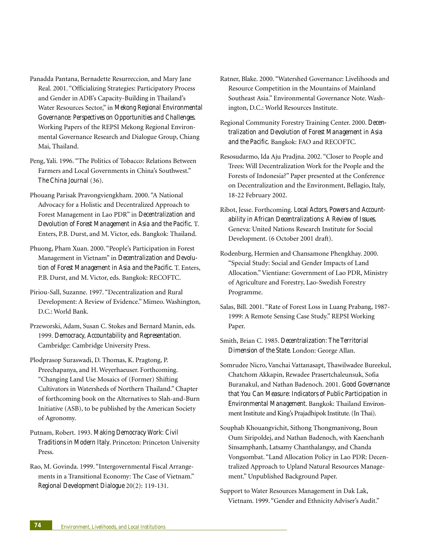- Panadda Pantana, Bernadette Resurreccion, and Mary Jane Real. 2001. "Officializing Strategies: Participatory Process and Gender in ADB's Capacity-Building in Thailand's Water Resources Sector," in *Mekong Regional Environmental Governance: Perspectives on Opportunities and Challenges*. Working Papers of the REPSI Mekong Regional Environmental Governance Research and Dialogue Group, Chiang Mai, Thailand.
- Peng, Yali. 1996. "The Politics of Tobacco: Relations Between Farmers and Local Governments in China's Southwest." *The China Journal* (36).
- Phouang Parisak Pravongviengkham. 2000. "A National Advocacy for a Holistic and Decentralized Approach to Forest Management in Lao PDR" in *Decentralization and Devolution of Forest Management in Asia and the Pacific*. T. Enters, P.B. Durst, and M. Victor, eds. Bangkok: Thailand.
- Phuong, Pham Xuan. 2000. "People's Participation in Forest Management in Vietnam" in *Decentralization and Devolution of Forest Management in Asia and the Pacific*. T. Enters, P.B. Durst, and M. Victor, eds. Bangkok: RECOFTC.
- Piriou-Sall, Suzanne. 1997. "Decentralization and Rural Development: A Review of Evidence." Mimeo. Washington, D.C.: World Bank.
- Przeworski, Adam, Susan C. Stokes and Bernard Manin, eds. 1999. *Democracy, Accountability and Representation*. Cambridge: Cambridge University Press.
- Plodprasop Suraswadi, D. Thomas, K. Pragtong, P. Preechapanya, and H. Weyerhaeuser. Forthcoming. "Changing Land Use Mosaics of (Former) Shifting Cultivators in Watersheds of Northern Thailand." Chapter of forthcoming book on the Alternatives to Slah-and-Burn Initiative (ASB), to be published by the American Society of Agronomy.
- Putnam, Robert. 1993. *Making Democracy Work: Civil Traditions in Modern Italy*. Princeton: Princeton University Press.
- Rao, M. Govinda. 1999. "Intergovernmental Fiscal Arrangements in a Transitional Economy: The Case of Vietnam." *Regional Development Dialogue* 20(2): 119-131.
- Ratner, Blake. 2000. "Watershed Governance: Livelihoods and Resource Competition in the Mountains of Mainland Southeast Asia." Environmental Governance Note. Washington, D.C.: World Resources Institute.
- Regional Community Forestry Training Center. 2000. *Decentralization and Devolution of Forest Management in Asia and the Pacific*. Bangkok: FAO and RECOFTC.
- Resosudarmo, Ida Aju Pradjna. 2002. "Closer to People and Trees: Will Decentralization Work for the People and the Forests of Indonesia?" Paper presented at the Conference on Decentralization and the Environment, Bellagio, Italy, 18-22 February 2002.
- Ribot, Jesse. Forthcoming. *Local Actors, Powers and Accountability in African Decentralizations: A Review of Issues*. Geneva: United Nations Research Institute for Social Development. (6 October 2001 draft).
- Rodenburg, Hermien and Chansamone Phengkhay. 2000. "Special Study: Social and Gender Impacts of Land Allocation." Vientiane: Government of Lao PDR, Ministry of Agriculture and Forestry, Lao-Swedish Forestry Programme.
- Salas, Bill. 2001. "Rate of Forest Loss in Luang Prabang, 1987- 1999: A Remote Sensing Case Study." REPSI Working Paper.
- Smith, Brian C. 1985. *Decentralization: The Territorial Dimension of the State*. London: George Allan.
- Somrudee Nicro, Vanchai Vattanasapt, Thawilwadee Bureekul, Chatchom Akkapin, Rewadee Prasertchaleunsuk, Sofia Buranakul, and Nathan Badenoch. 2001. *Good Governance that You Can Measure: Indicators of Public Participation in Environmental Management*. Bangkok: Thailand Environment Institute and King's Prajadhipok Institute. (In Thai).
- Souphab Khouangvichit, Sithong Thongmanivong, Boun Oum Siripoldej, and Nathan Badenoch, with Kaenchanh Sinsamphanh, Latsamy Chanthalangsy, and Chanda Vongsombat. "Land Allocation Policy in Lao PDR: Decentralized Approach to Upland Natural Resources Management." Unpublished Background Paper.
- Support to Water Resources Management in Dak Lak, Vietnam. 1999. "Gender and Ethnicity Adviser's Audit."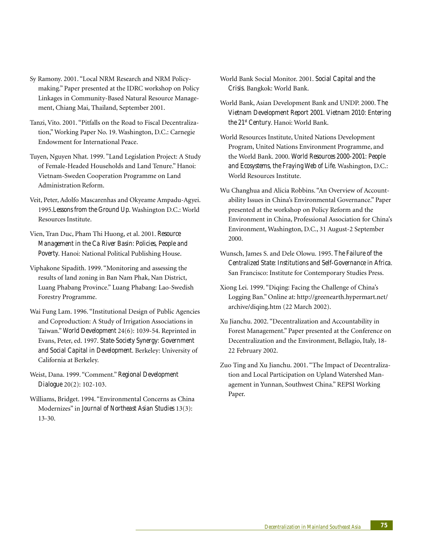- Sy Ramony. 2001. "Local NRM Research and NRM Policymaking." Paper presented at the IDRC workshop on Policy Linkages in Community-Based Natural Resource Management, Chiang Mai, Thailand, September 2001.
- Tanzi, Vito. 2001. "Pitfalls on the Road to Fiscal Decentralization," Working Paper No. 19. Washington, D.C.: Carnegie Endowment for International Peace.
- Tuyen, Nguyen Nhat. 1999. "Land Legislation Project: A Study of Female-Headed Households and Land Tenure." Hanoi: Vietnam-Sweden Cooperation Programme on Land Administration Reform.
- Veit, Peter, Adolfo Mascarenhas and Okyeame Ampadu-Agyei. 1995.*Lessons from the Ground Up*. Washington D.C.: World Resources Institute.
- Vien, Tran Duc, Pham Thi Huong, et al. 2001. *Resource Management in the Ca River Basin: Policies, People and Poverty*. Hanoi: National Political Publishing House.
- Viphakone Sipadith. 1999. "Monitoring and assessing the results of land zoning in Ban Nam Phak, Nan District, Luang Phabang Province." Luang Phabang: Lao-Swedish Forestry Programme.
- Wai Fung Lam. 1996. "Institutional Design of Public Agencies and Coproduction: A Study of Irrigation Associations in Taiwan." *World Development* 24(6): 1039-54. Reprinted in Evans, Peter, ed. 1997. *State-Society Synergy: Government and Social Capital in Development*. Berkeley: University of California at Berkeley.
- Weist, Dana. 1999. "Comment." *Regional Development Dialogue* 20(2): 102-103.
- Williams, Bridget. 1994. "Environmental Concerns as China Modernizes" in *Journal of Northeast Asian Studies* 13(3): 13-30.
- World Bank Social Monitor. 2001. *Social Capital and the Crisis*. Bangkok: World Bank.
- World Bank, Asian Development Bank and UNDP. 2000. *The Vietnam Development Report 2001. Vietnam 2010: Entering the 21st Century*. Hanoi: World Bank.
- World Resources Institute, United Nations Development Program, United Nations Environment Programme, and the World Bank. 2000. *World Resources 2000-2001: People and Ecosystems, the Fraying Web of Life*. Washington, D.C.: World Resources Institute.
- Wu Changhua and Alicia Robbins. "An Overview of Accountability Issues in China's Environmental Governance." Paper presented at the workshop on Policy Reform and the Environment in China, Professional Association for China's Environment, Washington, D.C., 31 August-2 September 2000.
- Wunsch, James S. and Dele Olowu. 1995. *The Failure of the Centralized State: Institutions and Self-Governance in Africa*. San Francisco: Institute for Contemporary Studies Press.
- Xiong Lei. 1999. "Diqing: Facing the Challenge of China's Logging Ban." Online at: http://greenearth.hypermart.net/ archive/diqing.htm (22 March 2002).
- Xu Jianchu. 2002. "Decentralization and Accountability in Forest Management." Paper presented at the Conference on Decentralization and the Environment, Bellagio, Italy, 18- 22 February 2002.
- Zuo Ting and Xu Jianchu. 2001. "The Impact of Decentralization and Local Participation on Upland Watershed Management in Yunnan, Southwest China." REPSI Working Paper.